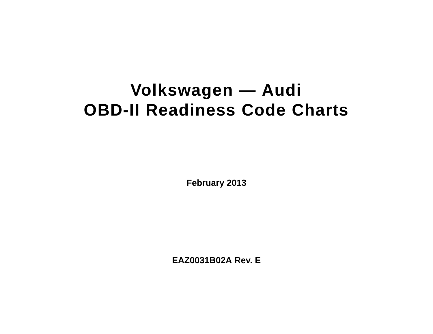# **Volkswagen — Audi OBD-II Readiness Code Charts**

**February 2013**

**EAZ0031B02A Rev. E**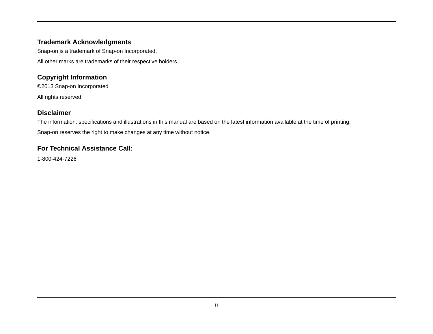## **Trademark Acknowledgments**

Snap-on is a trademark of Snap-on Incorporated.

All other marks are trademarks of their respective holders.

## **Copyright Information**

©2013 Snap-on Incorporated

All rights reserved

## **Disclaimer**

The information, specifications and illustrations in this manual are based on the latest information available at the time of printing. Snap-on reserves the right to make changes at any time without notice.

## **For Technical Assistance Call:**

1-800-424-7226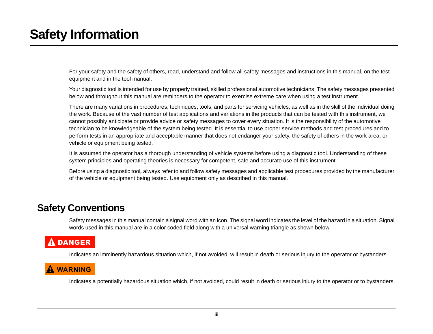# <span id="page-2-0"></span>**Safety Information**

For your safety and the safety of others, read, understand and follow all safety messages and instructions in this manual, on the test equipment and in the tool manual.

Your diagnostic tool is intended for use by properly trained, skilled professional automotive technicians. The safety messages presented below and throughout this manual are reminders to the operator to exercise extreme care when using a test instrument.

There are many variations in procedures, techniques, tools, and parts for servicing vehicles, as well as in the skill of the individual doing the work. Because of the vast number of test applications and variations in the products that can be tested with this instrument, we cannot possibly anticipate or provide advice or safety messages to cover every situation. It is the responsibility of the automotive technician to be knowledgeable of the system being tested. It is essential to use proper service methods and test procedures and to perform tests in an appropriate and acceptable manner that does not endanger your safety, the safety of others in the work area, or vehicle or equipment being tested.

It is assumed the operator has a thorough understanding of vehicle systems before using a diagnostic tool. Understanding of these system principles and operating theories is necessary for competent, safe and accurate use of this instrument.

Before using a diagnostic tool*,* always refer to and follow safety messages and applicable test procedures provided by the manufacturer of the vehicle or equipment being tested. Use equipment only as described in this manual.

## <span id="page-2-1"></span>**Safety Conventions**

Safety messages in this manual contain a signal word with an icon. The signal word indicates the level of the hazard in a situation. Signal words used in this manual are in a color coded field along with a universal warning triangle as shown below.

## **A DANGER**

Indicates an imminently hazardous situation which, if not avoided, will result in death or serious injury to the operator or bystanders.

## ! **WARNING**

Indicates a potentially hazardous situation which, if not avoided, could result in death or serious injury to the operator or to bystanders.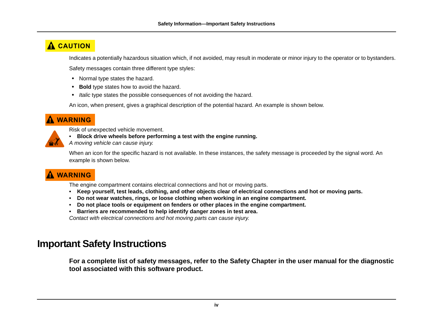## $\overline{\mathbf{A}}$  **CAUTION**

Indicates a potentially hazardous situation which, if not avoided, may result in moderate or minor injury to the operator or to bystanders.

Safety messages contain three different type styles:

- **•** Normal type states the hazard.
- **• Bold** type states how to avoid the hazard.
- **•** *Italic* type states the possible consequences of not avoiding the hazard.

An icon, when present, gives a graphical description of the potential hazard. An example is shown below.

## ! **WARNING**

- Risk of unexpected vehicle movement.
- **Block drive wheels before performing a test with the engine running.**

*A moving vehicle can cause injury.*

When an icon for the specific hazard is not available. In these instances, the safety message is proceeded by the signal word. An example is shown below.

## ! **WARNING**

The engine compartment contains electrical connections and hot or moving parts.

- **Keep yourself, test leads, clothing, and other objects clear of electrical connections and hot or moving parts.**
- **Do not wear watches, rings, or loose clothing when working in an engine compartment.**
- **Do not place tools or equipment on fenders or other places in the engine compartment.**
- **Barriers are recommended to help identify danger zones in test area.**

*Contact with electrical connections and hot moving parts can cause injury.*

## <span id="page-3-0"></span>**Important Safety Instructions**

**For a complete list of safety messages, refer to the Safety Chapter in the user manual for the diagnostic tool associated with this software product.**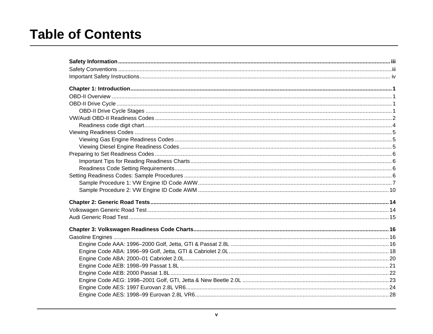# **Table of Contents**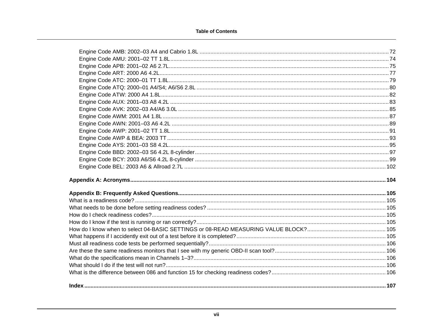### **Table of Contents**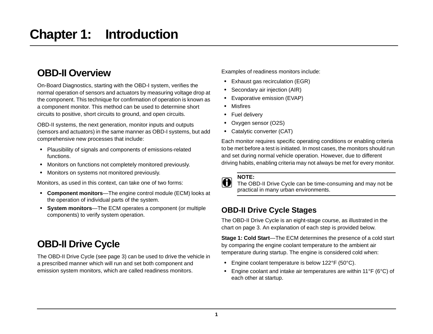# <span id="page-7-1"></span><span id="page-7-0"></span>**OBD-II Overview**

On-Board Diagnostics, starting with the OBD-I system, verifies the normal operation of sensors and actuators by measuring voltage drop at the component. This technique for confirmation of operation is known as a component monitor. This method can be used to determine short circuits to positive, short circuits to ground, and open circuits.

OBD-II systems, the next generation, monitor inputs and outputs (sensors and actuators) in the same manner as OBD-I systems, but add comprehensive new processes that include:

- **•** Plausibility of signals and components of emissions-related functions.
- **•** Monitors on functions not completely monitored previously.
- **•** Monitors on systems not monitored previously.

Monitors, as used in this context, can take one of two forms:

- **• Component monitors**—The engine control module (ECM) looks at the operation of individual parts of the system.
- **• System monitors**—The ECM operates a component (or multiple components) to verify system operation.

# <span id="page-7-4"></span><span id="page-7-2"></span>**OBD-II Drive Cycle**

The OBD-II Drive Cycle (see [page 3\)](#page-9-0) can be used to drive the vehicle in a prescribed manner which will run and set both component and emission system monitors, which are called readiness monitors.

Examples of readiness monitors include:

- **•** Exhaust gas recirculation (EGR)
- **•** Secondary air injection (AIR)
- **•** Evaporative emission (EVAP)
- **•** Misfires
- **•** Fuel delivery
- **•** Oxygen sensor (O2S)
- **•** Catalytic converter (CAT)

Each monitor requires specific operating conditions or enabling criteria to be met before a test is initiated. In most cases, the monitors should run and set during normal vehicle operation. However, due to different driving habits, enabling criteria may not always be met for every monitor.



**NOTE:**<br>**i** The OBD-II Drive Cycle can be time-consuming and may not be practical in many urban environments.

## <span id="page-7-3"></span>**OBD-II Drive Cycle Stages**

The OBD-II Drive Cycle is an eight-stage course, as illustrated in the chart on [page 3.](#page-9-0) An explanation of each step is provided below.

**Stage 1: Cold Start**—The ECM determines the presence of a cold start by comparing the engine coolant temperature to the ambient air temperature during startup. The engine is considered cold when:

- **•** Engine coolant temperature is below 122°F (50°C).
- **•** Engine coolant and intake air temperatures are within 11°F (6°C) of each other at startup.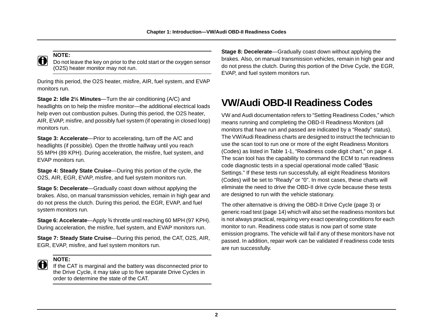

**NOTE:**<br>Do not leave the key on prior to the cold start or the oxygen sensor (O2S) heater monitor may not run.

During this period, the O2S heater, misfire, AIR, fuel system, and EVAP monitors run.

**Stage 2: Idle 2½ Minutes**—Turn the air conditioning (A/C) and headlights on to help the misfire monitor—the additional electrical loads help even out combustion pulses. During this period, the O2S heater, AIR, EVAP, misfire, and possibly fuel system (if operating in closed loop) monitors run.

**Stage 3: Accelerate**—Prior to accelerating, turn off the A/C and headlights (if possible). Open the throttle halfway until you reach 55 MPH (89 KPH). During acceleration, the misfire, fuel system, and EVAP monitors run.

**Stage 4: Steady State Cruise**—During this portion of the cycle, the O2S, AIR, EGR, EVAP, misfire, and fuel system monitors run.

**Stage 5: Decelerate**—Gradually coast down without applying the brakes. Also, on manual transmission vehicles, remain in high gear and do not press the clutch. During this period, the EGR, EVAP, and fuel system monitors run.

**Stage 6: Accelerate**—Apply ¾ throttle until reaching 60 MPH (97 KPH). During acceleration, the misfire, fuel system, and EVAP monitors run.

**Stage 7: Steady State Cruise**—During this period, the CAT, O2S, AIR, EGR, EVAP, misfire, and fuel system monitors run.



**NOTE:**<br>If the CAT is marginal and the battery was disconnected prior to the Drive Cycle, it may take up to five separate Drive Cycles in order to determine the state of the CAT.

**Stage 8: Decelerate—Gradually coast down without applying the** brakes. Also, on manual transmission vehicles, remain in high gear and do not press the clutch. During this portion of the Drive Cycle, the EGR, EVAP, and fuel system monitors run.

# <span id="page-8-0"></span>**VW/Audi OBD-II Readiness Codes**

VW and Audi documentation refers to "Setting Readiness Codes," which means running and completing the OBD-II Readiness Monitors (all monitors that have run and passed are indicated by a "Ready" status). The VW/Audi Readiness charts are designed to instruct the technician to use the scan tool to run one or more of the eight Readiness Monitors (Codes) as listed in [Table 1-1, "Readiness code digit chart," on page 4.](#page-10-0) The scan tool has the capability to command the ECM to run readiness code diagnostic tests in a special operational mode called "Basic Settings." If these tests run successfully, all eight Readiness Monitors (Codes) will be set to "Ready" or "0". In most cases, these charts will eliminate the need to drive the OBD-II drive cycle because these tests are designed to run with the vehicle stationary.

The other alternative is driving the OBD-II Drive Cycle [\(page 3\)](#page-9-0) or generic road test [\(page 14](#page-20-2)) which will also set the readiness monitors but is not always practical, requiring very exact operating conditions for each monitor to run. Readiness code status is now part of some state emission programs. The vehicle will fail if any of these monitors have not passed. In addition, repair work can be validated if readiness code tests are run successfully.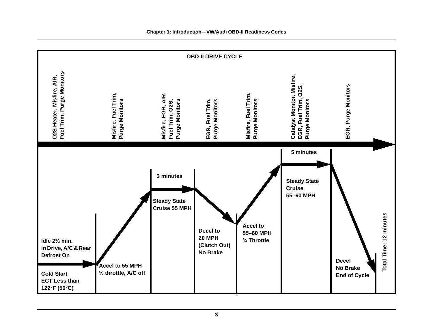

### <span id="page-9-0"></span>**Chapter 1: Introduction—VW/Audi OBD-II Readiness Codes**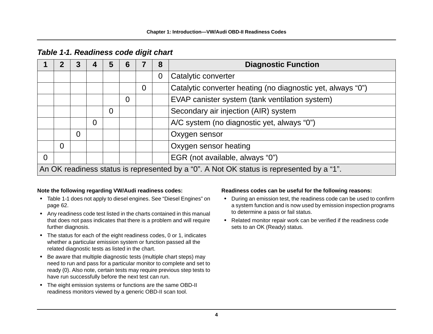|                                                                  | 2        | 3              |   | 5 | 6 |                | 8              | <b>Diagnostic Function</b>                                                               |  |  |  |
|------------------------------------------------------------------|----------|----------------|---|---|---|----------------|----------------|------------------------------------------------------------------------------------------|--|--|--|
|                                                                  |          |                |   |   |   |                | $\overline{0}$ | Catalytic converter                                                                      |  |  |  |
|                                                                  |          |                |   |   |   | $\overline{0}$ |                | Catalytic converter heating (no diagnostic yet, always "0")                              |  |  |  |
| EVAP canister system (tank ventilation system)<br>$\overline{0}$ |          |                |   |   |   |                |                |                                                                                          |  |  |  |
|                                                                  |          |                |   | 0 |   |                |                | Secondary air injection (AIR) system                                                     |  |  |  |
|                                                                  |          |                | 0 |   |   |                |                | A/C system (no diagnostic yet, always "0")                                               |  |  |  |
|                                                                  |          | $\overline{0}$ |   |   |   |                |                | Oxygen sensor                                                                            |  |  |  |
|                                                                  | $\Omega$ |                |   |   |   |                |                | Oxygen sensor heating                                                                    |  |  |  |
| $\overline{0}$                                                   |          |                |   |   |   |                |                | EGR (not available, always "0")                                                          |  |  |  |
|                                                                  |          |                |   |   |   |                |                | An OK readiness status is represented by a "0". A Not OK status is represented by a "1". |  |  |  |

## <span id="page-10-0"></span>*Table 1-1. Readiness code digit chart*

## **Note the following regarding VW/Audi readiness codes:**

- **•** [Table 1-1](#page-10-0) does not apply to diesel engines. See ["Diesel Engines" on](#page-68-3)  [page 62](#page-68-3).
- **•** Any readiness code test listed in the charts contained in this manual that does not pass indicates that there is a problem and will require further diagnosis.
- **•** The status for each of the eight readiness codes, 0 or 1, indicates whether a particular emission system or function passed all the related diagnostic tests as listed in the chart.
- **•** Be aware that multiple diagnostic tests (multiple chart steps) may need to run and pass for a particular monitor to complete and set to ready (0). Also note, certain tests may require previous step tests to have run successfully before the next test can run.
- **•** The eight emission systems or functions are the same OBD-II readiness monitors viewed by a generic OBD-II scan tool.

## **Readiness codes can be useful for the following reasons:**

- **•** During an emission test, the readiness code can be used to confirm a system function and is now used by emission inspection programs to determine a pass or fail status.
- **•** Related monitor repair work can be verified if the readiness code sets to an OK (Ready) status.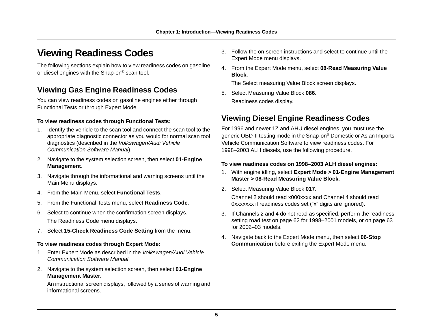# <span id="page-11-3"></span><span id="page-11-0"></span>**Viewing Readiness Codes**

The following sections explain how to view readiness codes on gasoline or diesel engines with the Snap-on® scan tool.

## <span id="page-11-1"></span>**Viewing Gas Engine Readiness Codes**

You can view readiness codes on gasoline engines either through Functional Tests or through Expert Mode.

## **To view readiness codes through Functional Tests:**

- 1. Identify the vehicle to the scan tool and connect the scan tool to the appropriate diagnostic connector as you would for normal scan tool diagnostics (described in the *Volkswagen/Audi Vehicle Communication Software Manual*).
- 2. Navigate to the system selection screen, then select **01-Engine Management**.
- 3. Navigate through the informational and warning screens until the Main Menu displays.
- 4. From the Main Menu, select **Functional Tests**.
- 5. From the Functional Tests menu, select **Readiness Code**.
- 6. Select to continue when the confirmation screen displays. The Readiness Code menu displays.
- 7. Select **15-Check Readiness Code Setting** from the menu.

## **To view readiness codes through Expert Mode:**

- 1. Enter Expert Mode as described in the *Volkswagen/Audi Vehicle Communication Software Manual*.
- 2. Navigate to the system selection screen, then select **01-Engine Management Master**.

An instructional screen displays, followed by a series of warning and informational screens.

- 3. Follow the on-screen instructions and select to continue until the Expert Mode menu displays.
- 4. From the Expert Mode menu, select **08-Read Measuring Value Block**.

The Select measuring Value Block screen displays.

5. Select Measuring Value Block **086**. Readiness codes display.

## <span id="page-11-2"></span>**Viewing Diesel Engine Readiness Codes**

For 1996 and newer 1Z and AHU diesel engines, you must use the generic OBD-II testing mode in the Snap-on® Domestic or Asian Imports Vehicle Communication Software to view readiness codes. For 1998–2003 ALH diesels, use the following procedure.

### **To view readiness codes on 1998–2003 ALH diesel engines:**

- 1. With engine idling, select **Expert Mode > 01-Engine Management Master > 08-Read Measuring Value Block**.
- 2. Select Measuring Value Block **017**.

Channel 2 should read x000xxxx and Channel 4 should read 0xxxxxxx if readiness codes set ("x" digits are ignored).

- 3. If Channels 2 and 4 do not read as specified, perform the readiness setting road test on [page 62](#page-68-4) for 1998–2001 models, or on [page 63](#page-69-1) for 2002–03 models.
- 4. Navigate back to the Expert Mode menu, then select **06-Stop Communication** before exiting the Expert Mode menu.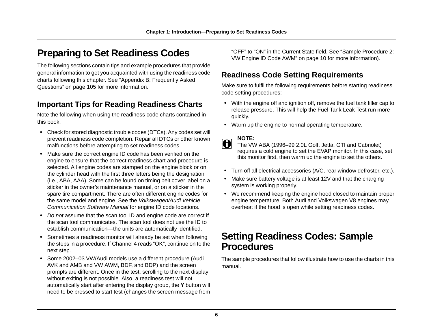# <span id="page-12-0"></span>**Preparing to Set Readiness Codes**

The following sections contain tips and example procedures that provide general information to get you acquainted with using the readiness code charts following this chapter. See ["Appendix B: Frequently Asked](#page-111-7)  [Questions" on page 105](#page-111-7) for more information.

## <span id="page-12-1"></span>**Important Tips for Reading Readiness Charts**

Note the following when using the readiness code charts contained in this book.

- **•** Check for stored diagnostic trouble codes (DTCs). Any codes set will prevent readiness code completion. Repair all DTCs or other known malfunctions before attempting to set readiness codes.
- **•** Make sure the correct engine ID code has been verified on the engine to ensure that the correct readiness chart and procedure is selected. All engine codes are stamped on the engine block or on the cylinder head with the first three letters being the designation (i.e., ABA, AAA). Some can be found on timing belt cover label on a sticker in the owner's maintenance manual, or on a sticker in the spare tire compartment. There are often different engine codes for the same model and engine. See the *Volkswagen/Audi Vehicle Communication Software Manual* for engine ID code locations.
- **•** *Do not* assume that the scan tool ID and engine code are correct if the scan tool communicates. The scan tool does not use the ID to establish communication—the units are automatically identified.
- **•** Sometimes a readiness monitor will already be set when following the steps in a procedure. If Channel 4 reads "OK", continue on to the next step.
- **•** Some 2002–03 VW/Audi models use a different procedure (Audi AVK and AMB and VW AWM, BDF, and BDP) and the screen prompts are different. Once in the test, scrolling to the next display without exiting is not possible. Also, a readiness test will not automatically start after entering the display group, the **Y** button will need to be pressed to start test (changes the screen message from

"OFF" to "ON" in the Current State field. See ["Sample Procedure 2:](#page-16-0)  [VW Engine ID Code AWM" on page 10](#page-16-0) for more information).

## <span id="page-12-4"></span><span id="page-12-2"></span>**Readiness Code Setting Requirements**

Make sure to fulfil the following requirements before starting readiness code setting procedures:

- **•** With the engine off and ignition off, remove the fuel tank filler cap to release pressure. This will help the Fuel Tank Leak Test run more quickly.
- **•** Warm up the engine to normal operating temperature.

**NOTE:**<br>The VW ABA (1996–99 2.0L Golf, Jetta, GTI and Cabriolet) requires a cold engine to set the EVAP monitor. In this case, set this monitor first, then warm up the engine to set the others.

- **•** Turn off all electrical accessories (A/C, rear window defroster, etc.).
- **•** Make sure battery voltage is at least 12V and that the charging system is working properly.
- **•** We recommend keeping the engine hood closed to maintain proper engine temperature. Both Audi and Volkswagen V8 engines may overheat if the hood is open while setting readiness codes.

## <span id="page-12-3"></span>**Setting Readiness Codes: Sample Procedures**

The sample procedures that follow illustrate how to use the charts in this manual.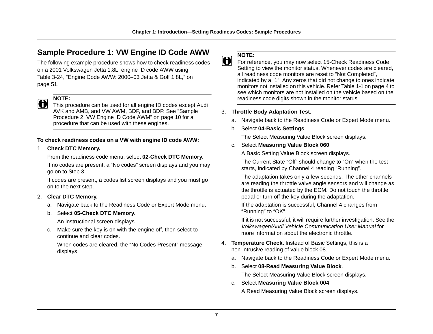## <span id="page-13-0"></span>**Sample Procedure 1: VW Engine ID Code AWW**

The following example procedure shows how to check readiness codes on a 2001 Volkswagen Jetta 1.8L, engine ID code AWW using [Table 3-24, "Engine Code AWW: 2000–03 Jetta & Golf 1.8L," on](#page-57-1)  [page 51](#page-57-1).



**NOTE:**<br>
This procedure can be used for all engine ID codes except Audi AVK and AMB, and VW AWM, BDF, and BDP. See ["Sample](#page-16-0)  [Procedure 2: VW Engine ID Code AWM" on page 10](#page-16-0) for a procedure that can be used with these engines.

### **To check readiness codes on a VW with engine ID code AWW:**

### 1. **Check DTC Memory.**

From the readiness code menu, select **02-Check DTC Memory**.

If no codes are present, a "No codes" screen displays and you may go on to Step 3.

If codes are present, a codes list screen displays and you must go on to the next step.

## 2. **Clear DTC Memory.**

a. Navigate back to the Readiness Code or Expert Mode menu.

### b. Select **05-Check DTC Memory**.

An instructional screen displays.

c. Make sure the key is on with the engine off, then select to continue and clear codes.

When codes are cleared, the "No Codes Present" message displays.

**NOTE: i i** For reference, you may now select 15-Check Readiness Code Setting to view the monitor status. Whenever codes are cleared, all readiness code monitors are reset to "Not Completed", indicated by a "1". Any zeros that did not change to ones indicate monitors not installed on this vehicle. Refer [Table 1-1 on page 4](#page-10-0) to see which monitors are not installed on the vehicle based on the readiness code digits shown in the monitor status.

## 3. **Throttle Body Adaptation Test**.

- a. Navigate back to the Readiness Code or Expert Mode menu.
- b. Select **04-Basic Settings**.

The Select Measuring Value Block screen displays.

## c. Select **Measuring Value Block 060**.

A Basic Setting Value Block screen displays.

The Current State "Off" should change to "On" when the test starts, indicated by Channel 4 reading "Running".

The adaptation takes only a few seconds. The other channels are reading the throttle valve angle sensors and will change as the throttle is actuated by the ECM. Do not touch the throttle pedal or turn off the key during the adaptation.

If the adaptation is successful, Channel 4 changes from "Running" to "OK".

If it is not successful, it will require further investigation. See the *Volkswagen/Audi Vehicle Communication User Manual* for more information about the electronic throttle.

- 4. **Temperature Check.** Instead of Basic Settings, this is a non-intrusive reading of value block 08.
	- a. Navigate back to the Readiness Code or Expert Mode menu.
	- b. Select **08-Read Measuring Value Block**.

The Select Measuring Value Block screen displays.

c. Select **Measuring Value Block 004**.

A Read Measuring Value Block screen displays.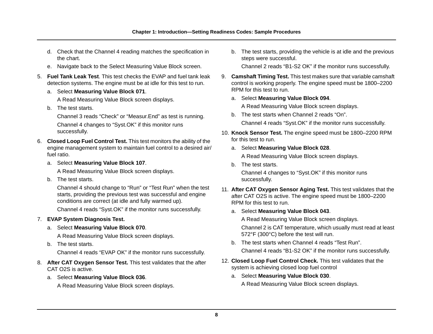- d. Check that the Channel 4 reading matches the specification in the chart.
- e. Navigate back to the Select Measuring Value Block screen.
- 5. **Fuel Tank Leak Test**. This test checks the EVAP and fuel tank leak detection systems. The engine must be at idle for this test to run.
	- a. Select **Measuring Value Block 071**.

A Read Measuring Value Block screen displays.

b. The test starts.

Channel 3 reads "Check" or "Measur.End" as test is running. Channel 4 changes to "Syst.OK" if this monitor runs successfully.

- 6. **Closed Loop Fuel Control Test.** This test monitors the ability of the engine management system to maintain fuel control to a desired air/ fuel ratio.
	- a. Select **Measuring Value Block 107**.

A Read Measuring Value Block screen displays.

b. The test starts.

Channel 4 should change to "Run" or "Test Run" when the test starts, providing the previous test was successful and engine conditions are correct (at idle and fully warmed up).

Channel 4 reads "Syst.OK" if the monitor runs successfully.

## 7. **EVAP System Diagnosis Test.**

a. Select **Measuring Value Block 070**.

A Read Measuring Value Block screen displays.

b. The test starts.

Channel 4 reads "EVAP OK" if the monitor runs successfully.

- 8. **After CAT Oxygen Sensor Test.** This test validates that the after CAT O2S is active.
	- a. Select **Measuring Value Block 036**.

A Read Measuring Value Block screen displays.

b. The test starts, providing the vehicle is at idle and the previous steps were successful.

Channel 2 reads "B1-S2 OK" if the monitor runs successfully.

- 9. **Camshaft Timing Test.** This test makes sure that variable camshaft control is working properly. The engine speed must be 1800–2200 RPM for this test to run.
	- a. Select **Measuring Value Block 094**.

A Read Measuring Value Block screen displays.

- b. The test starts when Channel 2 reads "On". Channel 4 reads "Syst.OK" if the monitor runs successfully.
- 10. **Knock Sensor Test.** The engine speed must be 1800–2200 RPM for this test to run.
	- a. Select **Measuring Value Block 028**.

A Read Measuring Value Block screen displays.

b. The test starts.

Channel 4 changes to "Syst.OK" if this monitor runs successfully.

- 11. **After CAT Oxygen Sensor Aging Test.** This test validates that the after CAT O2S is active. The engine speed must be 1800–2200 RPM for this test to run.
	- a. Select **Measuring Value Block 043**.

A Read Measuring Value Block screen displays.

Channel 2 is CAT temperature, which usually must read at least 572°F (300°C) before the test will run.

b. The test starts when Channel 4 reads "Test Run".

Channel 4 reads "B1-S2 OK" if the monitor runs successfully.

- 12. **Closed Loop Fuel Control Check.** This test validates that the system is achieving closed loop fuel control
	- a. Select **Measuring Value Block 030**.

A Read Measuring Value Block screen displays.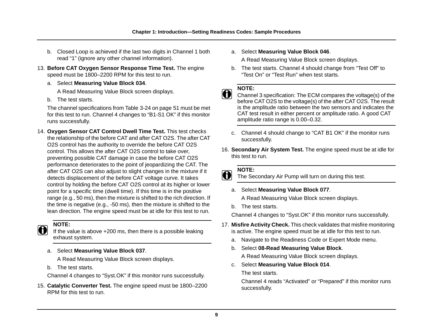- b. Closed Loop is achieved if the last two digits in Channel 1 both read "1" (ignore any other channel information).
- 13. **Before CAT Oxygen Sensor Response Time Test.** The engine speed must be 1800–2200 RPM for this test to run.
	- a. Select **Measuring Value Block 034**.

A Read Measuring Value Block screen displays.

b. The test starts.

The channel specifications from [Table 3-24 on page 51](#page-57-1) must be met for this test to run. Channel 4 changes to "B1-S1 OK" if this monitor runs successfully.

14. **Oxygen Sensor CAT Control Dwell Time Test.** This test checks the relationship of the before CAT and after CAT O2S. The after CAT O2S control has the authority to override the before CAT O2S control. This allows the after CAT O2S control to take over, preventing possible CAT damage in case the before CAT O2S performance deteriorates to the point of jeopardizing the CAT. The after CAT O2S can also adjust to slight changes in the mixture if it detects displacement of the before CAT voltage curve. It takes control by holding the before CAT O2S control at its higher or lower point for a specific time (dwell time). If this time is in the positive range (e.g., 50 ms), then the mixture is shifted to the rich direction. If the time is negative (e.g., -50 ms), then the mixture is shifted to the lean direction. The engine speed must be at idle for this test to run.

**NOTE:**<br>**i** If the value is above +200 ms, then there is a possible leaking exhaust system.

a. Select **Measuring Value Block 037**.

A Read Measuring Value Block screen displays.

b. The test starts.

Channel 4 changes to "Syst.OK" if this monitor runs successfully.

15. **Catalytic Converter Test.** The engine speed must be 1800–2200 RPM for this test to run.

a. Select **Measuring Value Block 046**.

A Read Measuring Value Block screen displays.

b. The test starts. Channel 4 should change from "Test Off" to "Test On" or "Test Run" when test starts.

**NOTE:**<br>**i** Channel 3 specification: The ECM compares the voltage(s) of the before CAT O2S to the voltage(s) of the after CAT O2S. The result is the amplitude ratio between the two sensors and indicates the CAT test result in either percent or amplitude ratio. A good CAT amplitude ratio range is 0.00–0.32.

- c. Channel 4 should change to "CAT B1 OK" if the monitor runs successfully.
- 16. **Secondary Air System Test.** The engine speed must be at idle for this test to run.

**NOTE: i** The Secondary Air Pump will turn on during this test.

a. Select **Measuring Value Block 077**.

A Read Measuring Value Block screen displays.

b. The test starts.

Channel 4 changes to "Syst.OK" if this monitor runs successfully.

- 17. **Misfire Activity Check.** This check validates that misfire monitoring is active. The engine speed must be at idle for this test to run.
	- a. Navigate to the Readiness Code or Expert Mode menu.
	- b. Select **08-Read Measuring Value Block**.
		- A Read Measuring Value Block screen displays.
	- c. Select **Measuring Value Block 014**. The test starts.

Channel 4 reads "Activated" or "Prepared" if this monitor runs successfully.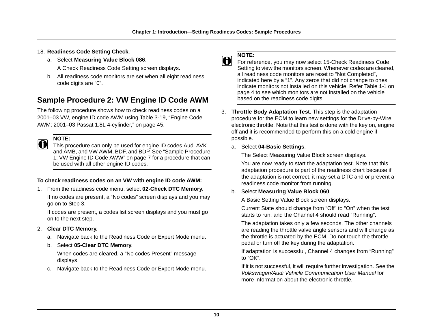## 18. **Readiness Code Setting Check**.

a. Select **Measuring Value Block 086**.

A Check Readiness Code Setting screen displays.

b. All readiness code monitors are set when all eight readiness code digits are "0".

## <span id="page-16-0"></span>**Sample Procedure 2: VW Engine ID Code AWM**

The following procedure shows how to check readiness codes on a 2001–03 VW, engine ID code AWM using [Table 3-19, "Engine Code](#page-51-1)  [AWM: 2001–03 Passat 1.8L 4-cylinder," on page 45.](#page-51-1)

**NOTE:**<br>This procedure can only be used for engine ID codes Audi AVK and AMB, and VW AWM, BDF, and BDP. See ["Sample Procedure](#page-13-0)  [1: VW Engine ID Code AWW" on page 7](#page-13-0) for a procedure that can be used with all other engine ID codes.

## **To check readiness codes on an VW with engine ID code AWM:**

1. From the readiness code menu, select **02-Check DTC Memory**.

If no codes are present, a "No codes" screen displays and you may go on to Step 3.

If codes are present, a codes list screen displays and you must go on to the next step.

- 2. **Clear DTC Memory.**
	- a. Navigate back to the Readiness Code or Expert Mode menu.
	- b. Select **05-Clear DTC Memory**.

When codes are cleared, a "No codes Present" message displays.

c. Navigate back to the Readiness Code or Expert Mode menu.



**NOTE:**<br> **i** For reference, you may now select 15-Check Readiness Code Setting to view the monitors screen. Whenever codes are cleared, all readiness code monitors are reset to "Not Completed", indicated here by a "1". Any zeros that did not change to ones indicate monitors not installed on this vehicle. Refer [Table 1-1 on](#page-10-0)  [page 4](#page-10-0) to see which monitors are not installed on the vehicle based on the readiness code digits.

- 3. **Throttle Body Adaptation Test.** This step is the adaptation procedure for the ECM to learn new settings for the Drive-by-Wire electronic throttle. Note that this test is done with the key on, engine off and it is recommended to perform this on a cold engine if possible.
	- a. Select **04-Basic Settings**.

The Select Measuring Value Block screen displays.

You are now ready to start the adaptation test. Note that this adaptation procedure is part of the readiness chart because if the adaptation is not correct, it may set a DTC and or prevent a readiness code monitor from running.

## b. Select **Measuring Value Block 060**.

A Basic Setting Value Block screen displays.

Current State should change from "Off" to "On" when the test starts to run, and the Channel 4 should read "Running".

The adaptation takes only a few seconds. The other channels are reading the throttle valve angle sensors and will change as the throttle is actuated by the ECM. Do not touch the throttle pedal or turn off the key during the adaptation.

If adaptation is successful, Channel 4 changes from "Running" to "OK".

If it is not successful, it will require further investigation. See the *Volkswagen/Audi Vehicle Communication User Manual* for more information about the electronic throttle.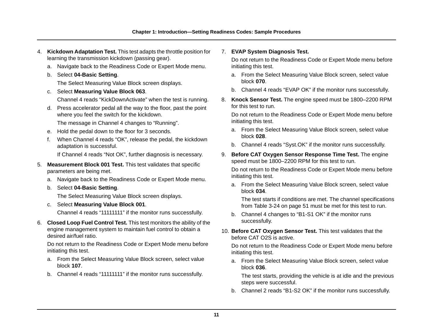- 4. **Kickdown Adaptation Test.** This test adapts the throttle position for learning the transmission kickdown (passing gear).
	- a. Navigate back to the Readiness Code or Expert Mode menu.
	- b. Select **04-Basic Setting**.

The Select Measuring Value Block screen displays.

c. Select **Measuring Value Block 063**.

Channel 4 reads "KickDownActivate" when the test is running.

d. Press accelerator pedal all the way to the floor, past the point where you feel the switch for the kickdown.

The message in Channel 4 changes to "Running".

- e. Hold the pedal down to the floor for 3 seconds.
- f. When Channel 4 reads "OK", release the pedal, the kickdown adaptation is successful.

If Channel 4 reads "Not OK", further diagnosis is necessary.

- 5. **Measurement Block 001 Test.** This test validates that specific parameters are being met.
	- a. Navigate back to the Readiness Code or Expert Mode menu.
	- b. Select **04-Basic Setting**.

The Select Measuring Value Block screen displays.

c. Select **Measuring Value Block 001**.

Channel 4 reads "11111111" if the monitor runs successfully.

6. **Closed Loop Fuel Control Test.** This test monitors the ability of the engine management system to maintain fuel control to obtain a desired air/fuel ratio.

Do not return to the Readiness Code or Expert Mode menu before initiating this test.

- a. From the Select Measuring Value Block screen, select value block **107**.
- b. Channel 4 reads "11111111" if the monitor runs successfully.

### 7. **EVAP System Diagnosis Test.**

Do not return to the Readiness Code or Expert Mode menu before initiating this test.

- a. From the Select Measuring Value Block screen, select value block **070**.
- b. Channel 4 reads "EVAP OK" if the monitor runs successfully.
- 8. **Knock Sensor Test.** The engine speed must be 1800–2200 RPM for this test to run.

Do not return to the Readiness Code or Expert Mode menu before initiating this test.

- a. From the Select Measuring Value Block screen, select value block **028**.
- b. Channel 4 reads "Syst.OK" if the monitor runs successfully.
- 9. **Before CAT Oxygen Sensor Response Time Test.** The engine speed must be 1800–2200 RPM for this test to run.

Do not return to the Readiness Code or Expert Mode menu before initiating this test.

a. From the Select Measuring Value Block screen, select value block **034**.

The test starts if conditions are met. The channel specifications from [Table 3-24 on page 51](#page-57-1) must be met for this test to run.

- b. Channel 4 changes to "B1-S1 OK" if the monitor runs successfully.
- 10. **Before CAT Oxygen Sensor Test.** This test validates that the before CAT O2S is active.

Do not return to the Readiness Code or Expert Mode menu before initiating this test.

a. From the Select Measuring Value Block screen, select value block **036**.

The test starts, providing the vehicle is at idle and the previous steps were successful.

b. Channel 2 reads "B1-S2 OK" if the monitor runs successfully.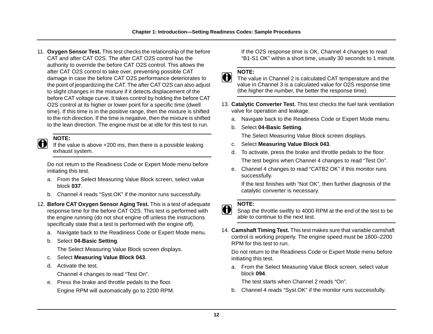11. **Oxygen Sensor Test.** This test checks the relationship of the before CAT and after CAT O2S. The after CAT O2S control has the authority to override the before CAT O2S control. This allows the after CAT O2S control to take over, preventing possible CAT damage in case the before CAT O2S performance deteriorates to the point of jeopardizing the CAT. The after CAT O2S can also adjust to slight changes in the mixture if it detects displacement of the before CAT voltage curve. It takes control by holding the before CAT O2S control at its higher or lower point for a specific time (dwell time). If this time is in the positive range, then the mixture is shifted to the rich direction. If the time is negative, then the mixture is shifted to the lean direction. The engine must be at idle for this test to run.

**NOTE:**<br>If the value is above +200 ms, then there is a possible leaking exhaust system.

Do not return to the Readiness Code or Expert Mode menu before initiating this test.

- a. From the Select Measuring Value Block screen, select value block **037**.
- b. Channel 4 reads "Syst.OK" if the monitor runs successfully.
- 12. **Before CAT Oxygen Sensor Aging Test.** This is a test of adequate response time for the before CAT O2S. This test is performed with the engine running (do not shut engine off unless the instructions specifically state that a test is performed with the engine off).
	- a. Navigate back to the Readiness Code or Expert Mode menu.
	- b. Select **04-Basic Setting**.

The Select Measuring Value Block screen displays.

- c. Select **Measuring Value Block 043**.
- d. Activate the test.

Channel 4 changes to read "Test On".

e. Press the brake and throttle pedals to the floor. Engine RPM will automatically go to 2200 RPM. If the O2S response time is OK, Channel 4 changes to read "B1-S1 OK" within a short time, usually 30 seconds to 1 minute.

**NOTE:**<br>**i** The value in Channel 2 is calculated CAT temperature and the value in Channel 3 is a calculated value for O2S response time (the higher the number, the better the response time).

- 13. **Catalytic Converter Test.** This test checks the fuel tank ventilation valve for operation and leakage.
	- a. Navigate back to the Readiness Code or Expert Mode menu.
	- b. Select **04-Basic Setting**.

The Select Measuring Value Block screen displays.

- c. Select **Measuring Value Block 043**.
- d. To activate, press the brake and throttle pedals to the floor. The test begins when Channel 4 changes to read "Test On".
- e. Channel 4 changes to read "CATB2 OK" if this monitor runs successfully.

If the test finishes with "Not OK", then further diagnosis of the catalytic converter is necessary.

**NOTE:**<br>Shap the throttle swiftly to 4000 RPM at the end of the test to be able to continue to the next test.

14. **Camshaft Timing Test.** This test makes sure that variable camshaft control is working properly. The engine speed must be 1800–2200 RPM for this test to run.

Do not return to the Readiness Code or Expert Mode menu before initiating this test.

a. From the Select Measuring Value Block screen, select value block **094**.

The test starts when Channel 2 reads "On".

b. Channel 4 reads "Syst.OK" if the monitor runs successfully.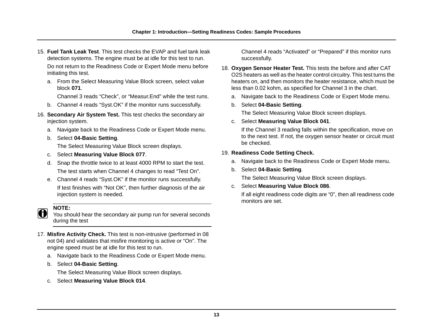15. **Fuel Tank Leak Test**. This test checks the EVAP and fuel tank leak detection systems. The engine must be at idle for this test to run.

Do not return to the Readiness Code or Expert Mode menu before initiating this test.

a. From the Select Measuring Value Block screen, select value block **071**.

Channel 3 reads "Check", or "Measur.End" while the test runs.

- b. Channel 4 reads "Syst.OK" if the monitor runs successfully.
- 16. **Secondary Air System Test.** This test checks the secondary air injection system.
	- a. Navigate back to the Readiness Code or Expert Mode menu.
	- b. Select **04-Basic Setting**.

The Select Measuring Value Block screen displays.

- c. Select **Measuring Value Block 077**.
- d. Snap the throttle twice to at least 4000 RPM to start the test. The test starts when Channel 4 changes to read "Test On".
- e. Channel 4 reads "Syst.OK" if the monitor runs successfully. If test finishes with "Not OK", then further diagnosis of the air injection system is needed.

**NOTE: i** You should hear the secondary air pump run for several seconds during the test

- 17. **Misfire Activity Check.** This test is non-intrusive (performed in 08 not 04) and validates that misfire monitoring is active or "On". The engine speed must be at idle for this test to run.
	- a. Navigate back to the Readiness Code or Expert Mode menu.
	- b. Select **04-Basic Setting**.

The Select Measuring Value Block screen displays.

c. Select **Measuring Value Block 014**.

Channel 4 reads "Activated" or "Prepared" if this monitor runs successfully.

- 18. **Oxygen Sensor Heater Test.** This tests the before and after CAT O2S heaters as well as the heater control circuitry. This test turns the heaters on, and then monitors the heater resistance, which must be less than 0.02 kohm, as specified for Channel 3 in the chart.
	- a. Navigate back to the Readiness Code or Expert Mode menu.
	- b. Select **04-Basic Setting**.

The Select Measuring Value Block screen displays.

c. Select **Measuring Value Block 041**.

If the Channel 3 reading falls within the specification, move on to the next test. If not, the oxygen sensor heater or circuit must be checked.

## 19. **Readiness Code Setting Check.**

- a. Navigate back to the Readiness Code or Expert Mode menu.
- b. Select **04-Basic Setting**.

The Select Measuring Value Block screen displays.

## c. Select **Measuring Value Block 086**.

If all eight readiness code digits are "0", then all readiness code monitors are set.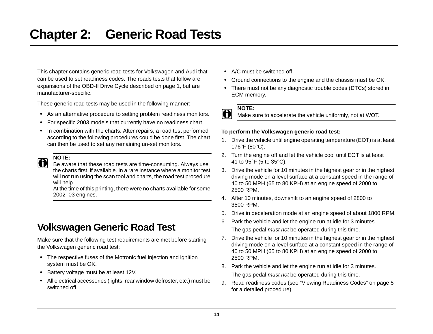<span id="page-20-0"></span>This chapter contains generic road tests for Volkswagen and Audi that can be used to set readiness codes. The roads tests that follow are expansions of the OBD-II Drive Cycle described on [page 1,](#page-7-4) but are manufacturer-specific.

These generic road tests may be used in the following manner:

- **•** As an alternative procedure to setting problem readiness monitors.
- **•** For specific 2003 models that currently have no readiness chart.
- **•** In combination with the charts. After repairs, a road test performed according to the following procedures could be done first. The chart can then be used to set any remaining un-set monitors.

**NOTE:**<br>Be aware that these road tests are time-consuming. Always use the charts first, if available. In a rare instance where a monitor test will not run using the scan tool and charts, the road test procedure will help.

At the time of this printing, there were no charts available for some 2002–03 engines.

# <span id="page-20-2"></span><span id="page-20-1"></span>**Volkswagen Generic Road Test**

Make sure that the following test requirements are met before starting the Volkswagen generic road test:

- **•** The respective fuses of the Motronic fuel injection and ignition system must be OK.
- **•** Battery voltage must be at least 12V.
- **•** All electrical accessories (lights, rear window defroster, etc.) must be switched off.
- **•** A/C must be switched off.
- **•** Ground connections to the engine and the chassis must be OK.
- **•** There must not be any diagnostic trouble codes (DTCs) stored in ECM memory.

## **To perform the Volkswagen generic road test:**

- 1. Drive the vehicle until engine operating temperature (EOT) is at least 176°F (80°C).
- 2. Turn the engine off and let the vehicle cool until EOT is at least 41 to 95°F (5 to 35°C).
- 3. Drive the vehicle for 10 minutes in the highest gear or in the highest driving mode on a level surface at a constant speed in the range of 40 to 50 MPH (65 to 80 KPH) at an engine speed of 2000 to 2500 RPM.
- 4. After 10 minutes, downshift to an engine speed of 2800 to 3500 RPM.
- 5. Drive in deceleration mode at an engine speed of about 1800 RPM.
- 6. Park the vehicle and let the engine run at idle for 3 minutes. The gas pedal *must not* be operated during this time.
- 7. Drive the vehicle for 10 minutes in the highest gear or in the highest driving mode on a level surface at a constant speed in the range of 40 to 50 MPH (65 to 80 KPH) at an engine speed of 2000 to 2500 RPM.
- 8. Park the vehicle and let the engine run at idle for 3 minutes. The gas pedal *must not* be operated during this time.
- 9. Read readiness codes (see ["Viewing Readiness Codes" on page 5](#page-11-3) for a detailed procedure).

**NOTE:**<br>**i** Make sure to accelerate the vehicle uniformly, not at WOT.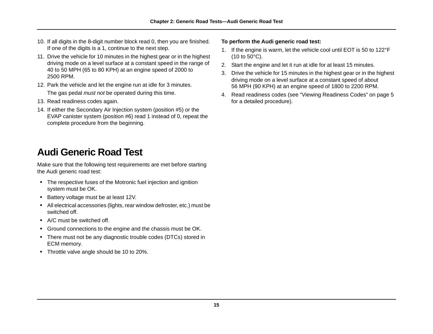- 10. If all digits in the 8-digit number block read 0, then you are finished. If one of the digits is a 1, continue to the next step.
- 11. Drive the vehicle for 10 minutes in the highest gear or in the highest driving mode on a level surface at a constant speed in the range of 40 to 50 MPH (65 to 80 KPH) at an engine speed of 2000 to 2500 RPM.
- 12. Park the vehicle and let the engine run at idle for 3 minutes. The gas pedal *must not* be operated during this time.
- 13. Read readiness codes again.
- 14. If either the Secondary Air Injection system (position #5) or the EVAP canister system (position #6) read 1 instead of 0, repeat the complete procedure from the beginning.

# <span id="page-21-0"></span>**Audi Generic Road Test**

Make sure that the following test requirements are met before starting the Audi generic road test:

- **•** The respective fuses of the Motronic fuel injection and ignition system must be OK.
- **•** Battery voltage must be at least 12V.
- **•** All electrical accessories (lights, rear window defroster, etc.) must be switched off.
- **•** A/C must be switched off.
- **•** Ground connections to the engine and the chassis must be OK.
- **•** There must not be any diagnostic trouble codes (DTCs) stored in ECM memory.
- **•** Throttle valve angle should be 10 to 20%.

### **To perform the Audi generic road test:**

- 1. If the engine is warm, let the vehicle cool until EOT is 50 to 122°F (10 to 50°C).
- 2. Start the engine and let it run at idle for at least 15 minutes.
- 3. Drive the vehicle for 15 minutes in the highest gear or in the highest driving mode on a level surface at a constant speed of about 56 MPH (90 KPH) at an engine speed of 1800 to 2200 RPM.
- 4. Read readiness codes (see ["Viewing Readiness Codes" on page 5](#page-11-3) for a detailed procedure).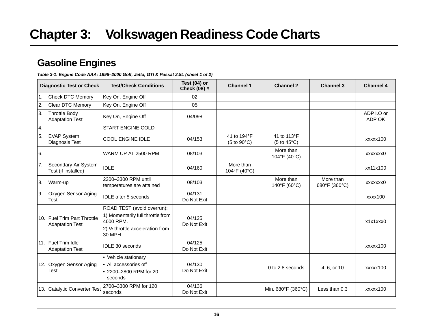## <span id="page-22-1"></span><span id="page-22-0"></span>**Gasoline Engines**

<span id="page-22-2"></span>*Table 3-1. Engine Code AAA: 1996–2000 Golf, Jetta, GTI & Passat 2.8L (sheet 1 of 2)*

|    | <b>Diagnostic Test or Check</b>                | <b>Test/Check Conditions</b>                                                 | Test $(04)$ or<br>Check (08) # | <b>Channel 1</b>                                    | <b>Channel 2</b>                                    | <b>Channel 3</b>           | <b>Channel 4</b>     |
|----|------------------------------------------------|------------------------------------------------------------------------------|--------------------------------|-----------------------------------------------------|-----------------------------------------------------|----------------------------|----------------------|
| 1. | <b>Check DTC Memory</b>                        | Key On, Engine Off                                                           | 02                             |                                                     |                                                     |                            |                      |
| 2. | <b>Clear DTC Memory</b>                        | Key On, Engine Off                                                           | 05                             |                                                     |                                                     |                            |                      |
| 3. | <b>Throttle Body</b><br><b>Adaptation Test</b> | Key On, Engine Off                                                           | 04/098                         |                                                     |                                                     |                            | ADP I.O or<br>ADP OK |
| 4. |                                                | <b>START ENGINE COLD</b>                                                     |                                |                                                     |                                                     |                            |                      |
| 5. | <b>EVAP System</b><br>Diagnosis Test           | <b>COOL ENGINE IDLE</b>                                                      | 04/153                         | 41 to 194°F<br>$(5 \text{ to } 90^{\circ}\text{C})$ | 41 to 113°F<br>$(5 \text{ to } 45^{\circ}\text{C})$ |                            | xxxxx100             |
| 6. |                                                | WARM UP AT 2500 RPM                                                          | 08/103                         |                                                     | More than<br>104°F (40°C)                           |                            | xxxxxxx0             |
| 7. | Secondary Air System<br>Test (if installed)    | <b>IDLE</b>                                                                  | 04/160                         | More than<br>104°F (40°C)                           |                                                     |                            | xx11x100             |
| 8. | Warm-up                                        | 2200-3300 RPM until<br>temperatures are attained                             | 08/103                         |                                                     | More than<br>140°F (60°C)                           | More than<br>680°F (360°C) | xxxxxxx0             |
| 9. | Oxygen Sensor Aging<br><b>Test</b>             | <b>IDLE</b> after 5 seconds                                                  | 04/131<br>Do Not Exit          |                                                     |                                                     |                            | xxxx100              |
|    | 10. Fuel Trim Part Throttle                    | ROAD TEST (avoid overrun):<br>1) Momentarily full throttle from<br>4600 RPM. | 04/125                         |                                                     |                                                     |                            | x1x1xxx0             |
|    | <b>Adaptation Test</b>                         | 2) 1/2 throttle acceleration from<br>30 MPH.                                 | Do Not Exit                    |                                                     |                                                     |                            |                      |
|    | 11. Fuel Trim Idle<br><b>Adaptation Test</b>   | IDLE 30 seconds                                                              | 04/125<br>Do Not Exit          |                                                     |                                                     |                            | xxxxx100             |
|    | 12. Oxygen Sensor Aging                        | • Vehicle stationary<br>• All accessories off                                | 04/130                         |                                                     |                                                     |                            |                      |
|    | <b>Test</b>                                    | • 2200-2800 RPM for 20<br>seconds                                            | Do Not Exit                    |                                                     | 0 to 2.8 seconds                                    | 4, 6, or 10                | xxxxx100             |
|    | 13. Catalytic Converter Test                   | 2700-3300 RPM for 120<br>seconds                                             | 04/136<br>Do Not Exit          |                                                     | Min. 680°F (360°C)                                  | Less than 0.3              | xxxxx100             |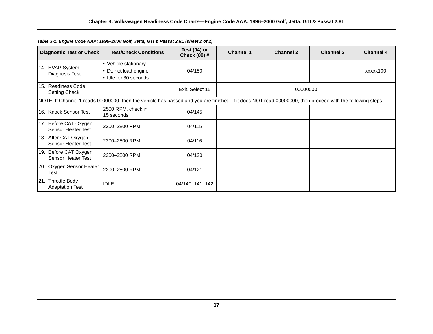| <b>Diagnostic Test or Check</b>                       | <b>Test/Check Conditions</b>                                                                                                                              | Test $(04)$ or<br><b>Check (08) #</b> | <b>Channel 1</b> | <b>Channel 2</b> | <b>Channel 3</b> | <b>Channel 4</b> |  |
|-------------------------------------------------------|-----------------------------------------------------------------------------------------------------------------------------------------------------------|---------------------------------------|------------------|------------------|------------------|------------------|--|
| 14. EVAP System                                       | • Vehicle stationary                                                                                                                                      |                                       |                  |                  |                  |                  |  |
| Diagnosis Test                                        | • Do not load engine                                                                                                                                      | 04/150                                |                  |                  |                  | xxxxx100         |  |
|                                                       | l• Idle for 30 seconds                                                                                                                                    |                                       |                  |                  |                  |                  |  |
| 15. Readiness Code<br><b>Setting Check</b>            |                                                                                                                                                           | Exit, Select 15                       |                  | 00000000         |                  |                  |  |
|                                                       | NOTE: If Channel 1 reads 00000000, then the vehicle has passed and you are finished. If it does NOT read 00000000, then proceed with the following steps. |                                       |                  |                  |                  |                  |  |
| 16. Knock Sensor Test                                 | 2500 RPM, check in<br>15 seconds                                                                                                                          | 04/145                                |                  |                  |                  |                  |  |
| 17. Before CAT Oxygen<br><b>Sensor Heater Test</b>    | 2200-2800 RPM                                                                                                                                             | 04/115                                |                  |                  |                  |                  |  |
| 18. After CAT Oxygen<br><b>Sensor Heater Test</b>     | 2200-2800 RPM                                                                                                                                             | 04/116                                |                  |                  |                  |                  |  |
| 19. Before CAT Oxygen<br><b>Sensor Heater Test</b>    | 2200-2800 RPM                                                                                                                                             | 04/120                                |                  |                  |                  |                  |  |
| 20. Oxygen Sensor Heater<br>Test                      | 2200-2800 RPM                                                                                                                                             | 04/121                                |                  |                  |                  |                  |  |
| <b>Throttle Body</b><br>21.<br><b>Adaptation Test</b> | <b>IDLE</b>                                                                                                                                               | 04/140, 141, 142                      |                  |                  |                  |                  |  |

### *Table 3-1. Engine Code AAA: 1996–2000 Golf, Jetta, GTI & Passat 2.8L (sheet 2 of 2)*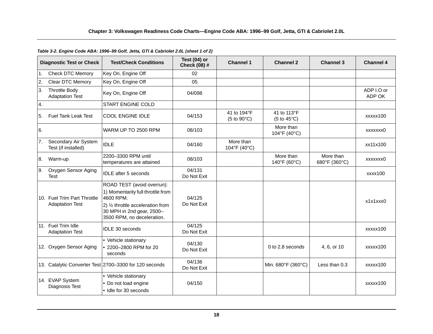|    | <b>Diagnostic Test or Check</b>                       | <b>Test/Check Conditions</b>                                                                                                                                                             | Test (04) or<br><b>Check (08) #</b> | <b>Channel 1</b>                    | <b>Channel 2</b>                                    | <b>Channel 3</b>           | <b>Channel 4</b>     |
|----|-------------------------------------------------------|------------------------------------------------------------------------------------------------------------------------------------------------------------------------------------------|-------------------------------------|-------------------------------------|-----------------------------------------------------|----------------------------|----------------------|
| 1. | <b>Check DTC Memory</b>                               | Key On, Engine Off                                                                                                                                                                       | 02                                  |                                     |                                                     |                            |                      |
| 2. | Clear DTC Memory                                      | Key On, Engine Off                                                                                                                                                                       | 05                                  |                                     |                                                     |                            |                      |
| 3. | <b>Throttle Body</b><br><b>Adaptation Test</b>        | Key On, Engine Off                                                                                                                                                                       | 04/098                              |                                     |                                                     |                            | ADP I.O or<br>ADP OK |
| 4. |                                                       | <b>START ENGINE COLD</b>                                                                                                                                                                 |                                     |                                     |                                                     |                            |                      |
| 5. | <b>Fuel Tank Leak Test</b>                            | <b>COOL ENGINE IDLE</b>                                                                                                                                                                  | 04/153                              | 41 to 194°F<br>$(5 to 90^{\circ}C)$ | 41 to 113°F<br>$(5 \text{ to } 45^{\circ}\text{C})$ |                            | xxxxx100             |
| 6. |                                                       | WARM UP TO 2500 RPM                                                                                                                                                                      | 08/103                              |                                     | More than<br>104°F (40°C)                           |                            | xxxxxxx0             |
| 7. | Secondary Air System<br>Test (if installed)           | <b>IDLE</b>                                                                                                                                                                              | 04/160                              | More than<br>104°F (40°C)           |                                                     |                            | xx11x100             |
| 8. | Warm-up                                               | 2200-3300 RPM until<br>temperatures are attained                                                                                                                                         | 08/103                              |                                     | More than<br>140°F (60°C)                           | More than<br>680°F (360°C) | xxxxxxx0             |
| 9. | Oxygen Sensor Aging<br><b>Test</b>                    | <b>IDLE</b> after 5 seconds                                                                                                                                                              | 04/131<br>Do Not Exit               |                                     |                                                     |                            | xxxx100              |
|    | 10. Fuel Trim Part Throttle<br><b>Adaptation Test</b> | ROAD TEST (avoid overrun):<br>1) Momentarily full throttle from<br>4600 RPM.<br>2) 1/ <sub>2</sub> throttle acceleration from<br>30 MPH in 2nd gear, 2500-<br>3500 RPM, no deceleration. | 04/125<br>Do Not Exit               |                                     |                                                     |                            | x1x1xxx0             |
|    | 11. Fuel Trim Idle<br><b>Adaptation Test</b>          | IDLE 30 seconds                                                                                                                                                                          | 04/125<br>Do Not Exit               |                                     |                                                     |                            | xxxxx100             |
|    | 12. Oxygen Sensor Aging                               | • Vehicle stationary<br>2200-2800 RPM for 20<br>seconds                                                                                                                                  | 04/130<br>Do Not Exit               |                                     | 0 to 2.8 seconds                                    | 4, 6, or 10                | xxxxx100             |
|    |                                                       | 13. Catalytic Converter Test 2700-3300 for 120 seconds                                                                                                                                   | 04/136<br>Do Not Exit               |                                     | Min. 680°F (360°C)                                  | Less than 0.3              | xxxxx100             |
|    | 14. EVAP System<br><b>Diagnosis Test</b>              | • Vehicle stationary<br>Do not load engine<br>· Idle for 30 seconds                                                                                                                      | 04/150                              |                                     |                                                     |                            | xxxxx100             |

### <span id="page-24-0"></span>*Table 3-2. Engine Code ABA: 1996–99 Golf, Jetta, GTI & Cabriolet 2.0L (sheet 1 of 2)*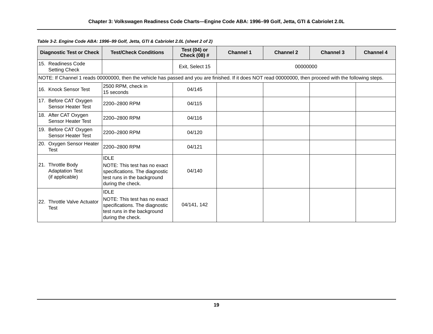| <b>Diagnostic Test or Check</b>                                | <b>Test/Check Conditions</b>                                                                                                                              | Test (04) or<br><b>Check (08) #</b> | <b>Channel 1</b> | <b>Channel 2</b> | <b>Channel 3</b> | <b>Channel 4</b> |
|----------------------------------------------------------------|-----------------------------------------------------------------------------------------------------------------------------------------------------------|-------------------------------------|------------------|------------------|------------------|------------------|
| 15. Readiness Code<br>Setting Check                            |                                                                                                                                                           | Exit, Select 15                     | 00000000         |                  |                  |                  |
|                                                                | NOTE: If Channel 1 reads 00000000, then the vehicle has passed and you are finished. If it does NOT read 00000000, then proceed with the following steps. |                                     |                  |                  |                  |                  |
| 16. Knock Sensor Test                                          | 2500 RPM, check in<br>15 seconds                                                                                                                          | 04/145                              |                  |                  |                  |                  |
| 17. Before CAT Oxygen<br>Sensor Heater Test                    | 2200-2800 RPM                                                                                                                                             | 04/115                              |                  |                  |                  |                  |
| 18. After CAT Oxygen<br>Sensor Heater Test                     | 2200-2800 RPM                                                                                                                                             | 04/116                              |                  |                  |                  |                  |
| 19. Before CAT Oxygen<br>Sensor Heater Test                    | 2200-2800 RPM                                                                                                                                             | 04/120                              |                  |                  |                  |                  |
| 20. Oxygen Sensor Heater<br>Test                               | 2200-2800 RPM                                                                                                                                             | 04/121                              |                  |                  |                  |                  |
| 21. Throttle Body<br><b>Adaptation Test</b><br>(if applicable) | <b>IDLE</b><br>NOTE: This test has no exact<br>specifications. The diagnostic<br>test runs in the background<br>during the check.                         | 04/140                              |                  |                  |                  |                  |
| 22. Throttle Valve Actuator<br>Test                            | <b>IDLE</b><br>NOTE: This test has no exact<br>specifications. The diagnostic<br>test runs in the background<br>during the check.                         | 04/141, 142                         |                  |                  |                  |                  |

*Table 3-2. Engine Code ABA: 1996–99 Golf, Jetta, GTI & Cabriolet 2.0L (sheet 2 of 2)*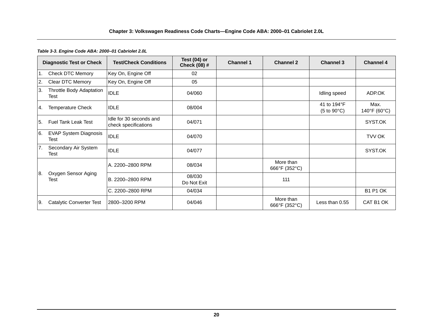### **Chapter 3: Volkswagen Readiness Code Charts—Engine Code ABA: 2000–01 Cabriolet 2.0L**

### <span id="page-26-0"></span>*Table 3-3. Engine Code ABA: 2000–01 Cabriolet 2.0L*

|     | <b>Diagnostic Test or Check</b>      | <b>Test/Check Conditions</b>                    | Test (04) or<br>Check (08) # | <b>Channel 1</b> | <b>Channel 2</b>           | <b>Channel 3</b>                                    | <b>Channel 4</b>                          |
|-----|--------------------------------------|-------------------------------------------------|------------------------------|------------------|----------------------------|-----------------------------------------------------|-------------------------------------------|
| 1.  | Check DTC Memory                     | Key On, Engine Off                              | 02                           |                  |                            |                                                     |                                           |
| 2.  | Clear DTC Memory                     | Key On, Engine Off                              | 05                           |                  |                            |                                                     |                                           |
| ΙЗ. | Throttle Body Adaptation<br>Test     | <b>IDLE</b>                                     | 04/060                       |                  |                            | Idling speed                                        | ADP.OK                                    |
| 4.  | <b>Temperature Check</b>             | <b>IDLE</b>                                     | 08/004                       |                  |                            | 41 to 194°F<br>$(5 \text{ to } 90^{\circ}\text{C})$ | Max.<br>$140^{\circ}$ F (60 $^{\circ}$ C) |
| 5.  | Fuel Tank Leak Test                  | Idle for 30 seconds and<br>check specifications | 04/071                       |                  |                            |                                                     | SYST.OK                                   |
| 6.  | <b>EVAP System Diagnosis</b><br>Test | <b>IDLE</b>                                     | 04/070                       |                  |                            |                                                     | TVV OK                                    |
| 7.  | Secondary Air System<br>Test         | <b>IDLE</b>                                     | 04/077                       |                  |                            |                                                     | SYST.OK                                   |
|     |                                      | A. 2200-2800 RPM                                | 08/034                       |                  | More than<br>666°F (352°C) |                                                     |                                           |
| 8.  | Oxygen Sensor Aging<br>Test          | B. 2200-2800 RPM                                | 08/030<br>Do Not Exit        |                  | 111                        |                                                     |                                           |
|     |                                      | C. 2200-2800 RPM                                | 04/034                       |                  |                            |                                                     | <b>B1 P1 OK</b>                           |
| I9. | Catalytic Converter Test             | 2800-3200 RPM                                   | 04/046                       |                  | More than<br>666°F (352°C) | Less than 0.55                                      | CAT B1 OK                                 |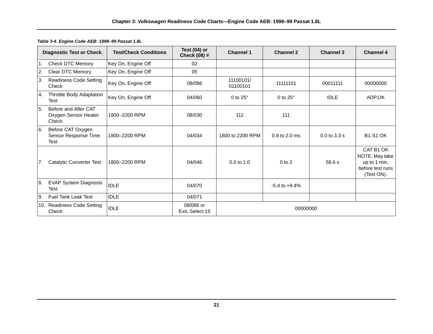|                  | <b>Diagnostic Test or Check</b>                       | <b>Test/Check Conditions</b> | Test $(04)$ or<br>Check (08) # | <b>Channel 1</b>      | <b>Channel 2</b>   | <b>Channel 3</b> | <b>Channel 4</b>                                                              |
|------------------|-------------------------------------------------------|------------------------------|--------------------------------|-----------------------|--------------------|------------------|-------------------------------------------------------------------------------|
| <b>11.</b>       | <b>Check DTC Memory</b>                               | Key On, Engine Off           | 02                             |                       |                    |                  |                                                                               |
| 2.               | Clear DTC Memory                                      | Key On, Engine Off           | 05                             |                       |                    |                  |                                                                               |
| 3.               | <b>Readiness Code Setting</b><br>Check                | Key On, Engine Off           | 08/086                         | 11100101/<br>01100101 | 11111101           | 00011111         | 00000000                                                                      |
| $\overline{A}$ . | Throttle Body Adaptation<br>Test                      | Key On, Engine Off           | 04/060                         | 0 to $25^\circ$       | 0 to $25^\circ$    | <b>IDLE</b>      | ADP.OK                                                                        |
| 5.               | Before and After CAT<br>Oxygen Sensor Heater<br>Check | 1800-2200 RPM                | 08/030                         | 111                   | 111                |                  |                                                                               |
| 6.               | Before CAT Oxygen<br>Sensor Response Time<br>Test     | 1800-2200 RPM                | 04/034                         | 1800 to 2200 RPM      | 0.8 to 2.0 ms      | $0.0$ to $3.3$ s | <b>B1-S1 OK</b>                                                               |
| 17.              | <b>Catalytic Converter Test</b>                       | 1800-2200 RPM                | 04/046                         | $0.0$ to 1.0          | $0$ to $2$         | 58.6 s           | CAT B1 OK<br>NOTE: May take<br>up to 1 min.<br>before test runs<br>(Test ON). |
| 8.               | <b>EVAP System Diagnosis</b><br>Test                  | <b>IDLE</b>                  | 04/070                         |                       | $-5.4$ to $+9.4\%$ |                  |                                                                               |
| <b>9.</b>        | <b>Fuel Tank Leak Test</b>                            | <b>IDLE</b>                  | 04/071                         |                       |                    |                  |                                                                               |
|                  | 10. Readiness Code Setting<br>Check                   | <b>IDLE</b>                  | 08/086 or<br>Exit, Select 15   |                       | 00000000           |                  |                                                                               |

### <span id="page-27-0"></span>*Table 3-4. Engine Code AEB: 1998–99 Passat 1.8L*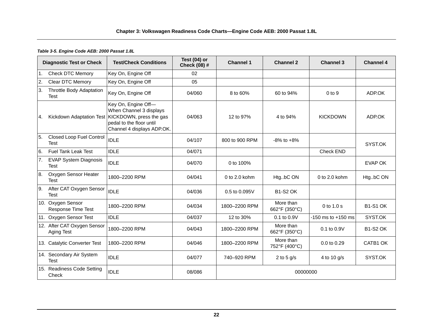### <span id="page-28-0"></span>*Table 3-5. Engine Code AEB: 2000 Passat 1.8L*

|                  | <b>Diagnostic Test or Check</b>                | <b>Test/Check Conditions</b>                                                                                                                                   | Test (04) or<br>Check (08) # | <b>Channel 1</b> | <b>Channel 2</b>           | <b>Channel 3</b>       | <b>Channel 4</b>     |
|------------------|------------------------------------------------|----------------------------------------------------------------------------------------------------------------------------------------------------------------|------------------------------|------------------|----------------------------|------------------------|----------------------|
| l1.              | <b>Check DTC Memory</b>                        | Key On, Engine Off                                                                                                                                             | 02                           |                  |                            |                        |                      |
| $\overline{2}$ . | <b>Clear DTC Memory</b>                        | Key On, Engine Off                                                                                                                                             | 05                           |                  |                            |                        |                      |
| 3.               | Throttle Body Adaptation<br>Test               | Key On, Engine Off                                                                                                                                             | 04/060                       | 8 to 60%         | 60 to 94%                  | $0$ to $9$             | ADP.OK               |
| 4.               |                                                | Key On, Engine Off-<br>When Channel 3 displays<br>Kickdown Adaptation Test   KICKDOWN, press the gas<br>pedal to the floor until<br>Channel 4 displays ADP.OK. | 04/063                       | 12 to 97%        | 4 to 94%                   | <b>KICKDOWN</b>        | ADP.OK               |
| 5.               | <b>Closed Loop Fuel Control</b><br><b>Test</b> | <b>IDLE</b>                                                                                                                                                    | 04/107                       | 800 to 900 RPM   | $-8\%$ to $+8\%$           |                        | SYST.OK              |
| 6.               | <b>Fuel Tank Leak Test</b>                     | <b>IDLE</b>                                                                                                                                                    | 04/071                       |                  |                            | <b>Check END</b>       |                      |
| 7.               | <b>EVAP System Diagnosis</b><br><b>Test</b>    | <b>IDLE</b>                                                                                                                                                    | 04/070                       | 0 to 100%        |                            |                        | <b>EVAP OK</b>       |
| 8.               | Oxygen Sensor Heater<br><b>Test</b>            | 1800-2200 RPM                                                                                                                                                  | 04/041                       | 0 to $2.0$ kohm  | HtgbC ON                   | 0 to $2.0$ kohm        | HtgbC ON             |
| 9.               | After CAT Oxygen Sensor<br><b>Test</b>         | <b>IDLE</b>                                                                                                                                                    | 04/036                       | 0.5 to 0.095V    | <b>B1-S2 OK</b>            |                        |                      |
|                  | 10. Oxygen Sensor<br><b>Response Time Test</b> | 1800-2200 RPM                                                                                                                                                  | 04/034                       | 1800-2200 RPM    | More than<br>662°F (350°C) | $0$ to $1.0$ s         | <b>B1-S1 OK</b>      |
|                  | 11. Oxygen Sensor Test                         | <b>IDLE</b>                                                                                                                                                    | 04/037                       | 12 to 30%        | $0.1$ to $0.9V$            | $-150$ ms to $+150$ ms | SYST.OK              |
|                  | 12. After CAT Oxygen Sensor<br>Aging Test      | 1800-2200 RPM                                                                                                                                                  | 04/043                       | 1800-2200 RPM    | More than<br>662°F (350°C) | $0.1$ to $0.9V$        | <b>B1-S2 OK</b>      |
|                  | 13. Catalytic Converter Test                   | 1800-2200 RPM                                                                                                                                                  | 04/046                       | 1800-2200 RPM    | More than<br>752°F (400°C) | 0.0 to 0.29            | CATB <sub>1</sub> OK |
|                  | 14. Secondary Air System<br><b>Test</b>        | <b>IDLE</b>                                                                                                                                                    | 04/077                       | 740-920 RPM      | 2 to 5 $g/s$               | 4 to 10 g/s            | SYST.OK              |
|                  | 15. Readiness Code Setting<br>Check            | <b>IDLE</b>                                                                                                                                                    | 08/086                       |                  | 00000000                   |                        |                      |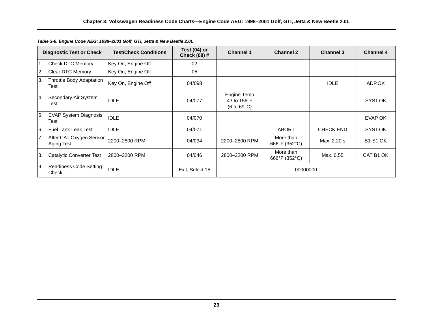|     | <b>Diagnostic Test or Check</b>       | <b>Test/Check Conditions</b> | Test (04) or<br>Check (08) # | <b>Channel 1</b>                                                    | <b>Channel 2</b>           | <b>Channel 3</b> | <b>Channel 4</b> |
|-----|---------------------------------------|------------------------------|------------------------------|---------------------------------------------------------------------|----------------------------|------------------|------------------|
|     | <b>Check DTC Memory</b>               | Key On, Engine Off           | 02                           |                                                                     |                            |                  |                  |
| 2.  | Clear DTC Memory                      | Key On, Engine Off           | 05                           |                                                                     |                            |                  |                  |
| 3.  | Throttle Body Adaptation<br>Test      | Key On, Engine Off           | 04/098                       |                                                                     |                            | <b>IDLE</b>      | ADP.OK           |
| I4. | Secondary Air System<br>Test          | <b>IDLE</b>                  | 04/077                       | Engine Temp<br>43 to 156°F<br>$(6 \text{ to } 69^{\circ} \text{C})$ |                            |                  | SYST.OK          |
| 5.  | <b>EVAP System Diagnosis</b><br>Test  | <b>IDLE</b>                  | 04/070                       |                                                                     |                            |                  | EVAP OK          |
| 6.  | <b>Fuel Tank Leak Test</b>            | <b>IDLE</b>                  | 04/071                       |                                                                     | <b>ABORT</b>               | <b>CHECK END</b> | SYST.OK          |
| 7.  | After CAT Oxygen Sensor<br>Aging Test | 2200-2800 RPM                | 04/034                       | 2200-2800 RPM                                                       | More than<br>666°F (352°C) | Max. 2.20 s      | <b>B1-S1 OK</b>  |
| 8.  | Catalytic Converter Test              | l2800–3200 RPM               | 04/046                       | 2800-3200 RPM                                                       | More than<br>666°F (352°C) | Max. 0.55        | CAT B1 OK        |
| Ι9. | Readiness Code Setting<br>Check       | <b>IDLE</b>                  | Exit, Select 15              |                                                                     | 00000000                   |                  |                  |

<span id="page-29-0"></span>*Table 3-6. Engine Code AEG: 1998–2001 Golf, GTI, Jetta & New Beetle 2.0L*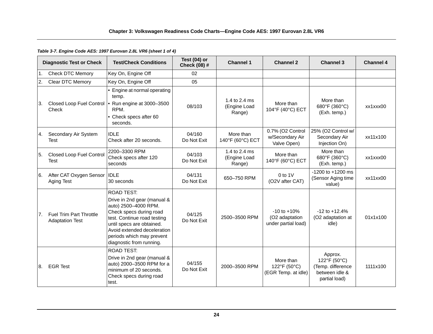### <span id="page-30-0"></span>*Table 3-7. Engine Code AES: 1997 Eurovan 2.8L VR6 (sheet 1 of 4)*

|            | <b>Diagnostic Test or Check</b>                          | <b>Test/Check Conditions</b>                                                                                                                                                                                                                     | Test $(04)$ or<br>Check (08) # | <b>Channel 1</b>                        | <b>Channel 2</b>                                         | <b>Channel 3</b>                                                                | <b>Channel 4</b> |
|------------|----------------------------------------------------------|--------------------------------------------------------------------------------------------------------------------------------------------------------------------------------------------------------------------------------------------------|--------------------------------|-----------------------------------------|----------------------------------------------------------|---------------------------------------------------------------------------------|------------------|
| $\vert$ 1. | <b>Check DTC Memory</b>                                  | Key On, Engine Off                                                                                                                                                                                                                               | 02                             |                                         |                                                          |                                                                                 |                  |
| 2.         | Clear DTC Memory                                         | Key On, Engine Off                                                                                                                                                                                                                               | 05                             |                                         |                                                          |                                                                                 |                  |
| IЗ.        | Closed Loop Fuel Control  .<br>Check                     | • Engine at normal operating<br>temp.<br>Run engine at 3000-3500<br>RPM.<br>• Check specs after 60<br>seconds.                                                                                                                                   | 08/103                         | 1.4 to 2.4 ms<br>(Engine Load<br>Range) | More than<br>104°F (40°C) ECT                            | More than<br>680°F (360°C)<br>(Exh. temp.)                                      | xx1xxx00         |
| 4.         | Secondary Air System<br><b>Test</b>                      | <b>IDLE</b><br>Check after 20 seconds.                                                                                                                                                                                                           | 04/160<br>Do Not Exit          | More than<br>140°F (60°C) ECT           | 0.7% (O2 Control<br>w/Secondary Air<br>Valve Open)       | 25% (O2 Control w/<br>Secondary Air<br>Injection On)                            | xx11x100         |
| 5.         | <b>Closed Loop Fuel Control</b><br><b>Test</b>           | 2200-3300 RPM<br>Check specs after 120<br>seconds                                                                                                                                                                                                | 04/103<br>Do Not Exit          | 1.4 to 2.4 ms<br>(Engine Load<br>Range) | More than<br>140°F (60°C) ECT                            | More than<br>680°F (360°C)<br>(Exh. temp.)                                      | xx1xxx00         |
| 6.         | After CAT Oxygen Sensor   IDLE<br>Aging Test             | 30 seconds                                                                                                                                                                                                                                       | 04/131<br>Do Not Exit          | 650-750 RPM                             | $0$ to $1$ V<br>(O2V after CAT)                          | -1200 to +1200 ms<br>(Sensor Aging time<br>value)                               | xx11xx00         |
| 7.         | <b>Fuel Trim Part Throttle</b><br><b>Adaptation Test</b> | ROAD TEST:<br>Drive in 2nd gear (manual &<br>auto) 2500-4000 RPM.<br>Check specs during road<br>test. Continue road testing<br>until specs are obtained.<br>Avoid extended deceleration<br>periods which may prevent<br>diagnostic from running. | 04/125<br>Do Not Exit          | 2500-3500 RPM                           | $-10$ to $+10%$<br>(O2 adaptation<br>under partial load) | $-12$ to $+12.4%$<br>(O2 adaptation at<br>idle)                                 | 01x1x100         |
| 8.         | <b>EGR Test</b>                                          | <b>ROAD TEST:</b><br>Drive in 2nd gear (manual &<br>auto) 2000-3500 RPM for a<br>minimum of 20 seconds.<br>Check specs during road<br>test.                                                                                                      | 04/155<br>Do Not Exit          | 2000-3500 RPM                           | More than<br>122°F (50°C)<br>(EGR Temp. at idle)         | Approx.<br>122°F (50°C)<br>(Temp. difference<br>between idle &<br>partial load) | 1111x100         |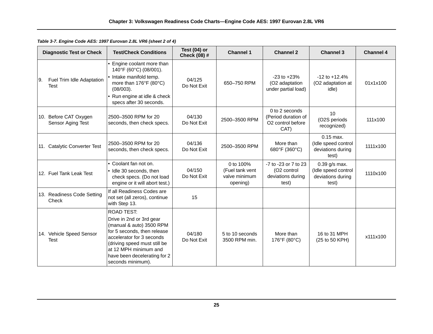*Table 3-7. Engine Code AES: 1997 Eurovan 2.8L VR6 (sheet 2 of 4)*

|     | <b>Diagnostic Test or Check</b>            | <b>Test/Check Conditions</b>                                                                                                                                                                                                                        | Test $(04)$ or<br>Check (08) # | <b>Channel 1</b>                                          | <b>Channel 2</b>                                                   | <b>Channel 3</b>                                                     | <b>Channel 4</b> |
|-----|--------------------------------------------|-----------------------------------------------------------------------------------------------------------------------------------------------------------------------------------------------------------------------------------------------------|--------------------------------|-----------------------------------------------------------|--------------------------------------------------------------------|----------------------------------------------------------------------|------------------|
| I9. | Fuel Trim Idle Adaptation<br><b>Test</b>   | • Engine coolant more than<br>140°F (60°C) (08/001).<br>• Intake manifold temp.<br>more than 176°F (80°C)<br>$(08/003)$ .<br>• Run engine at idle & check<br>specs after 30 seconds.                                                                | 04/125<br>Do Not Exit          | 650-750 RPM                                               | $-23$ to $+23%$<br>(O2 adaptation<br>under partial load)           | $-12$ to $+12.4%$<br>(O2 adaptation at<br>idle)                      | 01x1x100         |
|     | 10. Before CAT Oxygen<br>Sensor Aging Test | 2500-3500 RPM for 20<br>seconds, then check specs.                                                                                                                                                                                                  | 04/130<br>Do Not Exit          | 2500-3500 RPM                                             | 0 to 2 seconds<br>(Period duration of<br>O2 control before<br>CAT) | 10<br>(O2S periods<br>recognized)                                    | 111x100          |
|     | 11. Catalytic Converter Test               | 2500-3500 RPM for 20<br>seconds, then check specs.                                                                                                                                                                                                  | 04/136<br>Do Not Exit          | 2500-3500 RPM                                             | More than<br>680°F (360°C)                                         | $0.15$ max.<br>(Idle speed control<br>deviations during<br>test)     | 1111x100         |
|     | 12. Fuel Tank Leak Test                    | • Coolant fan not on.<br>· Idle 30 seconds, then<br>check specs. (Do not load<br>engine or it will abort test.)                                                                                                                                     | 04/150<br>Do Not Exit          | 0 to 100%<br>(Fuel tank vent<br>valve minimum<br>opening) | -7 to -23 or 7 to 23<br>(O2 control<br>deviations during<br>test)  | $0.39$ g/s max.<br>(Idle speed control<br>deviations during<br>test) | 1110x100         |
|     | 13. Readiness Code Setting<br>Check        | If all Readiness Codes are<br>not set (all zeros), continue<br>with Step 13.                                                                                                                                                                        | 15                             |                                                           |                                                                    |                                                                      |                  |
|     | 14. Vehicle Speed Sensor<br><b>Test</b>    | <b>ROAD TEST:</b><br>Drive in 2nd or 3rd gear<br>(manual & auto) 3500 RPM<br>for 5 seconds, then release<br>accelerator for 3 seconds<br>(driving speed must still be<br>at 12 MPH minimum and<br>have been decelerating for 2<br>seconds minimum). | 04/180<br>Do Not Exit          | 5 to 10 seconds<br>3500 RPM min.                          | More than<br>176°F (80°C)                                          | 16 to 31 MPH<br>(25 to 50 KPH)                                       | x111x100         |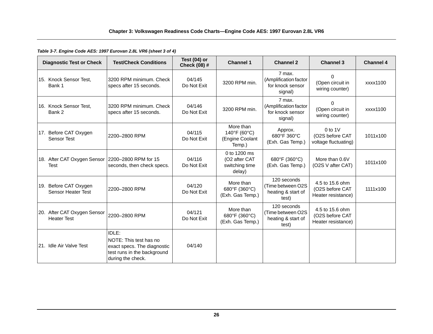*Table 3-7. Engine Code AES: 1997 Eurovan 2.8L VR6 (sheet 3 of 4)*

| <b>Diagnostic Test or Check</b>                    | <b>Test/Check Conditions</b>                                                                                       | Test $(04)$ or<br>Check (08) # | <b>Channel 1</b>                                          | <b>Channel 2</b>                                                | <b>Channel 3</b>                                         | <b>Channel 4</b> |
|----------------------------------------------------|--------------------------------------------------------------------------------------------------------------------|--------------------------------|-----------------------------------------------------------|-----------------------------------------------------------------|----------------------------------------------------------|------------------|
| 15. Knock Sensor Test.<br>Bank 1                   | 3200 RPM minimum. Check<br>specs after 15 seconds.                                                                 | 04/145<br>Do Not Exit          | 3200 RPM min.                                             | 7 max.<br>(Amplification factor<br>for knock sensor<br>signal)  | 0<br>(Open circuit in<br>wiring counter)                 | xxxx1100         |
| 16. Knock Sensor Test,<br>Bank 2                   | 3200 RPM minimum, Check<br>specs after 15 seconds.                                                                 | 04/146<br>Do Not Exit          | 3200 RPM min.                                             | 7 max.<br>(Amplification factor<br>for knock sensor<br>signal)  | $\Omega$<br>(Open circuit in<br>wiring counter)          | xxxx1100         |
| Before CAT Oxygen<br>17.<br><b>Sensor Test</b>     | 2200-2800 RPM                                                                                                      | 04/115<br>Do Not Exit          | More than<br>140°F (60°C)<br>(Engine Coolant<br>Temp.)    | Approx.<br>680°F 360°C<br>(Exh. Gas Temp.)                      | $0$ to $1$ V<br>(O2S before CAT<br>voltage fluctuating)  | 1011x100         |
| 18. After CAT Oxygen Sensor<br><b>Test</b>         | 2200-2800 RPM for 15<br>seconds, then check specs.                                                                 | 04/116<br>Do Not Exit          | 0 to 1200 ms<br>(O2 after CAT<br>switching time<br>delay) | 680°F (360°C)<br>(Exh. Gas Temp.)                               | More than 0.6V<br>(O2S V after CAT)                      | 1011x100         |
| 19. Before CAT Oxygen<br><b>Sensor Heater Test</b> | 2200-2800 RPM                                                                                                      | 04/120<br>Do Not Exit          | More than<br>680°F (360°C)<br>(Exh. Gas Temp.)            | 120 seconds<br>(Time between O2S<br>heating & start of<br>test) | 4.5 to 15.6 ohm<br>(O2S before CAT<br>Heater resistance) | 1111x100         |
| 20. After CAT Oxygen Sensor<br><b>Heater Test</b>  | 2200-2800 RPM                                                                                                      | 04/121<br>Do Not Exit          | More than<br>680°F (360°C)<br>(Exh. Gas Temp.)            | 120 seconds<br>(Time between O2S<br>heating & start of<br>test) | 4.5 to 15.6 ohm<br>(O2S before CAT<br>Heater resistance) |                  |
| 21. Idle Air Valve Test                            | IDLE:<br>NOTE: This test has no<br>exact specs. The diagnostic<br>test runs in the background<br>during the check. | 04/140                         |                                                           |                                                                 |                                                          |                  |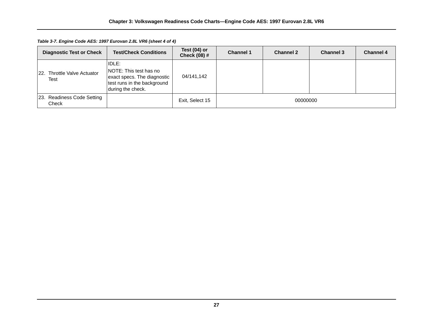*Table 3-7. Engine Code AES: 1997 Eurovan 2.8L VR6 (sheet 4 of 4)*

| <b>Diagnostic Test or Check</b>     | <b>Test/Check Conditions</b>                                                                                                      | Test $(04)$ or<br><b>Check (08) #</b> | <b>Channel 1</b> | <b>Channel 2</b> | <b>Channel 3</b> | <b>Channel 4</b> |
|-------------------------------------|-----------------------------------------------------------------------------------------------------------------------------------|---------------------------------------|------------------|------------------|------------------|------------------|
| 22. Throttle Valve Actuator<br>Test | <b>IIDLE:</b><br><b>NOTE: This test has no</b><br>exact specs. The diagnostic<br>test runs in the background<br>during the check. | 04/141,142                            |                  |                  |                  |                  |
| 23. Readiness Code Setting<br>Check |                                                                                                                                   | Exit, Select 15                       | 00000000         |                  |                  |                  |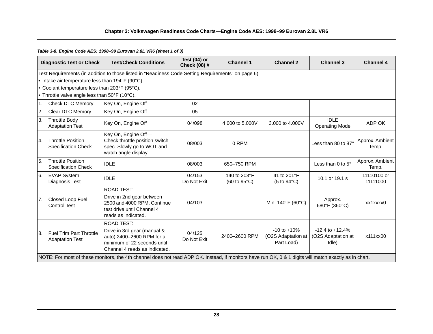### **Chapter 3: Volkswagen Readiness Code Charts—Engine Code AES: 1998–99 Eurovan 2.8L VR6**

### <span id="page-34-0"></span>*Table 3-8. Engine Code AES: 1998–99 Eurovan 2.8L VR6 (sheet 1 of 3)*

|                  | <b>Diagnostic Test or Check</b>                                                                                                                        | <b>Test/Check Conditions</b>                                                                                                                  | Test (04) or<br>Check (08) # | <b>Channel 1</b>             | <b>Channel 2</b>                                    | <b>Channel 3</b>                                   | <b>Channel 4</b>         |  |  |  |
|------------------|--------------------------------------------------------------------------------------------------------------------------------------------------------|-----------------------------------------------------------------------------------------------------------------------------------------------|------------------------------|------------------------------|-----------------------------------------------------|----------------------------------------------------|--------------------------|--|--|--|
|                  | Test Requirements (in addition to those listed in "Readiness Code Setting Requirements" on page 6):                                                    |                                                                                                                                               |                              |                              |                                                     |                                                    |                          |  |  |  |
|                  | • Intake air temperature less than 194°F (90°C).                                                                                                       |                                                                                                                                               |                              |                              |                                                     |                                                    |                          |  |  |  |
|                  | • Coolant temperature less than 203°F (95°C).                                                                                                          |                                                                                                                                               |                              |                              |                                                     |                                                    |                          |  |  |  |
|                  | • Throttle valve angle less than 50°F (10°C).                                                                                                          |                                                                                                                                               |                              |                              |                                                     |                                                    |                          |  |  |  |
| $\overline{1}$ . | <b>Check DTC Memory</b>                                                                                                                                | Key On, Engine Off                                                                                                                            | 02                           |                              |                                                     |                                                    |                          |  |  |  |
| 2.               | <b>Clear DTC Memory</b>                                                                                                                                | Key On, Engine Off                                                                                                                            | 05                           |                              |                                                     |                                                    |                          |  |  |  |
| 3.               | <b>Throttle Body</b><br><b>Adaptation Test</b>                                                                                                         | Key On, Engine Off                                                                                                                            | 04/098                       | 4.000 to 5.000V              | 3,000 to 4,000V                                     | <b>IDLE</b><br><b>Operating Mode</b>               | ADP OK                   |  |  |  |
| 4.               | <b>Throttle Position</b><br><b>Specification Check</b>                                                                                                 | Key On, Engine Off-<br>Check throttle position switch<br>spec. Slowly go to WOT and<br>watch angle display.                                   | 08/003                       | 0 RPM                        |                                                     | Less than 80 to 87°                                | Approx. Ambient<br>Temp. |  |  |  |
| 5.               | <b>Throttle Position</b><br><b>Specification Check</b>                                                                                                 | <b>IDLE</b>                                                                                                                                   | 08/003                       | 650-750 RPM                  |                                                     | Less than $0$ to $5^\circ$                         | Approx. Ambient<br>Temp. |  |  |  |
| 6.               | <b>EVAP System</b><br>Diagnosis Test                                                                                                                   | <b>IDLE</b>                                                                                                                                   | 04/153<br>Do Not Exit        | 140 to 203°F<br>(60 to 95°C) | 41 to 201°F<br>$(5 \text{ to } 94^{\circ}\text{C})$ | 10.1 or 19.1 s                                     | 11110100 or<br>11111000  |  |  |  |
| 7.               | Closed Loop Fuel<br><b>Control Test</b>                                                                                                                | <b>ROAD TEST:</b><br>Drive in 2nd gear between<br>2500 and 4000 RPM. Continue<br>test drive until Channel 4<br>reads as indicated.            | 04/103                       |                              | Min. 140°F (60°C)                                   | Approx.<br>680°F (360°C)                           | xx1xxxx0                 |  |  |  |
| 8.               | <b>Fuel Trim Part Throttle</b><br><b>Adaptation Test</b>                                                                                               | <b>ROAD TEST:</b><br>Drive in 3rd gear (manual &<br>auto) 2400-2600 RPM for a<br>minimum of 22 seconds until<br>Channel 4 reads as indicated. | 04/125<br>Do Not Exit        | 2400-2600 RPM                | $-10$ to $+10%$<br>(O2S Adaptation at<br>Part Load) | $-12.4$ to $+12.4%$<br>(O2S Adaptation at<br>Idle) | x111xx00                 |  |  |  |
|                  | NOTE: For most of these monitors, the 4th channel does not read ADP OK. Instead, if monitors have run OK, 0 & 1 digits will match exactly as in chart. |                                                                                                                                               |                              |                              |                                                     |                                                    |                          |  |  |  |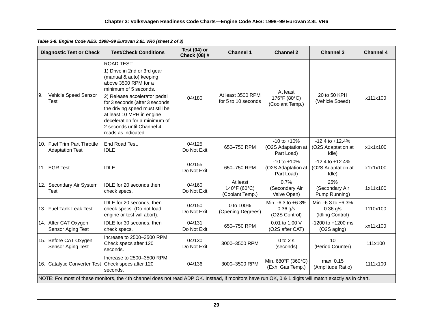*Table 3-8. Engine Code AES: 1998–99 Eurovan 2.8L VR6 (sheet 2 of 3)*

| <b>Diagnostic Test or Check</b>                       | <b>Test/Check Conditions</b>                                                                                                                                                                                                                                                                                                                         | Test (04) or<br>Check (08) # | <b>Channel 1</b>                            | <b>Channel 2</b>                                    | <b>Channel 3</b>                                     | <b>Channel 4</b> |  |  |  |
|-------------------------------------------------------|------------------------------------------------------------------------------------------------------------------------------------------------------------------------------------------------------------------------------------------------------------------------------------------------------------------------------------------------------|------------------------------|---------------------------------------------|-----------------------------------------------------|------------------------------------------------------|------------------|--|--|--|
| Vehicle Speed Sensor<br>9.<br><b>Test</b>             | <b>ROAD TEST:</b><br>1) Drive in 2nd or 3rd gear<br>(manual & auto) keeping<br>above 3500 RPM for a<br>minimum of 5 seconds.<br>2) Release accelerator pedal<br>for 3 seconds (after 3 seconds,<br>the driving speed must still be<br>at least 10 MPH in engine<br>deceleration for a minimum of<br>2 seconds until Channel 4<br>reads as indicated. | 04/180                       | At least 3500 RPM<br>for 5 to 10 seconds    | At least<br>176°F (80°C)<br>(Coolant Temp.)         | 20 to 50 KPH<br>(Vehicle Speed)                      | x111x100         |  |  |  |
| 10. Fuel Trim Part Throttle<br><b>Adaptation Test</b> | End Road Test.<br><b>IDLE</b>                                                                                                                                                                                                                                                                                                                        | 04/125<br>Do Not Exit        | 650-750 RPM                                 | $-10$ to $+10%$<br>(O2S Adaptation at<br>Part Load) | $-12.4$ to $+12.4%$<br>(O2S Adaptation at<br>Idle)   | x1x1x100         |  |  |  |
| 11. EGR Test                                          | <b>IDLE</b>                                                                                                                                                                                                                                                                                                                                          | 04/155<br>Do Not Exit        | 650-750 RPM                                 | $-10$ to $+10%$<br>(O2S Adaptation at<br>Part Load) | $-12.4$ to $+12.4%$<br>(O2S Adaptation at<br>Idle)   | x1x1x100         |  |  |  |
| 12. Secondary Air System<br><b>Test</b>               | IDLE for 20 seconds then<br>check specs.                                                                                                                                                                                                                                                                                                             | 04/160<br>Do Not Exit        | At least<br>140°F (60°C)<br>(Coolant Temp.) | 0.7%<br>(Secondary Air<br>Valve Open)               | 25%<br>(Secondary Air<br>Pump Running)               | 1x11x100         |  |  |  |
| 13. Fuel Tank Leak Test                               | IDLE for 20 seconds, then<br>check specs. (Do not load<br>engine or test will abort).                                                                                                                                                                                                                                                                | 04/150<br>Do Not Exit        | 0 to 100%<br>(Opening Degrees)              | Min. -6.3 to +6.3%<br>$0.36$ g/s<br>(O2S Control)   | Min. -6.3 to +6.3%<br>$0.36$ g/s<br>(Idling Control) | 1110x100         |  |  |  |
| 14. After CAT Oxygen<br>Sensor Aging Test             | IDLE for 30 seconds, then<br>check specs.                                                                                                                                                                                                                                                                                                            | 04/131<br>Do Not Exit        | 650-750 RPM                                 | 0.01 to 1.00 V<br>(O2S after CAT)                   | $-1200$ to $+1200$ ms<br>(O2S aging)                 | xx11x100         |  |  |  |
| 15. Before CAT Oxygen<br>Sensor Aging Test            | Increase to 2500-3500 RPM.<br>Check specs after 120<br>seconds.                                                                                                                                                                                                                                                                                      | 04/130<br>Do Not Exit        | 3000-3500 RPM                               | $0$ to $2$ s<br>(seconds)                           | 10<br>(Period Counter)                               | 111x100          |  |  |  |
| 16. Catalytic Converter Test Check specs after 120    | Increase to 2500-3500 RPM.<br>seconds.                                                                                                                                                                                                                                                                                                               | 04/136                       | 3000-3500 RPM                               | Min. 680°F (360°C)<br>(Exh. Gas Temp.)              | max. 0.15<br>(Amplitude Ratio)                       | 1111x100         |  |  |  |
|                                                       | NOTE: For most of these monitors, the 4th channel does not read ADP OK. Instead, if monitors have run OK, 0 & 1 digits will match exactly as in chart.                                                                                                                                                                                               |                              |                                             |                                                     |                                                      |                  |  |  |  |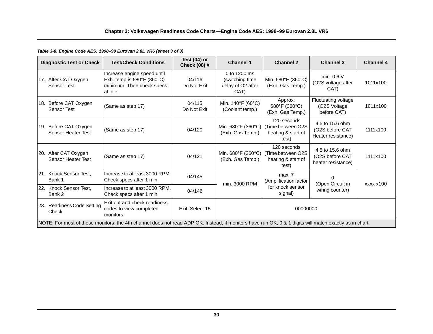*Table 3-8. Engine Code AES: 1998–99 Eurovan 2.8L VR6 (sheet 3 of 3)*

|     | <b>Diagnostic Test or Check</b>                   | <b>Test/Check Conditions</b>                                                                                                                           | Test $(04)$ or<br>Check (08) # | <b>Channel 1</b>                                              | <b>Channel 2</b>                                                | <b>Channel 3</b>                                         | <b>Channel 4</b> |
|-----|---------------------------------------------------|--------------------------------------------------------------------------------------------------------------------------------------------------------|--------------------------------|---------------------------------------------------------------|-----------------------------------------------------------------|----------------------------------------------------------|------------------|
|     | 17. After CAT Oxygen<br><b>Sensor Test</b>        | Increase engine speed until<br>Exh. temp is $680^{\circ}$ F (360 $^{\circ}$ C)<br>minimum. Then check specs<br>at idle.                                | 04/116<br>Do Not Exit          | 0 to 1200 ms<br>(switching time)<br>delay of O2 after<br>CAT) | Min. 680°F (360°C)<br>(Exh. Gas Temp.)                          | min. $0.6 V$<br>(O2S voltage after<br>CAT)               | 1011x100         |
|     | 18. Before CAT Oxygen<br><b>Sensor Test</b>       | (Same as step 17)                                                                                                                                      | 04/115<br>Do Not Exit          | Min. 140°F (60°C)<br>(Coolant temp.)                          | Approx.<br>680°F (360°C)<br>(Exh. Gas Temp.)                    | Fluctuating voltage<br>(O2S Voltage<br>before CAT)       | 1011x100         |
| 19. | Before CAT Oxygen<br>Sensor Heater Test           | (Same as step 17)                                                                                                                                      | 04/120                         | Min. 680°F (360°C)<br>(Exh. Gas Temp.)                        | 120 seconds<br>(Time between O2S<br>heating & start of<br>test) | 4.5 to 15.6 ohm<br>(O2S before CAT<br>Heater resistance) | 1111x100         |
|     | 20. After CAT Oxygen<br><b>Sensor Heater Test</b> | (Same as step 17)                                                                                                                                      | 04/121                         | Min. 680°F (360°C)<br>(Exh. Gas Temp.)                        | 120 seconds<br>(Time between O2S<br>heating & start of<br>test) | 4.5 to 15.6 ohm<br>(O2S before CAT<br>heater resistance) | 1111x100         |
|     | 21. Knock Sensor Test,<br>Bank 1                  | Increase to at least 3000 RPM.<br>Check specs after 1 min.                                                                                             | 04/145                         | min. 3000 RPM                                                 | max. 7<br>(Amplification factor                                 | (Open Circuit in                                         | xxxx x100        |
|     | 22. Knock Sensor Test,<br>Bank 2                  | Increase to at least 3000 RPM.<br>Check specs after 1 min.                                                                                             | 04/146                         |                                                               | for knock sensor<br>signal)                                     | wiring counter)                                          |                  |
|     | 23. Readiness Code Setting<br>Check               | Exit out and check readiness<br>codes to view completed<br>monitors.                                                                                   | Exit, Select 15                |                                                               | 00000000                                                        |                                                          |                  |
|     |                                                   | NOTE: For most of these monitors, the 4th channel does not read ADP OK. Instead, if monitors have run OK, 0 & 1 digits will match exactly as in chart. |                                |                                                               |                                                                 |                                                          |                  |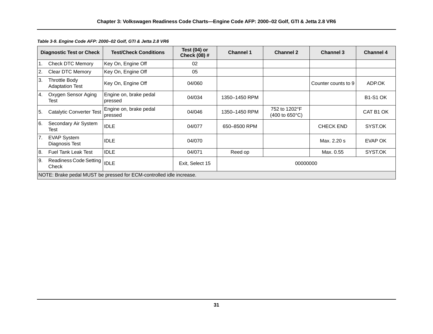|                  | <b>Diagnostic Test or Check</b>                | <b>Test/Check Conditions</b>                                        | Test $(04)$ or<br>Check (08) # | <b>Channel 1</b> | <b>Channel 2</b>                                          | <b>Channel 3</b>    | <b>Channel 4</b> |  |
|------------------|------------------------------------------------|---------------------------------------------------------------------|--------------------------------|------------------|-----------------------------------------------------------|---------------------|------------------|--|
|                  | <b>Check DTC Memory</b>                        | Key On, Engine Off                                                  | 02                             |                  |                                                           |                     |                  |  |
| 2.               | Clear DTC Memory                               | Key On, Engine Off                                                  | 05                             |                  |                                                           |                     |                  |  |
| 3.               | <b>Throttle Body</b><br><b>Adaptation Test</b> | Key On, Engine Off                                                  | 04/060                         |                  |                                                           | Counter counts to 9 | ADP.OK           |  |
| $\overline{4}$ . | Oxygen Sensor Aging<br>Test                    | Engine on, brake pedal<br>pressed                                   | 04/034                         | 1350-1450 RPM    |                                                           |                     | <b>B1-S1 OK</b>  |  |
| 5.               | Catalytic Converter Test                       | Engine on, brake pedal<br>pressed                                   | 04/046                         | 1350-1450 RPM    | 752 to 1202°F<br>$(400 \text{ to } 650^{\circ} \text{C})$ |                     | CAT B1 OK        |  |
| <sup>6.</sup>    | Secondary Air System<br>Test                   | <b>IDLE</b>                                                         | 04/077                         | 650-8500 RPM     |                                                           | <b>CHECK END</b>    | SYST.OK          |  |
| 7.               | <b>EVAP System</b><br>Diagnosis Test           | <b>IDLE</b>                                                         | 04/070                         |                  |                                                           | Max. 2.20 s         | EVAP OK          |  |
| 8.               | <b>Fuel Tank Leak Test</b>                     | <b>IDLE</b>                                                         | 04/071                         | Reed op          |                                                           | Max. 0.55           | SYST.OK          |  |
| l9.              | Readiness Code Setting  IDLE<br>Check          |                                                                     | Exit, Select 15                | 00000000         |                                                           |                     |                  |  |
|                  |                                                | NOTE: Brake pedal MUST be pressed for ECM-controlled idle increase. |                                |                  |                                                           |                     |                  |  |

*Table 3-9. Engine Code AFP: 2000–02 Golf, GTI & Jetta 2.8 VR6*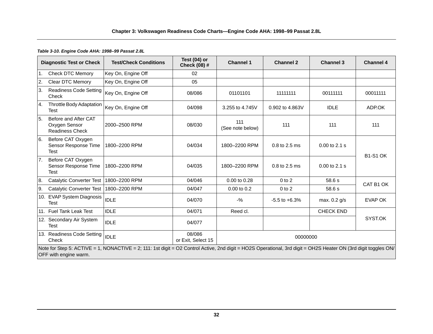#### *Table 3-10. Engine Code AHA: 1998–99 Passat 2.8L*

|    | <b>Diagnostic Test or Check</b>                                 | <b>Test/Check Conditions</b>                                                                                                                                    | Test (04) or<br><b>Check (08) #</b> | <b>Channel 1</b>        | <b>Channel 2</b>  | <b>Channel 3</b>  | <b>Channel 4</b> |  |
|----|-----------------------------------------------------------------|-----------------------------------------------------------------------------------------------------------------------------------------------------------------|-------------------------------------|-------------------------|-------------------|-------------------|------------------|--|
| 1. | <b>Check DTC Memory</b>                                         | Key On, Engine Off                                                                                                                                              | 02                                  |                         |                   |                   |                  |  |
| 2. | Clear DTC Memory                                                | Key On, Engine Off                                                                                                                                              | 05                                  |                         |                   |                   |                  |  |
| 3. | <b>Readiness Code Setting</b><br>Check                          | Key On, Engine Off                                                                                                                                              | 08/086                              | 01101101                | 11111111          | 00111111          | 00011111         |  |
| 4. | Throttle Body Adaptation<br>Test                                | Key On, Engine Off                                                                                                                                              | 04/098                              | 3.255 to 4.745V         | 0.902 to 4.863V   | <b>IDLE</b>       | ADP.OK           |  |
| 5. | Before and After CAT<br>Oxygen Sensor<br><b>Readiness Check</b> | 2000-2500 RPM                                                                                                                                                   | 08/030                              | 111<br>(See note below) | 111               | 111               | 111              |  |
| 6. | Before CAT Oxygen<br>Sensor Response Time<br>Test               | 1800-2200 RPM                                                                                                                                                   | 04/034                              | 1800-2200 RPM           | 0.8 to 2.5 ms     | $0.00$ to $2.1$ s | <b>B1-S1 OK</b>  |  |
| 7. | Before CAT Oxygen<br>Sensor Response Time<br>Test               | 1800-2200 RPM                                                                                                                                                   | 04/035                              | 1800-2200 RPM           | 0.8 to 2.5 ms     | $0.00$ to 2.1 s   |                  |  |
| 8. | Catalytic Converter Test                                        | 1800-2200 RPM                                                                                                                                                   | 04/046                              | 0.00 to 0.28            | $0$ to $2$        | 58.6 s            | CAT B1 OK        |  |
| 9. | Catalytic Converter Test                                        | 1800-2200 RPM                                                                                                                                                   | 04/047                              | 0.00 to 0.2             | $0$ to $2$        | 58.6 s            |                  |  |
|    | 10. EVAP System Diagnosis<br><b>Test</b>                        | <b>IDLE</b>                                                                                                                                                     | 04/070                              | $-$ %                   | $-5.5$ to $+6.3%$ | max. 0.2 g/s      | EVAP OK          |  |
|    | 11. Fuel Tank Leak Test                                         | <b>IDLE</b>                                                                                                                                                     | 04/071                              | Reed cl.                |                   | <b>CHECK END</b>  |                  |  |
|    | 12. Secondary Air System<br><b>Test</b>                         | <b>IDLE</b>                                                                                                                                                     | 04/077                              |                         |                   |                   | SYST.OK          |  |
|    | 13. Readiness Code Setting<br>Check                             | <b>IDLE</b>                                                                                                                                                     | 08/086<br>or Exit, Select 15        | 00000000                |                   |                   |                  |  |
|    | OFF with engine warm.                                           | Note for Step 5: ACTIVE = 1, NONACTIVE = 2; 111: 1st digit = O2 Control Active, 2nd digit = HO2S Operational, 3rd digit = OH2S Heater ON (3rd digit toggles ON/ |                                     |                         |                   |                   |                  |  |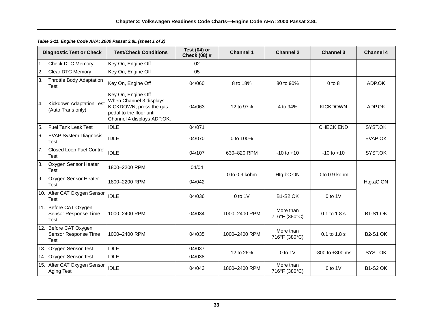|    | <b>Diagnostic Test or Check</b>                       | <b>Test/Check Conditions</b>                                                                                                        | Test (04) or<br>Check (08) # | <b>Channel 1</b> | <b>Channel 2</b>           | <b>Channel 3</b>    | <b>Channel 4</b> |
|----|-------------------------------------------------------|-------------------------------------------------------------------------------------------------------------------------------------|------------------------------|------------------|----------------------------|---------------------|------------------|
| 1. | Check DTC Memory                                      | Key On, Engine Off                                                                                                                  | 02                           |                  |                            |                     |                  |
| 2. | Clear DTC Memory                                      | Key On, Engine Off                                                                                                                  | 05                           |                  |                            |                     |                  |
| 3. | Throttle Body Adaptation<br><b>Test</b>               | Key On, Engine Off                                                                                                                  | 04/060                       | 8 to 18%         | 80 to 90%                  | $0$ to $8$          | ADP.OK           |
| 4. | <b>Kickdown Adaptation Test</b><br>(Auto Trans only)  | Key On, Engine Off-<br>When Channel 3 displays<br>KICKDOWN, press the gas<br>pedal to the floor until<br>Channel 4 displays ADP.OK. | 04/063                       | 12 to 97%        | 4 to 94%                   | <b>KICKDOWN</b>     | ADP.OK           |
| 5. | Fuel Tank Leak Test                                   | <b>IDLE</b>                                                                                                                         | 04/071                       |                  |                            | <b>CHECK END</b>    | SYST.OK          |
| 6. | <b>EVAP System Diagnosis</b><br>Test                  | <b>IDLE</b>                                                                                                                         | 04/070                       | 0 to 100%        |                            |                     | EVAP OK          |
| 7. | Closed Loop Fuel Control<br>Test                      | <b>IDLE</b>                                                                                                                         | 04/107                       | 630-820 RPM      | $-10$ to $+10$             | $-10$ to $+10$      | SYST.OK          |
| 8. | Oxygen Sensor Heater<br><b>Test</b>                   | 1800-2200 RPM                                                                                                                       | 04/04                        | 0 to 0.9 kohm    | Htg.bC ON                  | 0 to 0.9 kohm       |                  |
| 9. | Oxygen Sensor Heater<br><b>Test</b>                   | 1800-2200 RPM                                                                                                                       | 04/042                       |                  |                            |                     | Htg.aC ON        |
|    | 10. After CAT Oxygen Sensor<br>Test                   | <b>IDLE</b>                                                                                                                         | 04/036                       | $0$ to $1$ $V$   | <b>B1-S2 OK</b>            | $0$ to $1$ V        |                  |
|    | 11. Before CAT Oxygen<br>Sensor Response Time<br>Test | 1000-2400 RPM                                                                                                                       | 04/034                       | 1000-2400 RPM    | More than<br>716°F (380°C) | 0.1 to 1.8 s        | <b>B1-S1 OK</b>  |
|    | 12. Before CAT Oxygen<br>Sensor Response Time<br>Test | 1000-2400 RPM                                                                                                                       | 04/035                       | 1000-2400 RPM    | More than<br>716°F (380°C) | 0.1 to 1.8 s        | <b>B2-S1 OK</b>  |
|    | 13. Oxygen Sensor Test                                | <b>IDLE</b>                                                                                                                         | 04/037                       | 12 to 26%        | $0$ to $1$ V               | $-800$ to $+800$ ms | SYST.OK          |
|    | 14. Oxygen Sensor Test                                | <b>IDLE</b>                                                                                                                         | 04/038                       |                  |                            |                     |                  |
|    | 15. After CAT Oxygen Sensor<br>Aging Test             | <b>IDLE</b>                                                                                                                         | 04/043                       | 1800-2400 RPM    | More than<br>716°F (380°C) | $0$ to $1$ V        | <b>B1-S2 OK</b>  |

*Table 3-11. Engine Code AHA: 2000 Passat 2.8L (sheet 1 of 2)*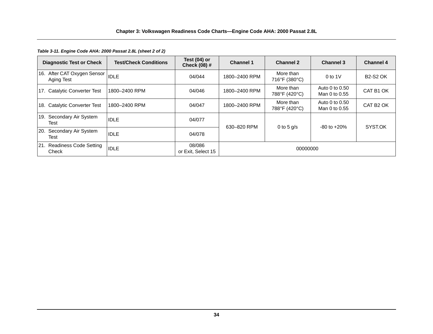*Table 3-11. Engine Code AHA: 2000 Passat 2.8L (sheet 2 of 2)*

| <b>Diagnostic Test or Check</b>            | <b>Test/Check Conditions</b> | Test $(04)$ or<br>Check (08) # | <b>Channel 1</b> | <b>Channel 2</b>           | <b>Channel 3</b>                | <b>Channel 4</b>      |
|--------------------------------------------|------------------------------|--------------------------------|------------------|----------------------------|---------------------------------|-----------------------|
| 16. After CAT Oxygen Sensor<br>Aging Test  | <b>IDLE</b>                  | 04/044                         | 1800-2400 RPM    | More than<br>716°F (380°C) | $0$ to 1V                       | <b>B2-S2 OK</b>       |
| 17. Catalytic Converter Test               | 1800-2400 RPM                | 04/046                         | 1800-2400 RPM    | More than<br>788°F (420°C) | Auto 0 to 0.50<br>Man 0 to 0.55 | CAT B1 OK             |
| 18. Catalytic Converter Test               | 1800-2400 RPM                | 04/047                         | 1800-2400 RPM    | More than<br>788°F (420°C) | Auto 0 to 0.50<br>Man 0 to 0.55 | CAT B <sub>2</sub> OK |
| Secondary Air System<br>19.<br>Test        | <b>IDLE</b>                  | 04/077                         | 630-820 RPM      | 0 to 5 $q/s$               | $-80$ to $+20%$                 | SYST.OK               |
| Secondary Air System<br><b>20.</b><br>Test | <b>IDLE</b>                  | 04/078                         |                  |                            |                                 |                       |
| 21. Readiness Code Setting<br>Check        | <b>IDLE</b>                  | 08/086<br>or Exit, Select 15   | 00000000         |                            |                                 |                       |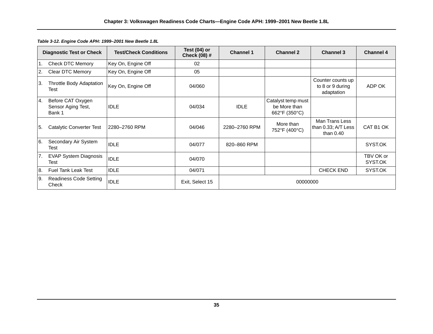|                  | <b>Diagnostic Test or Check</b>                   | <b>Test/Check Conditions</b> | Test (04) or<br><b>Check (08) #</b> | <b>Channel 1</b> | <b>Channel 2</b>                                    | <b>Channel 3</b>                                     | <b>Channel 4</b>     |
|------------------|---------------------------------------------------|------------------------------|-------------------------------------|------------------|-----------------------------------------------------|------------------------------------------------------|----------------------|
| $\overline{1}$ . | <b>Check DTC Memory</b>                           | Key On, Engine Off           | 02                                  |                  |                                                     |                                                      |                      |
| 2.               | Clear DTC Memory                                  | Key On, Engine Off           | 05                                  |                  |                                                     |                                                      |                      |
| ΙЗ.              | Throttle Body Adaptation<br>Test                  | Key On, Engine Off           | 04/060                              |                  |                                                     | Counter counts up<br>to 8 or 9 during<br>adaptation  | ADP OK               |
| 4.               | Before CAT Oxygen<br>Sensor Aging Test,<br>Bank 1 | <b>IDLE</b>                  | 04/034                              | <b>IDLE</b>      | Catalyst temp must<br>be More than<br>662°F (350°C) |                                                      |                      |
| 5.               | Catalytic Converter Test                          | 2280-2760 RPM                | 04/046                              | 2280-2760 RPM    | More than<br>752°F (400°C)                          | Man Trans Less<br>than 0.33; A/T Less<br>than $0.40$ | CAT B1 OK            |
| 6.               | Secondary Air System<br>Test                      | <b>IDLE</b>                  | 04/077                              | 820-860 RPM      |                                                     |                                                      | SYST.OK              |
| 7.               | <b>EVAP System Diagnosis</b><br>Test              | <b>IDLE</b>                  | 04/070                              |                  |                                                     |                                                      | TBV OK or<br>SYST.OK |
| 8.               | <b>Fuel Tank Leak Test</b>                        | <b>IDLE</b>                  | 04/071                              |                  |                                                     | <b>CHECK END</b>                                     | SYST.OK              |
| 9.               | Readiness Code Setting<br>Check                   | <b>IDLE</b>                  | Exit, Select 15                     |                  | 00000000                                            |                                                      |                      |

*Table 3-12. Engine Code APH: 1999–2001 New Beetle 1.8L*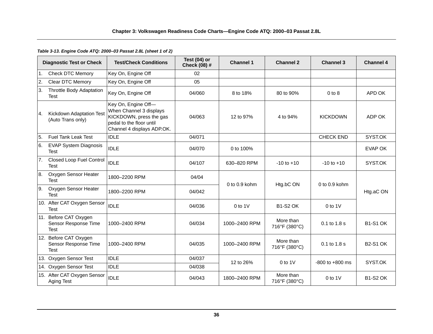# *Table 3-13. Engine Code ATQ: 2000–03 Passat 2.8L (sheet 1 of 2)*

|    | <b>Diagnostic Test or Check</b>                              | <b>Test/Check Conditions</b>                                                                                                        | Test (04) or<br>Check (08) # | <b>Channel 1</b>  | <b>Channel 2</b>           | <b>Channel 3</b>    | <b>Channel 4</b> |
|----|--------------------------------------------------------------|-------------------------------------------------------------------------------------------------------------------------------------|------------------------------|-------------------|----------------------------|---------------------|------------------|
| 1. | <b>Check DTC Memory</b>                                      | Key On, Engine Off                                                                                                                  | 02                           |                   |                            |                     |                  |
| 2. | Clear DTC Memory                                             | Key On, Engine Off                                                                                                                  | 05                           |                   |                            |                     |                  |
| 3. | <b>Throttle Body Adaptation</b><br><b>Test</b>               | Key On, Engine Off                                                                                                                  | 04/060                       | 8 to 18%          | 80 to 90%                  | $0$ to $8$          | APD OK           |
| 4. | <b>Kickdown Adaptation Test</b><br>(Auto Trans only)         | Key On, Engine Off-<br>When Channel 3 displays<br>KICKDOWN, press the gas<br>pedal to the floor until<br>Channel 4 displays ADP.OK. | 04/063                       | 12 to 97%         | 4 to 94%                   | <b>KICKDOWN</b>     | ADP OK           |
| 5. | <b>Fuel Tank Leak Test</b>                                   | <b>IDLE</b>                                                                                                                         | 04/071                       |                   |                            | <b>CHECK END</b>    | SYST.OK          |
| 6. | <b>EVAP System Diagnosis</b><br><b>Test</b>                  | <b>IDLE</b>                                                                                                                         | 04/070                       | 0 to 100%         |                            |                     | EVAP OK          |
| 7. | <b>Closed Loop Fuel Control</b><br>Test                      | <b>IDLE</b>                                                                                                                         | 04/107                       | 630-820 RPM       | $-10$ to $+10$             | $-10$ to $+10$      | SYST.OK          |
| 8. | Oxygen Sensor Heater<br><b>Test</b>                          | 1800-2200 RPM                                                                                                                       | 04/04                        | $0$ to $0.9$ kohm |                            | 0 to 0.9 kohm       |                  |
| 9. | Oxygen Sensor Heater<br><b>Test</b>                          | 1800-2200 RPM                                                                                                                       | 04/042                       |                   | Htg.bC ON                  |                     | Htg.aC ON        |
|    | 10. After CAT Oxygen Sensor<br>Test                          | <b>IDLE</b>                                                                                                                         | 04/036                       | $0$ to $1$ V      | <b>B1-S2 OK</b>            | $0$ to 1V           |                  |
|    | 11. Before CAT Oxygen<br>Sensor Response Time<br>Test        | 1000-2400 RPM                                                                                                                       | 04/034                       | 1000-2400 RPM     | More than<br>716°F (380°C) | 0.1 to 1.8 s        | <b>B1-S1 OK</b>  |
|    | 12. Before CAT Oxygen<br>Sensor Response Time<br><b>Test</b> | 1000-2400 RPM                                                                                                                       | 04/035                       | 1000-2400 RPM     | More than<br>716°F (380°C) | 0.1 to 1.8 s        | <b>B2-S1 OK</b>  |
|    | 13. Oxygen Sensor Test                                       | <b>IDLE</b>                                                                                                                         | 04/037                       | 12 to 26%         | $0$ to $1$ V               | $-800$ to $+800$ ms | SYST.OK          |
|    | 14. Oxygen Sensor Test                                       | <b>IDLE</b>                                                                                                                         | 04/038                       |                   |                            |                     |                  |
|    | 15. After CAT Oxygen Sensor<br>Aging Test                    | <b>IDLE</b>                                                                                                                         | 04/043                       | 1800-2400 RPM     | More than<br>716°F (380°C) | $0$ to $1$ V        | <b>B1-S2 OK</b>  |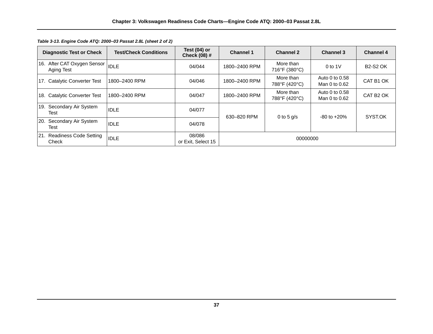| <b>Diagnostic Test or Check</b>                 | <b>Test/Check Conditions</b> | Test $(04)$ or<br><b>Check (08) #</b> | <b>Channel 1</b> | <b>Channel 2</b>           | <b>Channel 3</b>                | <b>Channel 4</b>      |
|-------------------------------------------------|------------------------------|---------------------------------------|------------------|----------------------------|---------------------------------|-----------------------|
| 16. After CAT Oxygen Sensor  IDLE<br>Aging Test |                              | 04/044                                | 1800-2400 RPM    | More than<br>716°F (380°C) | $0$ to 1V                       | <b>B2-S2 OK</b>       |
| 17. Catalytic Converter Test                    | 1800-2400 RPM                | 04/046                                | 1800-2400 RPM    | More than<br>788°F (420°C) | Auto 0 to 0.58<br>Man 0 to 0.62 | CAT B1 OK             |
| 18. Catalytic Converter Test                    | 1800-2400 RPM                | 04/047                                | 1800-2400 RPM    | More than<br>788°F (420°C) | Auto 0 to 0.58<br>Man 0 to 0.62 | CAT B <sub>2</sub> OK |
| 19. Secondary Air System<br>Test                | <b>IDLE</b>                  | 04/077                                | 630-820 RPM      | 0 to 5 $q/s$               | $-80$ to $+20\%$                | SYST.OK               |
| 20.<br>Secondary Air System<br>Test             | <b>IDLE</b>                  | 04/078                                |                  |                            |                                 |                       |
| 21. Readiness Code Setting<br>Check             | <b>IDLE</b>                  | 08/086<br>or Exit. Select 15          | 00000000         |                            |                                 |                       |

*Table 3-13. Engine Code ATQ: 2000–03 Passat 2.8L (sheet 2 of 2)*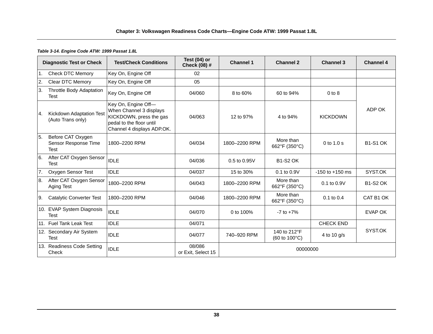#### *Table 3-14. Engine Code ATW: 1999 Passat 1.8L*

|                | <b>Diagnostic Test or Check</b>                          | <b>Test/Check Conditions</b>                                                                                                        | Test $(04)$ or<br>Check (08) # | <b>Channel 1</b> | <b>Channel 2</b>                                        | <b>Channel 3</b>    | <b>Channel 4</b> |
|----------------|----------------------------------------------------------|-------------------------------------------------------------------------------------------------------------------------------------|--------------------------------|------------------|---------------------------------------------------------|---------------------|------------------|
| 1 <sub>1</sub> | <b>Check DTC Memory</b>                                  | Key On, Engine Off                                                                                                                  | 02                             |                  |                                                         |                     |                  |
| <sup>2.</sup>  | <b>Clear DTC Memory</b>                                  | Key On, Engine Off                                                                                                                  | 05                             |                  |                                                         |                     |                  |
| 3.             | Throttle Body Adaptation<br><b>Test</b>                  | Key On, Engine Off                                                                                                                  | 04/060                         | 8 to 60%         | 60 to 94%                                               | $0$ to $8$          |                  |
| <b>4.</b>      | Kickdown Adaptation Test<br>(Auto Trans only)            | Key On, Engine Off-<br>When Channel 3 displays<br>KICKDOWN, press the gas<br>pedal to the floor until<br>Channel 4 displays ADP.OK. | 04/063                         | 12 to 97%        | 4 to 94%                                                | <b>KICKDOWN</b>     | ADP OK           |
| 5.             | Before CAT Oxygen<br>Sensor Response Time<br><b>Test</b> | 1800-2200 RPM                                                                                                                       | 04/034                         | 1800-2200 RPM    | More than<br>662°F (350°C)                              | $0$ to $1.0$ s      | <b>B1-S1 OK</b>  |
| 6.             | After CAT Oxygen Sensor<br><b>Test</b>                   | <b>IDLE</b>                                                                                                                         | 04/036                         | 0.5 to 0.95V     | <b>B1-S2 OK</b>                                         |                     |                  |
| 7.             | Oxygen Sensor Test                                       | <b>IDLE</b>                                                                                                                         | 04/037                         | 15 to 30%        | 0.1 to 0.9V                                             | $-150$ to $+150$ ms | SYST.OK          |
| 8.             | After CAT Oxygen Sensor<br>Aging Test                    | 1800-2200 RPM                                                                                                                       | 04/043                         | 1800-2200 RPM    | More than<br>662°F (350°C)                              | $0.1$ to $0.9V$     | <b>B1-S2 OK</b>  |
| I9.            | <b>Catalytic Converter Test</b>                          | 1800-2200 RPM                                                                                                                       | 04/046                         | 1800-2200 RPM    | More than<br>662°F (350°C)                              | $0.1$ to $0.4$      | CAT B1 OK        |
|                | 10. EVAP System Diagnosis<br><b>Test</b>                 | <b>IDLE</b>                                                                                                                         | 04/070                         | 0 to 100%        | $-7$ to $+7\%$                                          |                     | <b>EVAP OK</b>   |
|                | 11. Fuel Tank Leak Test                                  | <b>IDLE</b>                                                                                                                         | 04/071                         |                  |                                                         | <b>CHECK END</b>    |                  |
|                | 12. Secondary Air System<br><b>Test</b>                  | <b>IDLE</b>                                                                                                                         | 04/077                         | 740-920 RPM      | 140 to 212°F<br>$(60 \text{ to } 100^{\circ} \text{C})$ | 4 to 10 g/s         | SYST.OK          |
|                | 13. Readiness Code Setting<br>Check                      | <b>IDLE</b>                                                                                                                         | 08/086<br>or Exit, Select 15   |                  | 00000000                                                |                     |                  |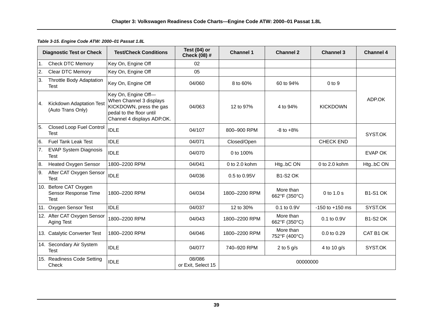|    | <b>Diagnostic Test or Check</b>                              | <b>Test/Check Conditions</b>                                                                                                        | Test $(04)$ or<br>Check (08) # | <b>Channel 1</b>  | <b>Channel 2</b>           | <b>Channel 3</b>    | <b>Channel 4</b> |  |
|----|--------------------------------------------------------------|-------------------------------------------------------------------------------------------------------------------------------------|--------------------------------|-------------------|----------------------------|---------------------|------------------|--|
|    | 1. Check DTC Memory                                          | Key On, Engine Off                                                                                                                  | 02                             |                   |                            |                     |                  |  |
| 2. | Clear DTC Memory                                             | Key On, Engine Off                                                                                                                  | 05                             |                   |                            |                     |                  |  |
| 3. | Throttle Body Adaptation<br>Test                             | Key On, Engine Off                                                                                                                  | 04/060                         | 8 to 60%          | 60 to 94%                  | $0$ to $9$          |                  |  |
| 4. | Kickdown Adaptation Test<br>(Auto Trans Only)                | Key On, Engine Off-<br>When Channel 3 displays<br>KICKDOWN, press the gas<br>pedal to the floor until<br>Channel 4 displays ADP.OK. | 04/063                         | 12 to 97%         | 4 to 94%                   | <b>KICKDOWN</b>     | ADP.OK           |  |
| 5. | Closed Loop Fuel Control<br>Test                             | <b>IDLE</b>                                                                                                                         | 04/107                         | 800-900 RPM       | $-8$ to $+8\%$             |                     | SYST.OK          |  |
| 6. | <b>Fuel Tank Leak Test</b>                                   | <b>IDLE</b>                                                                                                                         | 04/071                         | Closed/Open       |                            | <b>CHECK END</b>    |                  |  |
| 7. | <b>EVAP System Diagnosis</b><br><b>Test</b>                  | <b>IDLE</b>                                                                                                                         | 04/070                         | 0 to 100%         |                            |                     | <b>EVAP OK</b>   |  |
| 8. | <b>Heated Oxygen Sensor</b>                                  | 1800-2200 RPM                                                                                                                       | 04/041                         | $0$ to $2.0$ kohm | HtgbC ON                   | 0 to 2.0 kohm       | HtgbC ON         |  |
| 9. | After CAT Oxygen Sensor<br>Test                              | <b>IDLE</b>                                                                                                                         | 04/036                         | $0.5$ to $0.95V$  | <b>B1-S2 OK</b>            |                     |                  |  |
|    | 10. Before CAT Oxygen<br>Sensor Response Time<br><b>Test</b> | 1800-2200 RPM                                                                                                                       | 04/034                         | 1800-2200 RPM     | More than<br>662°F (350°C) | 0 to 1.0 s          | <b>B1-S1 OK</b>  |  |
|    | 11. Oxygen Sensor Test                                       | <b>IDLE</b>                                                                                                                         | 04/037                         | 12 to 30%         | 0.1 to 0.9V                | $-150$ to $+150$ ms | SYST.OK          |  |
|    | 12. After CAT Oxygen Sensor<br>Aging Test                    | 1800-2200 RPM                                                                                                                       | 04/043                         | 1800-2200 RPM     | More than<br>662°F (350°C) | 0.1 to 0.9V         | <b>B1-S2 OK</b>  |  |
|    | 13. Catalytic Converter Test                                 | 1800-2200 RPM                                                                                                                       | 04/046                         | 1800-2200 RPM     | More than<br>752°F (400°C) | 0.0 to 0.29         | CAT B1 OK        |  |
|    | 14. Secondary Air System<br><b>Test</b>                      | <b>IDLE</b>                                                                                                                         | 04/077                         | 740-920 RPM       | 2 to 5 $g/s$               | 4 to 10 g/s         | SYST.OK          |  |
|    | 15. Readiness Code Setting<br>Check                          | <b>IDLE</b>                                                                                                                         | 08/086<br>or Exit, Select 15   | 00000000          |                            |                     |                  |  |

# *Table 3-15. Engine Code ATW: 2000–01 Passat 1.8L*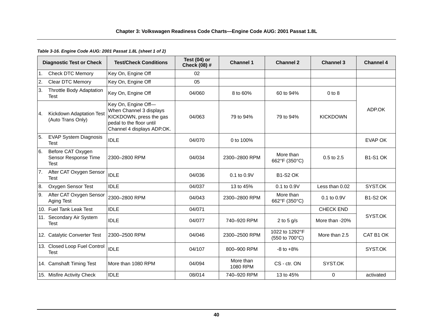### **Chapter 3: Volkswagen Readiness Code Charts—Engine Code AUG: 2001 Passat 1.8L**

### *Table 3-16. Engine Code AUG: 2001 Passat 1.8L (sheet 1 of 2)*

|                  | <b>Diagnostic Test or Check</b>                          | <b>Test/Check Conditions</b>                                                                                                        | Test (04) or<br><b>Check (08) #</b> | <b>Channel 1</b>      | <b>Channel 2</b>                 | <b>Channel 3</b> | <b>Channel 4</b> |
|------------------|----------------------------------------------------------|-------------------------------------------------------------------------------------------------------------------------------------|-------------------------------------|-----------------------|----------------------------------|------------------|------------------|
| $\overline{1}$ . | <b>Check DTC Memory</b>                                  | Key On, Engine Off                                                                                                                  | 02                                  |                       |                                  |                  |                  |
| 2.               | Clear DTC Memory                                         | Key On, Engine Off                                                                                                                  | 05                                  |                       |                                  |                  |                  |
| ΙЗ.              | <b>Throttle Body Adaptation</b><br><b>Test</b>           | Key On, Engine Off                                                                                                                  | 04/060                              | 8 to 60%              | 60 to 94%                        | $0$ to $8$       |                  |
| 4.               | Kickdown Adaptation Test<br>(Auto Trans Only)            | Key On, Engine Off-<br>When Channel 3 displays<br>KICKDOWN, press the gas<br>pedal to the floor until<br>Channel 4 displays ADP.OK. | 04/063                              | 79 to 94%             | 79 to 94%                        | <b>KICKDOWN</b>  | ADP.OK           |
| 5.               | <b>EVAP System Diagnosis</b><br>Test                     | <b>IDLE</b>                                                                                                                         | 04/070                              | 0 to 100%             |                                  |                  | <b>EVAP OK</b>   |
| 6.               | Before CAT Oxygen<br>Sensor Response Time<br><b>Test</b> | 2300–2800 RPM                                                                                                                       | 04/034                              | 2300-2800 RPM         | More than<br>662°F (350°C)       | $0.5$ to $2.5$   | <b>B1-S1 OK</b>  |
| 7.               | After CAT Oxygen Sensor<br><b>Test</b>                   | <b>IDLE</b>                                                                                                                         | 04/036                              | $0.1$ to $0.9V$       | <b>B1-S2 OK</b>                  |                  |                  |
| 8.               | Oxygen Sensor Test                                       | <b>IDLE</b>                                                                                                                         | 04/037                              | 13 to 45%             | 0.1 to 0.9V                      | Less than 0.02   | SYST.OK          |
| 9.               | After CAT Oxygen Sensor<br>Aging Test                    | 2300-2800 RPM                                                                                                                       | 04/043                              | 2300-2800 RPM         | More than<br>662°F (350°C)       | 0.1 to 0.9V      | <b>B1-S2 OK</b>  |
|                  | 10. Fuel Tank Leak Test                                  | <b>IDLE</b>                                                                                                                         | 04/071                              |                       |                                  | <b>CHECK END</b> |                  |
|                  | 11. Secondary Air System<br><b>Test</b>                  | <b>IDLE</b>                                                                                                                         | 04/077                              | 740-920 RPM           | 2 to 5 $g/s$                     | More than -20%   | SYST.OK          |
|                  | 12. Catalytic Converter Test                             | 2300-2500 RPM                                                                                                                       | 04/046                              | 2300-2500 RPM         | 1022 to 1292°F<br>(550 to 700°C) | More than 2.5    | CAT B1 OK        |
|                  | 13. Closed Loop Fuel Control<br><b>Test</b>              | <b>IDLE</b>                                                                                                                         | 04/107                              | 800-900 RPM           | $-8$ to $+8\%$                   |                  | SYST.OK          |
|                  | 14. Camshaft Timing Test                                 | More than 1080 RPM                                                                                                                  | 04/094                              | More than<br>1080 RPM | CS - ctr. ON                     | SYST.OK          |                  |
|                  | 15. Misfire Activity Check                               | <b>IDLE</b>                                                                                                                         | 08/014                              | 740-920 RPM           | 13 to 45%                        | 0                | activated        |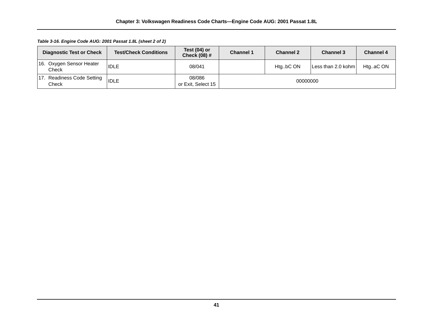*Table 3-16. Engine Code AUG: 2001 Passat 1.8L (sheet 2 of 2)*

|     | <b>Diagnostic Test or Check</b>        | <b>Test/Check Conditions</b> | Test (04) or<br><b>Check (08) #</b> | <b>Channel 1</b> | <b>Channel 2</b> | <b>Channel 3</b>   | <b>Channel 4</b> |
|-----|----------------------------------------|------------------------------|-------------------------------------|------------------|------------------|--------------------|------------------|
|     | 16. Oxygen Sensor Heater<br>Check      | <b>IDLE</b>                  | 08/041                              |                  | HtgbC ON         | Less than 2.0 kohm | HtgaC ON         |
| 17. | <b>Readiness Code Setting</b><br>Check | <b>IDLE</b>                  | 08/086<br>or Exit, Select 15        |                  | 00000000         |                    |                  |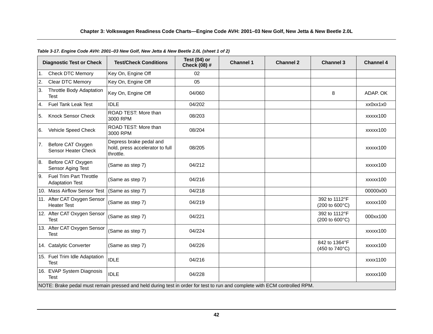|               | <b>Diagnostic Test or Check</b>                   | <b>Test/Check Conditions</b>                                                                                              | Test $(04)$ or<br><b>Check (08) #</b> | <b>Channel 1</b> | <b>Channel 2</b> | <b>Channel 3</b>                | <b>Channel 4</b> |
|---------------|---------------------------------------------------|---------------------------------------------------------------------------------------------------------------------------|---------------------------------------|------------------|------------------|---------------------------------|------------------|
| $\mathbf 1$ . | <b>Check DTC Memory</b>                           | Key On, Engine Off                                                                                                        | 02                                    |                  |                  |                                 |                  |
| 2.            | Clear DTC Memory                                  | Key On, Engine Off                                                                                                        | 05                                    |                  |                  |                                 |                  |
| 3.            | Throttle Body Adaptation<br><b>Test</b>           | Key On, Engine Off                                                                                                        | 04/060                                |                  |                  | 8                               | ADAP. OK         |
| 4.            | Fuel Tank Leak Test                               | <b>IDLE</b>                                                                                                               | 04/202                                |                  |                  |                                 | xx0xx1x0         |
| 5.            | <b>Knock Sensor Check</b>                         | ROAD TEST: More than<br>3000 RPM                                                                                          | 08/203                                |                  |                  |                                 | xxxxx100         |
| 6.            | Vehicle Speed Check                               | ROAD TEST: More than<br>3000 RPM                                                                                          | 08/204                                |                  |                  |                                 | xxxxx100         |
| 7.            | Before CAT Oxygen<br>Sensor Heater Check          | Depress brake pedal and<br>hold, press accelerator to full<br>throttle.                                                   | 08/205                                |                  |                  |                                 | xxxxx100         |
| 8.            | Before CAT Oxygen<br>Sensor Aging Test            | (Same as step 7)                                                                                                          | 04/212                                |                  |                  |                                 | xxxxx100         |
| 9.            | Fuel Trim Part Throttle<br><b>Adaptation Test</b> | (Same as step 7)                                                                                                          | 04/216                                |                  |                  |                                 | xxxxx100         |
|               | 10. Mass Airflow Sensor Test                      | (Same as step 7)                                                                                                          | 04/218                                |                  |                  |                                 | 00000x00         |
|               | 11. After CAT Oxygen Sensor<br><b>Heater Test</b> | (Same as step 7)                                                                                                          | 04/219                                |                  |                  | 392 to 1112°F<br>(200 to 600°C) | xxxxx100         |
|               | 12. After CAT Oxygen Sensor<br><b>Test</b>        | (Same as step 7)                                                                                                          | 04/221                                |                  |                  | 392 to 1112°F<br>(200 to 600°C) | 000xx100         |
|               | 13. After CAT Oxygen Sensor<br><b>Test</b>        | (Same as step 7)                                                                                                          | 04/224                                |                  |                  |                                 | xxxxx100         |
|               | 14. Catalytic Converter                           | (Same as step 7)                                                                                                          | 04/226                                |                  |                  | 842 to 1364°F<br>(450 to 740°C) | xxxxx100         |
|               | 15. Fuel Trim Idle Adaptation<br><b>Test</b>      | <b>IDLE</b>                                                                                                               | 04/216                                |                  |                  |                                 | xxxx1100         |
|               | 16. EVAP System Diagnosis<br>Test                 | <b>IDLE</b>                                                                                                               | 04/228                                |                  |                  |                                 | xxxxx100         |
|               |                                                   | NOTE: Brake pedal must remain pressed and held during test in order for test to run and complete with ECM controlled RPM. |                                       |                  |                  |                                 |                  |

# *Table 3-17. Engine Code AVH: 2001–03 New Golf, New Jetta & New Beetle 2.0L (sheet 1 of 2)*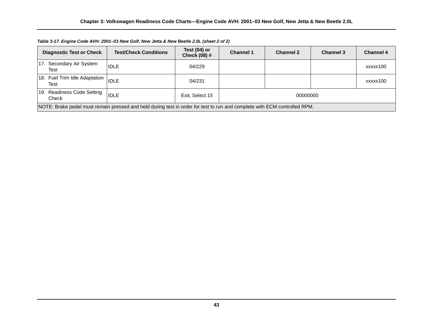| <b>Diagnostic Test or Check</b>                                                                                           | <b>Test/Check Conditions</b> | Test (04) or<br><b>Check (08) #</b> | <b>Channel 1</b> | <b>Channel 2</b> | <b>Channel 3</b> | <b>Channel 4</b> |
|---------------------------------------------------------------------------------------------------------------------------|------------------------------|-------------------------------------|------------------|------------------|------------------|------------------|
| 17. Secondary Air System<br>Test                                                                                          | <b>IDLE</b>                  | 04/229                              |                  |                  |                  | xxxxx100         |
| 18. Fuel Trim Idle Adaptation<br>Test                                                                                     | <b>IDLE</b>                  | 04/231                              |                  |                  |                  | xxxxx100         |
| 19. Readiness Code Setting<br>Check                                                                                       | <b>IDLE</b>                  | Exit, Select 15                     | 00000000         |                  |                  |                  |
| NOTE: Brake pedal must remain pressed and held during test in order for test to run and complete with ECM controlled RPM. |                              |                                     |                  |                  |                  |                  |

*Table 3-17. Engine Code AVH: 2001–03 New Golf, New Jetta & New Beetle 2.0L (sheet 2 of 2)*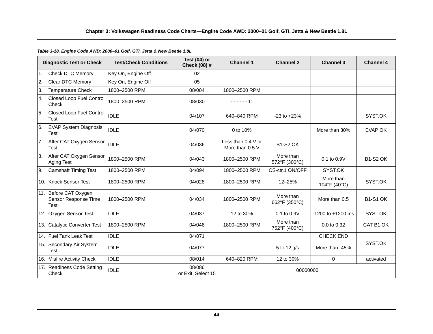# *Table 3-18. Engine Code AWD: 2000–01 Golf, GTI, Jetta & New Beetle 1.8L*

|     | <b>Diagnostic Test or Check</b>                              | <b>Test/Check Conditions</b> | Test $(04)$ or<br>Check (08) # | <b>Channel 1</b>                      | <b>Channel 2</b>           | <b>Channel 3</b>          | <b>Channel 4</b> |
|-----|--------------------------------------------------------------|------------------------------|--------------------------------|---------------------------------------|----------------------------|---------------------------|------------------|
| I1. | <b>Check DTC Memory</b>                                      | Key On, Engine Off           | 02                             |                                       |                            |                           |                  |
| 2.  | Clear DTC Memory                                             | Key On, Engine Off           | 05                             |                                       |                            |                           |                  |
| 3.  | <b>Temperature Check</b>                                     | 1800-2500 RPM                | 08/004                         | 1800-2500 RPM                         |                            |                           |                  |
| 4.  | <b>Closed Loop Fuel Control</b><br>Check                     | 1800-2500 RPM                | 08/030                         | $- - - - - - 11$                      |                            |                           |                  |
| 5.  | <b>Closed Loop Fuel Control</b><br>Test                      | <b>IDLE</b>                  | 04/107                         | 640-840 RPM                           | $-23$ to $+23%$            |                           | SYST.OK          |
| 6.  | <b>EVAP System Diagnosis</b><br><b>Test</b>                  | <b>IDLE</b>                  | 04/070                         | 0 to 10%                              |                            | More than 30%             | <b>EVAP OK</b>   |
| 7.  | After CAT Oxygen Sensor<br><b>Test</b>                       | <b>IDLE</b>                  | 04/036                         | Less than 0.4 V or<br>More than 0.5 V | <b>B1-S2 OK</b>            |                           |                  |
| 8.  | After CAT Oxygen Sensor<br>Aging Test                        | 1800-2500 RPM                | 04/043                         | 1800-2500 RPM                         | More than<br>572°F (300°C) | $0.1$ to $0.9V$           | <b>B1-S2 OK</b>  |
| 9.  | <b>Camshaft Timing Test</b>                                  | 1800-2500 RPM                | 04/094                         | 1800-2500 RPM                         | CS-ctr.1 ON/OFF            | SYST.OK                   |                  |
|     | 10. Knock Sensor Test                                        | 1800-2500 RPM                | 04/028                         | 1800-2500 RPM                         | 12-25%                     | More than<br>104°F (40°C) | SYST.OK          |
|     | 11. Before CAT Oxygen<br>Sensor Response Time<br><b>Test</b> | 1800-2500 RPM                | 04/034                         | 1800-2500 RPM                         | More than<br>662°F (350°C) | More than 0.5             | <b>B1-S1 OK</b>  |
|     | 12. Oxygen Sensor Test                                       | <b>IDLE</b>                  | 04/037                         | 12 to 30%                             | 0.1 to 0.9V                | $-1200$ to $+1200$ ms     | SYST.OK          |
|     | 13. Catalytic Converter Test                                 | 1800-2500 RPM                | 04/046                         | 1800-2500 RPM                         | More than<br>752°F (400°C) | 0.0 to 0.32               | CAT B1 OK        |
|     | 14. Fuel Tank Leak Test                                      | <b>IDLE</b>                  | 04/071                         |                                       |                            | <b>CHECK END</b>          |                  |
|     | 15. Secondary Air System<br><b>Test</b>                      | <b>IDLE</b>                  | 04/077                         |                                       | 5 to 12 g/s                | More than -45%            | SYST.OK          |
|     | 16. Misfire Activity Check                                   | <b>IDLE</b>                  | 08/014                         | 640-820 RPM                           | 12 to 30%                  | $\Omega$                  | activated        |
|     | 17. Readiness Code Setting<br>Check                          | <b>IDLE</b>                  | 08/086<br>or Exit, Select 15   |                                       | 00000000                   |                           |                  |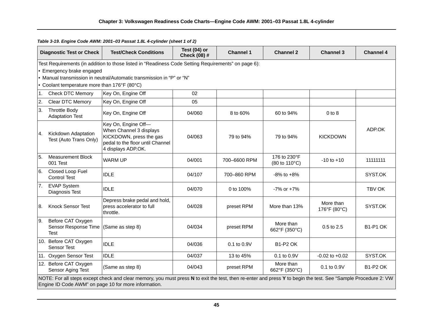|                | <b>Diagnostic Test or Check</b>                   | <b>Test/Check Conditions</b>                                                                                                                                                                                           | Test (04) or<br>Check (08) # | <b>Channel 1</b> | <b>Channel 2</b>              | <b>Channel 3</b>          | <b>Channel 4</b> |
|----------------|---------------------------------------------------|------------------------------------------------------------------------------------------------------------------------------------------------------------------------------------------------------------------------|------------------------------|------------------|-------------------------------|---------------------------|------------------|
|                |                                                   | Test Requirements (in addition to those listed in "Readiness Code Setting Requirements" on page 6):                                                                                                                    |                              |                  |                               |                           |                  |
|                | • Emergency brake engaged                         |                                                                                                                                                                                                                        |                              |                  |                               |                           |                  |
|                |                                                   | • Manual transmission in neutral/Automatic transmission in "P" or "N"                                                                                                                                                  |                              |                  |                               |                           |                  |
|                | • Coolant temperature more than 176°F (80°C)      |                                                                                                                                                                                                                        |                              |                  |                               |                           |                  |
| 1.             | <b>Check DTC Memory</b>                           | Key On, Engine Off                                                                                                                                                                                                     | 02                           |                  |                               |                           |                  |
| $\overline{2}$ | <b>Clear DTC Memory</b>                           | Key On, Engine Off                                                                                                                                                                                                     | 05                           |                  |                               |                           |                  |
| 3.             | <b>Throttle Body</b><br><b>Adaptation Test</b>    | Key On, Engine Off                                                                                                                                                                                                     | 04/060                       | 8 to 60%         | 60 to 94%                     | $0$ to $8$                |                  |
| 4.             | Kickdown Adaptation<br>Test (Auto Trans Only)     | Key On, Engine Off-<br>When Channel 3 displays<br>KICKDOWN, press the gas<br>pedal to the floor until Channel<br>4 displays ADP.OK.                                                                                    | 04/063                       | 79 to 94%        | 79 to 94%                     | <b>KICKDOWN</b>           | ADP.OK           |
| 5.             | <b>Measurement Block</b><br>001 Test              | <b>WARM UP</b>                                                                                                                                                                                                         | 04/001                       | 700-6600 RPM     | 176 to 230°F<br>(80 to 110°C) | $-10$ to $+10$            | 11111111         |
| 6.             | Closed Loop Fuel<br><b>Control Test</b>           | <b>IDLE</b>                                                                                                                                                                                                            | 04/107                       | 700-860 RPM      | $-8\%$ to $+8\%$              |                           | SYST.OK          |
|                | 7. EVAP System<br>Diagnosis Test                  | <b>IDLE</b>                                                                                                                                                                                                            | 04/070                       | 0 to 100%        | $-7\%$ or $+7\%$              |                           | TBV OK           |
| 8.             | <b>Knock Sensor Test</b>                          | Depress brake pedal and hold,<br>press accelerator to full<br>throttle.                                                                                                                                                | 04/028                       | preset RPM       | More than 13%                 | More than<br>176°F (80°C) | SYST.OK          |
| 9.             | Before CAT Oxygen<br>Sensor Response Time<br>Test | (Same as step 8)                                                                                                                                                                                                       | 04/034                       | preset RPM       | More than<br>662°F (350°C)    | 0.5 to 2.5                | <b>B1-P1 OK</b>  |
|                | 10. Before CAT Oxygen<br><b>Sensor Test</b>       | <b>IDLE</b>                                                                                                                                                                                                            | 04/036                       | 0.1 to 0.9V      | <b>B1-P2 OK</b>               |                           |                  |
|                | 11. Oxygen Sensor Test                            | <b>IDLE</b>                                                                                                                                                                                                            | 04/037                       | 13 to 45%        | 0.1 to 0.9V                   | $-0.02$ to $+0.02$        | SYST.OK          |
|                | 12. Before CAT Oxygen<br>Sensor Aging Test        | (Same as step 8)                                                                                                                                                                                                       | 04/043                       | preset RPM       | More than<br>662°F (350°C)    | 0.1 to 0.9V               | <b>B1-P2 OK</b>  |
|                |                                                   | NOTE: For all steps except check and clear memory, you must press N to exit the test, then re-enter and press Y to begin the test. See "Sample Procedure 2: VW<br>Engine ID Code AWM" on page 10 for more information. |                              |                  |                               |                           |                  |

*Table 3-19. Engine Code AWM: 2001–03 Passat 1.8L 4-cylinder (sheet 1 of 2)*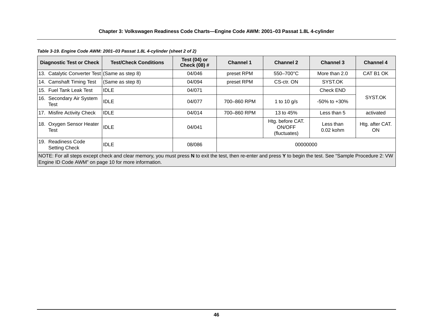#### 13. Catalytic Converter Test (Same as step 8)  $\qquad 04/046$  preset RPM  $\qquad 550-700^{\circ}\text{C}$  More than 2.0 CAT B1 OK 14. Camshaft Timing Test (Same as step 8)  $\vert$  04/094 preset RPM cS-ctr. ON SYST.OK 15. Fuel Tank Leak Test IDLE 04/071 Check END 16. Secondary Air System SYST.OK Test IDLE 04/077 700–860 RPM 1 to 10 g/s -50% to +30% 17. Misfire Activity Check IDLE **17. Misfire Activity Check** IDLE 17. Misfire Activity Check IDLE 18. Oxygen Sensor Heater Experimental process in the UDLE of the UDLE of the USA of the UDLE of the UDLE of the UDLE of the UDLE of the U<br>Test in the UDLE of the UDLE of the UDLE of the UDLE of the UDLE of the UDLE of the UDLE of the UDLE of the U Htg. before CAT. ON/OFF (fluctuates) Less than 0.02 kohm Htg. after CAT. ON 19. Readiness Code Neddirics Code IDLE | 08/086 | 08/086 000000000<br>Setting Check | DLE **Diagnostic Test or Check** Test/Check Conditions Test (04) or **Check** (08) # **Check (08) # Channel 1 Channel 2 Channel 3 Channel 4** NOTE: For all steps except check and clear memory, you must press **N** to exit the test, then re-enter and press **Y** to begin the test. See "Sample Procedure 2: VW Engine ID Code AWM" on page 10 for more information.

#### *Table 3-19. Engine Code AWM: 2001–03 Passat 1.8L 4-cylinder (sheet 2 of 2)*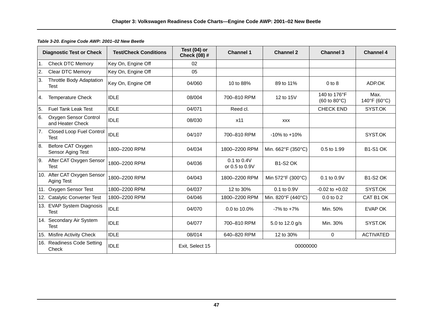|     | <b>Diagnostic Test or Check</b>           | <b>Test/Check Conditions</b> | Test $(04)$ or<br><b>Check (08) #</b> | <b>Channel 1</b>              | <b>Channel 2</b>   | <b>Channel 3</b>                                      | <b>Channel 4</b>     |
|-----|-------------------------------------------|------------------------------|---------------------------------------|-------------------------------|--------------------|-------------------------------------------------------|----------------------|
| l1. | <b>Check DTC Memory</b>                   | Key On, Engine Off           | 02                                    |                               |                    |                                                       |                      |
| 2.  | Clear DTC Memory                          | Key On, Engine Off           | 05                                    |                               |                    |                                                       |                      |
| 3.  | Throttle Body Adaptation<br>Test          | Key On, Engine Off           | 04/060                                | 10 to 88%                     | 89 to 11%          | $0$ to $8$                                            | ADP.OK               |
| 4.  | <b>Temperature Check</b>                  | <b>IDLE</b>                  | 08/004                                | 700-810 RPM                   | 12 to 15V          | 140 to 176°F<br>$(60 \text{ to } 80^{\circ}\text{C})$ | Max.<br>140°F (60°C) |
| 5.  | <b>Fuel Tank Leak Test</b>                | <b>IDLE</b>                  | 04/071                                | Reed cl.                      |                    | <b>CHECK END</b>                                      | SYST.OK              |
| 6.  | Oxygen Sensor Control<br>and Heater Check | <b>IDLE</b>                  | 08/030                                | x11                           | <b>XXX</b>         |                                                       |                      |
| 7.  | Closed Loop Fuel Control<br>Test          | <b>IDLE</b>                  | 04/107                                | 700-810 RPM                   | $-10\%$ to $+10\%$ |                                                       | SYST.OK              |
| 8.  | Before CAT Oxygen<br>Sensor Aging Test    | 1800-2200 RPM                | 04/034                                | 1800-2200 RPM                 | Min. 662°F (350°C) | 0.5 to 1.99                                           | <b>B1-S1 OK</b>      |
| 9.  | After CAT Oxygen Sensor<br>Test           | 1800-2200 RPM                | 04/036                                | 0.1 to 0.4V<br>or 0.5 to 0.9V | <b>B1-S2 OK</b>    |                                                       |                      |
|     | 10. After CAT Oxygen Sensor<br>Aging Test | 1800-2200 RPM                | 04/043                                | 1800-2200 RPM                 | Min 572°F (300°C)  | 0.1 to 0.9V                                           | <b>B1-S2 OK</b>      |
|     | 11. Oxygen Sensor Test                    | 1800-2200 RPM                | 04/037                                | 12 to 30%                     | 0.1 to 0.9V        | $-0.02$ to $+0.02$                                    | SYST.OK              |
|     | 12. Catalytic Converter Test              | 1800-2200 RPM                | 04/046                                | 1800-2200 RPM                 | Min. 820°F (440°C) | $0.0$ to $0.2$                                        | CAT B1 OK            |
|     | 13. EVAP System Diagnosis<br>Test         | <b>IDLE</b>                  | 04/070                                | 0.0 to 10.0%                  | $-7\%$ to $+7\%$   | Min. 50%                                              | <b>EVAP OK</b>       |
|     | 14. Secondary Air System<br>Test          | <b>IDLE</b>                  | 04/077                                | 700-810 RPM                   | 5.0 to 12.0 g/s    | Min. 30%                                              | SYST.OK              |
|     | 15. Misfire Activity Check                | <b>IDLE</b>                  | 08/014                                | 640-820 RPM                   | 12 to 30%          | 0                                                     | <b>ACTIVATED</b>     |
|     | 16. Readiness Code Setting<br>Check       | <b>IDLE</b>                  | Exit, Select 15                       |                               | 00000000           |                                                       |                      |

# *Table 3-20. Engine Code AWP: 2001–02 New Beetle*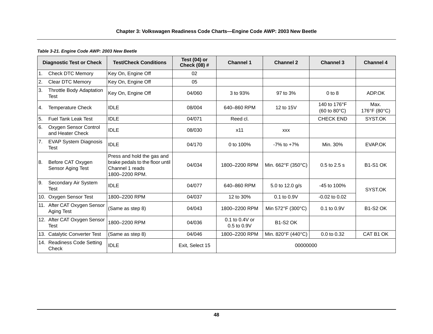#### *Table 3-21. Engine Code AWP: 2003 New Beetle*

|               | <b>Diagnostic Test or Check</b>           | <b>Test/Check Conditions</b>                                                                       | Test (04) or<br>Check (08) # | <b>Channel 1</b>                  | <b>Channel 2</b>   | <b>Channel 3</b>                                       | <b>Channel 4</b>     |
|---------------|-------------------------------------------|----------------------------------------------------------------------------------------------------|------------------------------|-----------------------------------|--------------------|--------------------------------------------------------|----------------------|
| 1.            | <b>Check DTC Memory</b>                   | Key On, Engine Off                                                                                 | 02                           |                                   |                    |                                                        |                      |
| <sup>2.</sup> | Clear DTC Memory                          | Key On, Engine Off                                                                                 | 05                           |                                   |                    |                                                        |                      |
| 3.            | Throttle Body Adaptation<br>Test          | Key On, Engine Off                                                                                 | 04/060                       | 3 to 93%                          | 97 to 3%           | $0$ to $8$                                             | ADP.OK               |
| 4.            | <b>Temperature Check</b>                  | <b>IDLE</b>                                                                                        | 08/004                       | 640-860 RPM                       | 12 to 15V          | 140 to 176°F<br>$(60 \text{ to } 80^{\circ} \text{C})$ | Max.<br>176°F (80°C) |
| 5.            | <b>Fuel Tank Leak Test</b>                | <b>IDLE</b>                                                                                        | 04/071                       | Reed cl.                          |                    | <b>CHECK END</b>                                       | SYST.OK              |
| 6.            | Oxygen Sensor Control<br>and Heater Check | <b>IDLE</b>                                                                                        | 08/030                       | x11                               | <b>XXX</b>         |                                                        |                      |
| 7.            | <b>EVAP System Diagnosis</b><br>Test      | <b>IDLE</b>                                                                                        | 04/170                       | 0 to 100%                         | $-7\%$ to $+7\%$   | Min. 30%                                               | EVAP.OK              |
| 8.            | Before CAT Oxygen<br>Sensor Aging Test    | Press and hold the gas and<br>brake pedals to the floor until<br>Channel 1 reads<br>1800-2200 RPM. | 04/034                       | 1800-2200 RPM                     | Min. 662°F (350°C) | 0.5 to 2.5 s                                           | <b>B1-S1 OK</b>      |
| l9.           | Secondary Air System<br>Test              | <b>IDLE</b>                                                                                        | 04/077                       | 640-860 RPM                       | 5.0 to 12.0 g/s    | -45 to 100%                                            | SYST.OK              |
| 10.           | Oxygen Sensor Test                        | 1800-2200 RPM                                                                                      | 04/037                       | 12 to 30%                         | 0.1 to 0.9V        | $-0.02$ to $0.02$                                      |                      |
|               | 11. After CAT Oxygen Sensor<br>Aging Test | (Same as step 8)                                                                                   | 04/043                       | 1800-2200 RPM                     | Min 572°F (300°C)  | 0.1 to 0.9V                                            | <b>B1-S2 OK</b>      |
|               | 12. After CAT Oxygen Sensor<br>Test       | 1800-2200 RPM                                                                                      | 04/036                       | 0.1 to 0.4V or<br>$0.5$ to $0.9V$ | <b>B1-S2 OK</b>    |                                                        |                      |
|               | 13. Catalytic Converter Test              | (Same as step 8)                                                                                   | 04/046                       | 1800-2200 RPM                     | Min. 820°F (440°C) | 0.0 to 0.32                                            | CAT B1 OK            |
|               | 14. Readiness Code Setting<br>Check       | <b>IDLE</b>                                                                                        | Exit, Select 15              |                                   | 00000000           |                                                        |                      |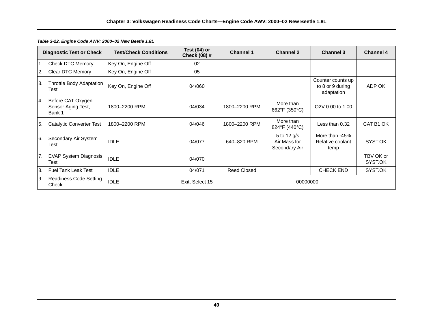|    | <b>Diagnostic Test or Check</b>                   | <b>Test/Check Conditions</b> | Test (04) or<br><b>Check (08) #</b> | <b>Channel 1</b>   | <b>Channel 2</b>                             | <b>Channel 3</b>                                    | <b>Channel 4</b>     |
|----|---------------------------------------------------|------------------------------|-------------------------------------|--------------------|----------------------------------------------|-----------------------------------------------------|----------------------|
| 1. | Check DTC Memory                                  | Key On, Engine Off           | 02                                  |                    |                                              |                                                     |                      |
| 2. | Clear DTC Memory                                  | Key On, Engine Off           | 05                                  |                    |                                              |                                                     |                      |
| 3. | Throttle Body Adaptation<br>Test                  | Key On, Engine Off           | 04/060                              |                    |                                              | Counter counts up<br>to 8 or 9 during<br>adaptation | ADP OK               |
| 4. | Before CAT Oxygen<br>Sensor Aging Test,<br>Bank 1 | 1800-2200 RPM                | 04/034                              | 1800-2200 RPM      | More than<br>662°F (350°C)                   | O <sub>2</sub> V 0.00 to 1.00                       |                      |
| 5. | Catalytic Converter Test                          | 1800-2200 RPM                | 04/046                              | 1800-2200 RPM      | More than<br>824°F (440°C)                   | Less than 0.32                                      | CAT B1 OK            |
| 6. | Secondary Air System<br>Test                      | <b>IDLE</b>                  | 04/077                              | 640-820 RPM        | 5 to 12 g/s<br>Air Mass for<br>Secondary Air | More than -45%<br>Relative coolant<br>temp          | SYST.OK              |
| 7. | <b>EVAP System Diagnosis</b><br>Test              | <b>IDLE</b>                  | 04/070                              |                    |                                              |                                                     | TBV OK or<br>SYST.OK |
| 8. | <b>Fuel Tank Leak Test</b>                        | <b>IDLE</b>                  | 04/071                              | <b>Reed Closed</b> |                                              | <b>CHECK END</b>                                    | SYST.OK              |
| 9. | Readiness Code Setting<br>Check                   | <b>IDLE</b>                  | Exit, Select 15                     |                    | 00000000                                     |                                                     |                      |

*Table 3-22. Engine Code AWV: 2000–02 New Beetle 1.8L*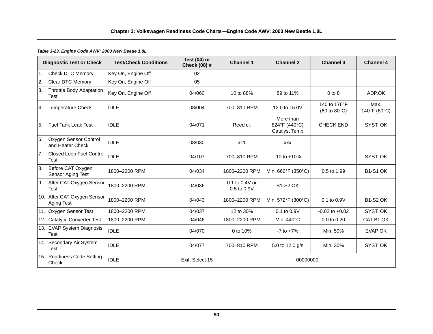#### *Table 3-23. Engine Code AWV: 2003 New Beetle 1.8L*

|                | <b>Diagnostic Test or Check</b>           | <b>Test/Check Conditions</b> | Test (04) or<br>Check (08) # | <b>Channel 1</b>              | <b>Channel 2</b>                                   | <b>Channel 3</b>                                      | <b>Channel 4</b>     |
|----------------|-------------------------------------------|------------------------------|------------------------------|-------------------------------|----------------------------------------------------|-------------------------------------------------------|----------------------|
| $\mathbf{1}$ . | <b>Check DTC Memory</b>                   | Key On, Engine Off           | 02                           |                               |                                                    |                                                       |                      |
| 2.             | <b>Clear DTC Memory</b>                   | Key On, Engine Off           | 05                           |                               |                                                    |                                                       |                      |
| 3.             | Throttle Body Adaptation<br>Test          | Key On, Engine Off           | 04/060                       | 10 to 88%                     | 89 to 11%                                          | $0$ to $8$                                            | ADP.OK               |
| 4.             | <b>Temperature Check</b>                  | <b>IDLE</b>                  | 08/004                       | 700-810 RPM                   | 12.0 to 15.0V                                      | 140 to 176°F<br>$(60 \text{ to } 80^{\circ}\text{C})$ | Max.<br>140°F (60°C) |
| 5.             | <b>Fuel Tank Leak Test</b>                | <b>IDLE</b>                  | 04/071                       | Reed cl.                      | More than<br>824°F (440°C)<br><b>Catalyst Temp</b> | <b>CHECK END</b>                                      | SYST. OK             |
| 6.             | Oxygen Sensor Control<br>and Heater Check | <b>IDLE</b>                  | 08/030                       | x11                           | <b>XXX</b>                                         |                                                       |                      |
| 7.             | Closed Loop Fuel Control<br>Test          | <b>IDLE</b>                  | 04/107                       | 700-810 RPM                   | $-10$ to $+10%$                                    |                                                       | SYST. OK             |
| 8.             | Before CAT Oxygen<br>Sensor Aging Test    | 1800-2200 RPM                | 04/034                       | 1800-2200 RPM                 | Min. 662°F (350°C)                                 | 0.5 to 1.99                                           | <b>B1-S1 OK</b>      |
| 9.             | After CAT Oxygen Sensor<br>Test           | 1800-2200 RPM                | 04/036                       | 0.1 to 0.4V or<br>0.5 to 0.9V | <b>B1-S2 OK</b>                                    |                                                       |                      |
|                | 10. After CAT Oxygen Sensor<br>Aging Test | 1800-2200 RPM                | 04/043                       | 1800-2200 RPM                 | Min. 572°F (300°C)                                 | 0.1 to 0.9V                                           | <b>B1-S2 OK</b>      |
| 11.            | Oxygen Sensor Test                        | 1800-2200 RPM                | 04/037                       | 12 to 30%                     | 0.1 to 0.9V                                        | $-0.02$ to $+0.02$                                    | SYST. OK             |
|                | 12. Catalytic Converter Test              | 1800-2200 RPM                | 04/046                       | 1800-2200 RPM                 | Min. 440°C                                         | 0.0 to 0.20                                           | CAT B1 OK            |
|                | 13. EVAP System Diagnosis<br><b>Test</b>  | <b>IDLE</b>                  | 04/070                       | 0 to 10%                      | $-7$ to $+7\%$                                     | Min. 50%                                              | EVAP OK              |
|                | 14. Secondary Air System<br>Test          | <b>IDLE</b>                  | 04/077                       | 700-810 RPM                   | 5.0 to 12.0 g/s                                    | Min. 30%                                              | SYST. OK             |
|                | 15. Readiness Code Setting<br>Check       | <b>IDLE</b>                  | Exit, Select 15              |                               | 00000000                                           |                                                       |                      |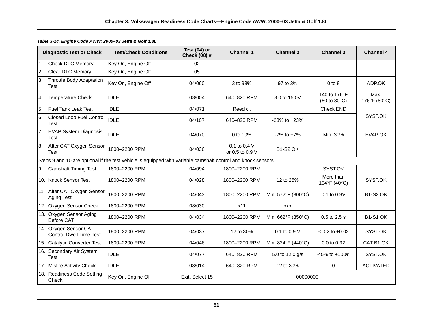|                  | <b>Diagnostic Test or Check</b>                         | <b>Test/Check Conditions</b>                                                                                  | Test $(04)$ or<br>Check (08) # | <b>Channel 1</b>                | <b>Channel 2</b>   | <b>Channel 3</b>                                      | <b>Channel 4</b>     |
|------------------|---------------------------------------------------------|---------------------------------------------------------------------------------------------------------------|--------------------------------|---------------------------------|--------------------|-------------------------------------------------------|----------------------|
| $\overline{1}$ . | <b>Check DTC Memory</b>                                 | Key On, Engine Off                                                                                            | 02                             |                                 |                    |                                                       |                      |
| 2.               | <b>Clear DTC Memory</b>                                 | Key On, Engine Off                                                                                            | 05                             |                                 |                    |                                                       |                      |
| 3.               | <b>Throttle Body Adaptation</b><br><b>Test</b>          | Key On, Engine Off                                                                                            | 04/060                         | 3 to 93%                        | 97 to 3%           | $0$ to $8$                                            | ADP.OK               |
| 4.               | <b>Temperature Check</b>                                | <b>IDLE</b>                                                                                                   | 08/004                         | 640-820 RPM                     | 8.0 to 15.0V       | 140 to 176°F<br>$(60 \text{ to } 80^{\circ}\text{C})$ | Max.<br>176°F (80°C) |
| 5.               | <b>Fuel Tank Leak Test</b>                              | <b>IDLE</b>                                                                                                   | 04/071                         | Reed cl.                        |                    | <b>Check END</b>                                      |                      |
| 6.               | <b>Closed Loop Fuel Control</b><br>Test                 | <b>IDLE</b>                                                                                                   | 04/107                         | 640-820 RPM                     | $-23\%$ to $+23\%$ |                                                       | SYST.OK              |
| $\overline{7}$ . | <b>EVAP System Diagnosis</b><br>Test                    | <b>IDLE</b>                                                                                                   | 04/070                         | 0 to 10%                        | $-7\%$ to $+7\%$   | Min. 30%                                              | <b>EVAP OK</b>       |
| 8.               | After CAT Oxygen Sensor<br>Test                         | 1800-2200 RPM                                                                                                 | 04/036                         | 0.1 to 0.4 V<br>or 0.5 to 0.9 V | <b>B1-S2 OK</b>    |                                                       |                      |
|                  |                                                         | Steps 9 and 10 are optional if the test vehicle is equipped with variable camshaft control and knock sensors. |                                |                                 |                    |                                                       |                      |
| 9.               | <b>Camshaft Timing Test</b>                             | 1800-2200 RPM                                                                                                 | 04/094                         | 1800-2200 RPM                   |                    | SYST.OK                                               |                      |
|                  | 10. Knock Sensor Test                                   | 1800-2200 RPM                                                                                                 | 04/028                         | 1800-2200 RPM                   | 12 to 25%          | More than<br>104°F (40°C)                             | SYST.OK              |
|                  | 11. After CAT Oxygen Sensor<br>Aging Test               | 1800-2200 RPM                                                                                                 | 04/043                         | 1800-2200 RPM                   | Min. 572°F (300°C) | 0.1 to 0.9V                                           | <b>B1-S2 OK</b>      |
|                  | 12. Oxygen Sensor Check                                 | 1800-2200 RPM                                                                                                 | 08/030                         | x11                             | <b>XXX</b>         |                                                       |                      |
|                  | 13. Oxygen Sensor Aging<br><b>Before CAT</b>            | 1800-2200 RPM                                                                                                 | 04/034                         | 1800-2200 RPM                   | Min. 662°F (350°C) | 0.5 to 2.5 s                                          | <b>B1-S1 OK</b>      |
|                  | 14. Oxygen Sensor CAT<br><b>Control Dwell Time Test</b> | 1800-2200 RPM                                                                                                 | 04/037                         | 12 to 30%                       | 0.1 to 0.9 V       | $-0.02$ to $+0.02$                                    | SYST.OK              |
|                  | 15. Catalytic Converter Test                            | 1800-2200 RPM                                                                                                 | 04/046                         | 1800-2200 RPM                   | Min. 824°F (440°C) | 0.0 to 0.32                                           | CAT B1 OK            |
|                  | 16. Secondary Air System<br><b>Test</b>                 | <b>IDLE</b>                                                                                                   | 04/077                         | 640-820 RPM                     | 5.0 to 12.0 g/s    | -45% to +100%                                         | SYST.OK              |
|                  | 17. Misfire Activity Check                              | <b>IDLE</b>                                                                                                   | 08/014                         | 640-820 RPM                     | 12 to 30%          | $\Omega$                                              | <b>ACTIVATED</b>     |
|                  | 18. Readiness Code Setting<br>Check                     | Key On, Engine Off                                                                                            | Exit, Select 15                |                                 | 00000000           |                                                       |                      |

*Table 3-24. Engine Code AWW: 2000–03 Jetta & Golf 1.8L*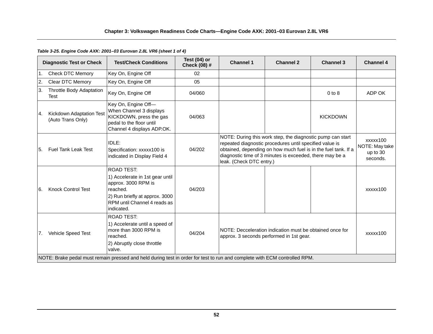# *Table 3-25. Engine Code AXK: 2001–03 Eurovan 2.8L VR6 (sheet 1 of 4)*

|                | <b>Diagnostic Test or Check</b>               | <b>Test/Check Conditions</b>                                                                                                                                            | Test $(04)$ or<br>Check (08) # | <b>Channel 1</b>                                                                                                                                                                                                                                                                | <b>Channel 2</b> | <b>Channel 3</b> | <b>Channel 4</b>                                   |
|----------------|-----------------------------------------------|-------------------------------------------------------------------------------------------------------------------------------------------------------------------------|--------------------------------|---------------------------------------------------------------------------------------------------------------------------------------------------------------------------------------------------------------------------------------------------------------------------------|------------------|------------------|----------------------------------------------------|
| $\mathbf{1}$ . | <b>Check DTC Memory</b>                       | Key On, Engine Off                                                                                                                                                      | 02                             |                                                                                                                                                                                                                                                                                 |                  |                  |                                                    |
| 2.             | Clear DTC Memory                              | Key On, Engine Off                                                                                                                                                      | 05                             |                                                                                                                                                                                                                                                                                 |                  |                  |                                                    |
| 3.             | Throttle Body Adaptation<br><b>Test</b>       | Key On, Engine Off                                                                                                                                                      | 04/060                         |                                                                                                                                                                                                                                                                                 |                  | $0$ to $8$       | ADP OK                                             |
| l 4.           | Kickdown Adaptation Test<br>(Auto Trans Only) | Key On, Engine Off-<br>When Channel 3 displays<br>KICKDOWN, press the gas<br>pedal to the floor until<br>Channel 4 displays ADP.OK.                                     | 04/063                         |                                                                                                                                                                                                                                                                                 |                  | <b>KICKDOWN</b>  |                                                    |
| I5.            | <b>Fuel Tank Leak Test</b>                    | IDLE:<br>Specification: xxxxx100 is<br>indicated in Display Field 4                                                                                                     | 04/202                         | NOTE: During this work step, the diagnostic pump can start<br>repeated diagnostic procedures until specified value is<br>obtained, depending on how much fuel is in the fuel tank. If a<br>diagnostic time of 3 minutes is exceeded, there may be a<br>leak. (Check DTC entry.) |                  |                  | xxxxx100<br>NOTE: May take<br>up to 30<br>seconds. |
| I6.            | <b>Knock Control Test</b>                     | <b>ROAD TEST:</b><br>1) Accelerate in 1st gear until<br>approx. 3000 RPM is<br>reached.<br>2) Run briefly at approx. 3000<br>RPM until Channel 4 reads as<br>indicated. | 04/203                         |                                                                                                                                                                                                                                                                                 |                  |                  | xxxxx100                                           |
| <b>7.</b>      | Vehicle Speed Test                            | <b>ROAD TEST:</b><br>1) Accelerate until a speed of<br>more than 3000 RPM is<br>reached.<br>2) Abruptly close throttle<br>valve.                                        | 04/204                         | NOTE: Decceleration indication must be obtained once for<br>approx. 3 seconds performed in 1st gear.                                                                                                                                                                            |                  |                  | xxxxx100                                           |
|                |                                               | NOTE: Brake pedal must remain pressed and held during test in order for test to run and complete with ECM controlled RPM.                                               |                                |                                                                                                                                                                                                                                                                                 |                  |                  |                                                    |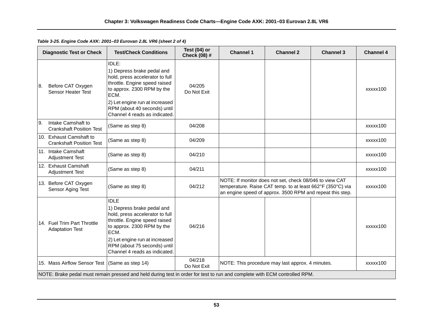*Table 3-25. Engine Code AXK: 2001–03 Eurovan 2.8L VR6 (sheet 2 of 4)*

|    | <b>Diagnostic Test or Check</b>                            | <b>Test/Check Conditions</b>                                                                                                                                                                                                                            | Test $(04)$ or<br>Check (08) # | <b>Channel 1</b> | <b>Channel 2</b>                                                                                                                                                                   | <b>Channel 3</b> | <b>Channel 4</b> |
|----|------------------------------------------------------------|---------------------------------------------------------------------------------------------------------------------------------------------------------------------------------------------------------------------------------------------------------|--------------------------------|------------------|------------------------------------------------------------------------------------------------------------------------------------------------------------------------------------|------------------|------------------|
| 8. | Before CAT Oxygen<br><b>Sensor Heater Test</b>             | <b>IDLE:</b><br>1) Depress brake pedal and<br>hold, press accelerator to full<br>throttle. Engine speed raised<br>to approx. 2300 RPM by the<br>ECM.<br>2) Let engine run at increased<br>RPM (about 40 seconds) until<br>Channel 4 reads as indicated. | 04/205<br>Do Not Exit          |                  |                                                                                                                                                                                    |                  | xxxxx100         |
| 9. | Intake Camshaft to<br><b>Crankshaft Position Test</b>      | (Same as step 8)                                                                                                                                                                                                                                        | 04/208                         |                  |                                                                                                                                                                                    |                  | xxxxx100         |
|    | 10. Exhaust Camshaft to<br><b>Crankshaft Position Test</b> | (Same as step 8)                                                                                                                                                                                                                                        | 04/209                         |                  |                                                                                                                                                                                    |                  | xxxxx100         |
|    | 11. Intake Camshaft<br><b>Adjustment Test</b>              | (Same as step 8)                                                                                                                                                                                                                                        | 04/210                         |                  |                                                                                                                                                                                    |                  | xxxxx100         |
|    | 12. Exhaust Camshaft<br><b>Adjustment Test</b>             | (Same as step 8)                                                                                                                                                                                                                                        | 04/211                         |                  |                                                                                                                                                                                    |                  | xxxxx100         |
|    | 13. Before CAT Oxygen<br>Sensor Aging Test                 | (Same as step 8)                                                                                                                                                                                                                                        | 04/212                         |                  | NOTE: If monitor does not set, check 08/046 to view CAT<br>temperature. Raise CAT temp. to at least 662°F (350°C) via<br>an engine speed of approx. 3500 RPM and repeat this step. |                  | xxxxx100         |
|    | 14. Fuel Trim Part Throttle<br><b>Adaptation Test</b>      | <b>IDLE</b><br>1) Depress brake pedal and<br>hold, press accelerator to full<br>throttle. Engine speed raised<br>to approx. 2300 RPM by the<br>ECM.<br>2) Let engine run at increased<br>RPM (about 75 seconds) until<br>Channel 4 reads as indicated.  | 04/216                         |                  |                                                                                                                                                                                    |                  | xxxxx100         |
|    | 15. Mass Airflow Sensor Test                               | (Same as step 14)                                                                                                                                                                                                                                       | 04/218<br>Do Not Exit          |                  | NOTE: This procedure may last approx. 4 minutes.                                                                                                                                   |                  | xxxxx100         |
|    |                                                            | NOTE: Brake pedal must remain pressed and held during test in order for test to run and complete with ECM controlled RPM.                                                                                                                               |                                |                  |                                                                                                                                                                                    |                  |                  |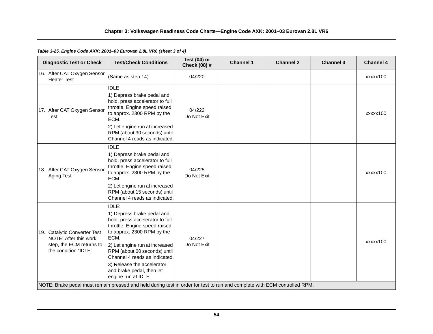# *Table 3-25. Engine Code AXK: 2001–03 Eurovan 2.8L VR6 (sheet 3 of 4)*

| <b>Diagnostic Test or Check</b>                                                                           | <b>Test/Check Conditions</b>                                                                                                                                                                                                                                                                                                       | Test $(04)$ or<br><b>Check (08) #</b> | <b>Channel 1</b> | <b>Channel 2</b> | <b>Channel 3</b> | <b>Channel 4</b> |
|-----------------------------------------------------------------------------------------------------------|------------------------------------------------------------------------------------------------------------------------------------------------------------------------------------------------------------------------------------------------------------------------------------------------------------------------------------|---------------------------------------|------------------|------------------|------------------|------------------|
| 16. After CAT Oxygen Sensor<br><b>Heater Test</b>                                                         | (Same as step 14)                                                                                                                                                                                                                                                                                                                  | 04/220                                |                  |                  |                  | xxxxx100         |
| 17. After CAT Oxygen Sensor<br>Test                                                                       | <b>IDLE</b><br>1) Depress brake pedal and<br>hold, press accelerator to full<br>throttle. Engine speed raised<br>to approx. 2300 RPM by the<br>ECM.                                                                                                                                                                                | 04/222<br>Do Not Exit                 |                  |                  |                  | xxxxx100         |
|                                                                                                           | 2) Let engine run at increased<br>RPM (about 30 seconds) until<br>Channel 4 reads as indicated.                                                                                                                                                                                                                                    |                                       |                  |                  |                  |                  |
| 18. After CAT Oxygen Sensor<br>Aging Test                                                                 | <b>IDLE</b><br>1) Depress brake pedal and<br>hold, press accelerator to full<br>throttle. Engine speed raised<br>to approx. 2300 RPM by the<br>ECM.<br>2) Let engine run at increased<br>RPM (about 15 seconds) until<br>Channel 4 reads as indicated.                                                                             | 04/225<br>Do Not Exit                 |                  |                  |                  | xxxxx100         |
| 19. Catalytic Converter Test<br>NOTE: After this work<br>step, the ECM returns to<br>the condition "IDLE" | IDLE:<br>1) Depress brake pedal and<br>hold, press accelerator to full<br>throttle. Engine speed raised<br>to approx. 2300 RPM by the<br>ECM.<br>2) Let engine run at increased<br>RPM (about 60 seconds) until<br>Channel 4 reads as indicated.<br>3) Release the accelerator<br>and brake pedal, then let<br>engine run at IDLE. | 04/227<br>Do Not Exit                 |                  |                  |                  | xxxxx100         |
|                                                                                                           | NOTE: Brake pedal must remain pressed and held during test in order for test to run and complete with ECM controlled RPM.                                                                                                                                                                                                          |                                       |                  |                  |                  |                  |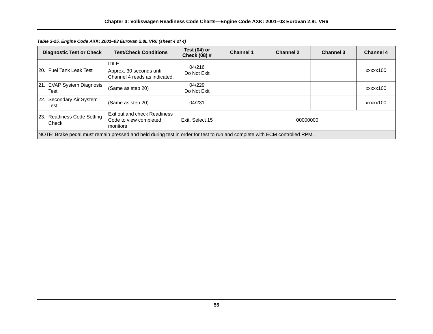| <b>Diagnostic Test or Check</b>                                                                                           | <b>Test/Check Conditions</b>                                       | Test $(04)$ or<br><b>Check (08) #</b> | <b>Channel 1</b> | <b>Channel 2</b> | <b>Channel 3</b> | <b>Channel 4</b> |  |
|---------------------------------------------------------------------------------------------------------------------------|--------------------------------------------------------------------|---------------------------------------|------------------|------------------|------------------|------------------|--|
| 120. Fuel Tank Leak Test                                                                                                  | IDLE:<br>Approx. 30 seconds until<br>Channel 4 reads as indicated. | 04/216<br>Do Not Exit                 |                  |                  |                  | xxxxx100         |  |
| 21. EVAP System Diagnosis<br>Test                                                                                         | (Same as step 20)                                                  | 04/229<br>Do Not Exit                 |                  |                  |                  | xxxxx100         |  |
| 22. Secondary Air System<br>Test                                                                                          | (Same as step 20)                                                  | 04/231                                |                  |                  |                  | xxxxx100         |  |
| 23. Readiness Code Setting<br>Check                                                                                       | Exit out and check Readiness<br>Code to view completed<br>monitors | Exit. Select 15                       | 00000000         |                  |                  |                  |  |
| NOTE: Brake pedal must remain pressed and held during test in order for test to run and complete with ECM controlled RPM. |                                                                    |                                       |                  |                  |                  |                  |  |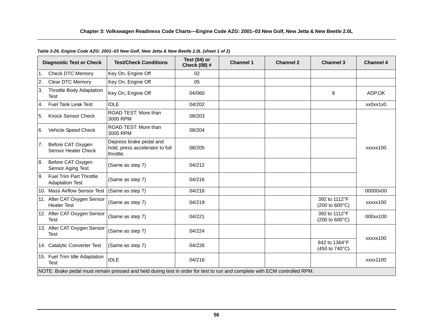|    | <b>Diagnostic Test or Check</b>                          | <b>Test/Check Conditions</b>                                                                                              | Test $(04)$ or<br><b>Check (08) #</b> | <b>Channel 1</b> | <b>Channel 2</b> | <b>Channel 3</b>                                         | <b>Channel 4</b> |
|----|----------------------------------------------------------|---------------------------------------------------------------------------------------------------------------------------|---------------------------------------|------------------|------------------|----------------------------------------------------------|------------------|
| 1. | <b>Check DTC Memory</b>                                  | Key On, Engine Off                                                                                                        | 02                                    |                  |                  |                                                          |                  |
| 2. | <b>Clear DTC Memory</b>                                  | Key On, Engine Off                                                                                                        | 05                                    |                  |                  |                                                          |                  |
| 3. | <b>Throttle Body Adaptation</b><br>Test                  | Key On, Engine Off                                                                                                        | 04/060                                |                  |                  | 8                                                        | ADP.OK           |
| 4. | Fuel Tank Leak Test                                      | <b>IDLE</b>                                                                                                               | 04/202                                |                  |                  |                                                          | xx0xx1x0         |
| 5. | <b>Knock Sensor Check</b>                                | ROAD TEST: More than<br>3000 RPM                                                                                          | 08/203                                |                  |                  |                                                          |                  |
| 6. | Vehicle Speed Check                                      | ROAD TEST: More than<br>3000 RPM                                                                                          | 08/204                                |                  |                  |                                                          |                  |
| 7. | Before CAT Oxygen<br>Sensor Heater Check                 | Depress brake pedal and<br>hold, press accelerator to full<br>throttle.                                                   | 08/205                                |                  |                  |                                                          | xxxxx100         |
| 8. | Before CAT Oxygen<br>Sensor Aging Test                   | (Same as step 7)                                                                                                          | 04/212                                |                  |                  |                                                          |                  |
| 9. | <b>Fuel Trim Part Throttle</b><br><b>Adaptation Test</b> | (Same as step 7)                                                                                                          | 04/216                                |                  |                  |                                                          |                  |
|    | 10. Mass Airflow Sensor Test                             | (Same as step 7)                                                                                                          | 04/218                                |                  |                  |                                                          | 00000x00         |
|    | 11. After CAT Oxygen Sensor<br><b>Heater Test</b>        | (Same as step 7)                                                                                                          | 04/219                                |                  |                  | 392 to 1112°F<br>$(200 \text{ to } 600^{\circ}\text{C})$ | xxxxx100         |
|    | 12. After CAT Oxygen Sensor<br><b>Test</b>               | (Same as step 7)                                                                                                          | 04/221                                |                  |                  | 392 to 1112°F<br>(200 to 600°C)                          | 000xx100         |
|    | 13. After CAT Oxygen Sensor<br><b>Test</b>               | (Same as step 7)                                                                                                          | 04/224                                |                  |                  |                                                          | xxxxx100         |
|    | 14. Catalytic Converter Test                             | (Same as step 7)                                                                                                          | 04/226                                |                  |                  | 842 to 1364°F<br>(450 to 740°C)                          |                  |
|    | 15. Fuel Trim Idle Adaptation<br><b>Test</b>             | <b>IDLE</b>                                                                                                               | 04/216                                |                  |                  |                                                          | xxxx1100         |
|    |                                                          | NOTE: Brake pedal must remain pressed and held during test in order for test to run and complete with ECM controlled RPM. |                                       |                  |                  |                                                          |                  |

# *Table 3-26. Engine Code AZG: 2001–03 New Golf, New Jetta & New Beetle 2.0L (sheet 1 of 2)*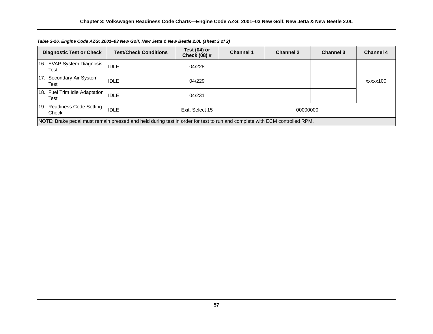| <b>Diagnostic Test or Check</b>                                                                                           | <b>Test/Check Conditions</b> | Test (04) or<br>Check (08) # | <b>Channel 1</b> | <b>Channel 2</b> | <b>Channel 3</b> | <b>Channel 4</b> |  |
|---------------------------------------------------------------------------------------------------------------------------|------------------------------|------------------------------|------------------|------------------|------------------|------------------|--|
| 16. EVAP System Diagnosis<br>Test                                                                                         | <b>IDLE</b>                  | 04/228                       |                  |                  |                  |                  |  |
| 17. Secondary Air System<br>Test                                                                                          | <b>IDLE</b>                  | 04/229                       |                  |                  |                  | xxxxx100         |  |
| 18. Fuel Trim Idle Adaptation<br>Test                                                                                     | <b>IDLE</b>                  | 04/231                       |                  |                  |                  |                  |  |
| 19. Readiness Code Setting<br>Check                                                                                       | <b>IDLE</b>                  | Exit, Select 15              | 00000000         |                  |                  |                  |  |
| NOTE: Brake pedal must remain pressed and held during test in order for test to run and complete with ECM controlled RPM. |                              |                              |                  |                  |                  |                  |  |

*Table 3-26. Engine Code AZG: 2001–03 New Golf, New Jetta & New Beetle 2.0L (sheet 2 of 2)*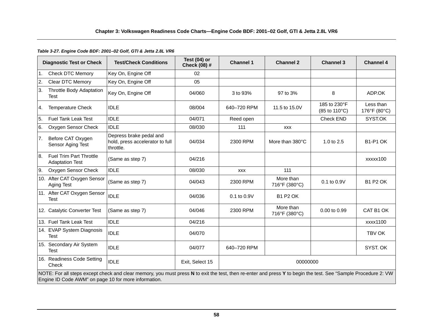# *Table 3-27. Engine Code BDF: 2001–02 Golf, GTI & Jetta 2.8L VR6*

|                | <b>Diagnostic Test or Check</b>                                                                                                                                                                                        | <b>Test/Check Conditions</b>                                            | Test $(04)$ or<br>Check (08) # | <b>Channel 1</b> | <b>Channel 2</b>           | <b>Channel 3</b>              | <b>Channel 4</b>          |  |
|----------------|------------------------------------------------------------------------------------------------------------------------------------------------------------------------------------------------------------------------|-------------------------------------------------------------------------|--------------------------------|------------------|----------------------------|-------------------------------|---------------------------|--|
| $\mathbf{1}$ . | <b>Check DTC Memory</b>                                                                                                                                                                                                | Key On, Engine Off                                                      | 02                             |                  |                            |                               |                           |  |
| 2.             | <b>Clear DTC Memory</b>                                                                                                                                                                                                | Key On, Engine Off                                                      | 05                             |                  |                            |                               |                           |  |
| 3.             | Throttle Body Adaptation<br>Test                                                                                                                                                                                       | Key On, Engine Off                                                      | 04/060                         | 3 to 93%         | 97 to 3%                   | 8                             | ADP.OK                    |  |
| 4.             | <b>Temperature Check</b>                                                                                                                                                                                               | <b>IDLE</b>                                                             | 08/004                         | 640-720 RPM      | 11.5 to 15.0V              | 185 to 230°F<br>(85 to 110°C) | Less than<br>176°F (80°C) |  |
| 5.             | <b>Fuel Tank Leak Test</b>                                                                                                                                                                                             | <b>IDLE</b>                                                             | 04/071                         | Reed open        |                            | Check END                     | SYST.OK                   |  |
| 6.             | Oxygen Sensor Check                                                                                                                                                                                                    | <b>IDLE</b>                                                             | 08/030                         | 111              | <b>XXX</b>                 |                               |                           |  |
| 7.             | Before CAT Oxygen<br>Sensor Aging Test                                                                                                                                                                                 | Depress brake pedal and<br>hold, press accelerator to full<br>throttle. | 04/034                         | 2300 RPM         | More than 380°C            | 1.0 to 2.5                    | <b>B1-P1 OK</b>           |  |
| 8.             | <b>Fuel Trim Part Throttle</b><br><b>Adaptation Test</b>                                                                                                                                                               | (Same as step 7)                                                        | 04/216                         |                  |                            |                               | xxxxx100                  |  |
| 9.             | Oxygen Sensor Check                                                                                                                                                                                                    | <b>IDLE</b>                                                             | 08/030                         | <b>XXX</b>       | 111                        |                               |                           |  |
|                | 10. After CAT Oxygen Sensor<br>Aging Test                                                                                                                                                                              | (Same as step 7)                                                        | 04/043                         | 2300 RPM         | More than<br>716°F (380°C) | 0.1 to 0.9V                   | <b>B1 P2 OK</b>           |  |
|                | 11. After CAT Oxygen Sensor<br><b>Test</b>                                                                                                                                                                             | <b>IDLE</b>                                                             | 04/036                         | $0.1$ to $0.9V$  | <b>B1 P2 OK</b>            |                               |                           |  |
|                | 12. Catalytic Converter Test                                                                                                                                                                                           | (Same as step 7)                                                        | 04/046                         | 2300 RPM         | More than<br>716°F (380°C) | 0.00 to 0.99                  | CAT B1 OK                 |  |
|                | 13. Fuel Tank Leak Test                                                                                                                                                                                                | <b>IDLE</b>                                                             | 04/216                         |                  |                            |                               | xxxx1100                  |  |
|                | 14. EVAP System Diagnosis<br>Test                                                                                                                                                                                      | <b>IDLE</b>                                                             | 04/070                         |                  |                            |                               | TBV OK                    |  |
|                | 15. Secondary Air System<br><b>Test</b>                                                                                                                                                                                | <b>IDLE</b>                                                             | 04/077                         | 640-720 RPM      |                            |                               | SYST. OK                  |  |
|                | 16. Readiness Code Setting<br>Check                                                                                                                                                                                    | <b>IDLE</b>                                                             | Exit, Select 15                | 00000000         |                            |                               |                           |  |
|                | NOTE: For all steps except check and clear memory, you must press N to exit the test, then re-enter and press Y to begin the test. See "Sample Procedure 2: VW<br>Engine ID Code AWM" on page 10 for more information. |                                                                         |                                |                  |                            |                               |                           |  |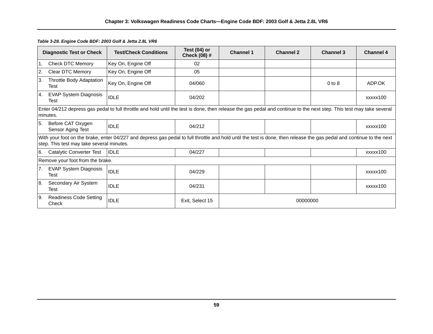|           | <b>Diagnostic Test or Check</b>                                                                                                                                                   | <b>Test/Check Conditions</b>                                                                                                                                          | Test $(04)$ or<br>Check (08) # | <b>Channel 1</b> | <b>Channel 2</b> | <b>Channel 3</b> | <b>Channel 4</b> |  |  |
|-----------|-----------------------------------------------------------------------------------------------------------------------------------------------------------------------------------|-----------------------------------------------------------------------------------------------------------------------------------------------------------------------|--------------------------------|------------------|------------------|------------------|------------------|--|--|
| 1.        | Check DTC Memory                                                                                                                                                                  | Key On, Engine Off                                                                                                                                                    | 02                             |                  |                  |                  |                  |  |  |
| 2.        | Clear DTC Memory                                                                                                                                                                  | Key On, Engine Off                                                                                                                                                    | 05                             |                  |                  |                  |                  |  |  |
| 3.        | Throttle Body Adaptation<br>Test                                                                                                                                                  | Key On, Engine Off                                                                                                                                                    | 04/060                         |                  |                  | $0$ to $8$       | ADP.OK           |  |  |
| 4.        | <b>EVAP System Diagnosis</b><br>Test                                                                                                                                              | <b>IDLE</b>                                                                                                                                                           | 04/202                         |                  |                  |                  | xxxxx100         |  |  |
|           | Enter 04/212 depress gas pedal to full throttle and hold until the test is done, then release the gas pedal and continue to the next step. This test may take several<br>minutes. |                                                                                                                                                                       |                                |                  |                  |                  |                  |  |  |
| 5.        | Before CAT Oxygen<br>Sensor Aging Test                                                                                                                                            | <b>IDLE</b>                                                                                                                                                           | 04/212                         |                  |                  |                  | xxxxx100         |  |  |
|           | step. This test may take several minutes.                                                                                                                                         | With your foot on the brake, enter 04/227 and depress gas pedal to full throttle and hold until the test is done, then release the gas pedal and continue to the next |                                |                  |                  |                  |                  |  |  |
| I6.       | <b>Catalytic Converter Test</b>                                                                                                                                                   | <b>IDLE</b>                                                                                                                                                           | 04/227                         |                  |                  |                  | xxxxx100         |  |  |
|           | Remove your foot from the brake.                                                                                                                                                  |                                                                                                                                                                       |                                |                  |                  |                  |                  |  |  |
| 7.        | <b>EVAP System Diagnosis</b><br>Test                                                                                                                                              | <b>IDLE</b>                                                                                                                                                           | 04/229                         |                  |                  |                  | xxxxx100         |  |  |
| 18.       | Secondary Air System<br>Test                                                                                                                                                      | <b>IDLE</b>                                                                                                                                                           | 04/231                         |                  |                  |                  | xxxxx100         |  |  |
| <b>9.</b> | Readiness Code Setting<br>Check                                                                                                                                                   | <b>IDLE</b>                                                                                                                                                           | Exit, Select 15                | 00000000         |                  |                  |                  |  |  |

#### *Table 3-28. Engine Code BDF: 2003 Golf & Jetta 2.8L VR6*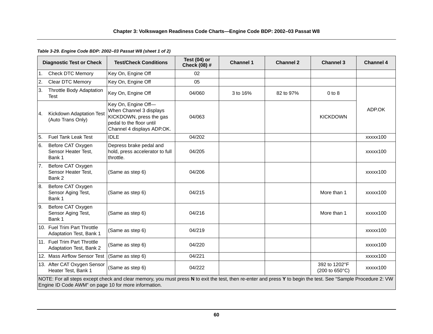# *Table 3-29. Engine Code BDP: 2002–03 Passat W8 (sheet 1 of 2)*

|                | <b>Diagnostic Test or Check</b>                                                                                                                                                                                        | <b>Test/Check Conditions</b>                                                                                                        | Test $(04)$ or<br>Check (08) # | <b>Channel 1</b> | <b>Channel 2</b> | <b>Channel 3</b>                                          | <b>Channel 4</b> |  |
|----------------|------------------------------------------------------------------------------------------------------------------------------------------------------------------------------------------------------------------------|-------------------------------------------------------------------------------------------------------------------------------------|--------------------------------|------------------|------------------|-----------------------------------------------------------|------------------|--|
| $\mathbf{1}$ . | <b>Check DTC Memory</b>                                                                                                                                                                                                | Key On, Engine Off                                                                                                                  | 02                             |                  |                  |                                                           |                  |  |
| 2.             | Clear DTC Memory                                                                                                                                                                                                       | Key On, Engine Off                                                                                                                  | 05                             |                  |                  |                                                           |                  |  |
| ΙЗ.            | <b>Throttle Body Adaptation</b><br><b>Test</b>                                                                                                                                                                         | Key On, Engine Off                                                                                                                  | 04/060                         | 3 to 16%         | 82 to 97%        | $0$ to $8$                                                |                  |  |
| 4.             | Kickdown Adaptation Test<br>(Auto Trans Only)                                                                                                                                                                          | Key On, Engine Off-<br>When Channel 3 displays<br>KICKDOWN, press the gas<br>pedal to the floor until<br>Channel 4 displays ADP.OK. | 04/063                         |                  |                  | <b>KICKDOWN</b>                                           | ADP.OK           |  |
| 5.             | <b>Fuel Tank Leak Test</b>                                                                                                                                                                                             | <b>IDLE</b>                                                                                                                         | 04/202                         |                  |                  |                                                           | xxxxx100         |  |
| 6.             | Before CAT Oxygen<br>Sensor Heater Test,<br>Bank 1                                                                                                                                                                     | Depress brake pedal and<br>hold, press accelerator to full<br>throttle.                                                             | 04/205                         |                  |                  |                                                           | xxxxx100         |  |
| 7.             | Before CAT Oxygen<br>Sensor Heater Test,<br>Bank 2                                                                                                                                                                     | (Same as step 6)                                                                                                                    | 04/206                         |                  |                  |                                                           | xxxxx100         |  |
| 8.             | Before CAT Oxygen<br>Sensor Aging Test,<br>Bank 1                                                                                                                                                                      | (Same as step 6)                                                                                                                    | 04/215                         |                  |                  | More than 1                                               | xxxxx100         |  |
| I9.            | Before CAT Oxygen<br>Sensor Aging Test,<br>Bank 1                                                                                                                                                                      | (Same as step 6)                                                                                                                    | 04/216                         |                  |                  | More than 1                                               | xxxxx100         |  |
|                | 10. Fuel Trim Part Throttle<br>Adaptation Test, Bank 1                                                                                                                                                                 | (Same as step 6)                                                                                                                    | 04/219                         |                  |                  |                                                           | xxxxx100         |  |
|                | 11. Fuel Trim Part Throttle<br>Adaptation Test, Bank 2                                                                                                                                                                 | (Same as step 6)                                                                                                                    | 04/220                         |                  |                  |                                                           | xxxxx100         |  |
|                | 12. Mass Airflow Sensor Test                                                                                                                                                                                           | (Same as step 6)                                                                                                                    | 04/221                         |                  |                  |                                                           | xxxxx100         |  |
|                | 13. After CAT Oxygen Sensor<br>Heater Test, Bank 1                                                                                                                                                                     | (Same as step 6)                                                                                                                    | 04/222                         |                  |                  | 392 to 1202°F<br>$(200 \text{ to } 650^{\circ} \text{C})$ | xxxxx100         |  |
|                | NOTE: For all steps except check and clear memory, you must press N to exit the test, then re-enter and press Y to begin the test. See "Sample Procedure 2: VW<br>Engine ID Code AWM" on page 10 for more information. |                                                                                                                                     |                                |                  |                  |                                                           |                  |  |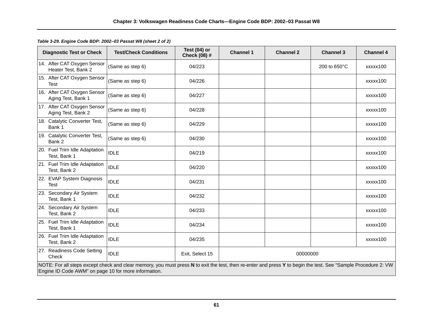*Table 3-29. Engine Code BDP: 2002–03 Passat W8 (sheet 2 of 2)*

| <b>Diagnostic Test or Check</b>                                                                                                                                                                                        | <b>Test/Check Conditions</b> | Test $(04)$ or<br>Check (08) # | <b>Channel 1</b> | <b>Channel 2</b> | <b>Channel 3</b> | <b>Channel 4</b> |  |
|------------------------------------------------------------------------------------------------------------------------------------------------------------------------------------------------------------------------|------------------------------|--------------------------------|------------------|------------------|------------------|------------------|--|
| 14. After CAT Oxygen Sensor<br>Heater Test, Bank 2                                                                                                                                                                     | (Same as step 6)             | 04/223                         |                  |                  | 200 to 650°C     | xxxxx100         |  |
| 15. After CAT Oxygen Sensor<br><b>Test</b>                                                                                                                                                                             | (Same as step 6)             | 04/226                         |                  |                  |                  | xxxxx100         |  |
| 16. After CAT Oxygen Sensor<br>Aging Test, Bank 1                                                                                                                                                                      | (Same as step 6)             | 04/227                         |                  |                  |                  | xxxxx100         |  |
| 17. After CAT Oxygen Sensor<br>Aging Test, Bank 2                                                                                                                                                                      | (Same as step 6)             | 04/228                         |                  |                  |                  | xxxxx100         |  |
| 18. Catalytic Converter Test,<br>Bank 1                                                                                                                                                                                | (Same as step 6)             | 04/229                         |                  |                  |                  | xxxxx100         |  |
| 19. Catalytic Converter Test,<br>Bank 2                                                                                                                                                                                | (Same as step 6)             | 04/230                         |                  |                  |                  | xxxxx100         |  |
| 20. Fuel Trim Idle Adaptation<br>Test, Bank 1                                                                                                                                                                          | <b>IDLE</b>                  | 04/219                         |                  |                  |                  | xxxxx100         |  |
| 21. Fuel Trim Idle Adaptation<br>Test, Bank 2                                                                                                                                                                          | <b>IDLE</b>                  | 04/220                         |                  |                  |                  | xxxxx100         |  |
| 22. EVAP System Diagnosis<br>Test                                                                                                                                                                                      | <b>IDLE</b>                  | 04/231                         |                  |                  |                  | xxxxx100         |  |
| 23. Secondary Air System<br>Test, Bank 1                                                                                                                                                                               | <b>IDLE</b>                  | 04/232                         |                  |                  |                  | xxxxx100         |  |
| 24. Secondary Air System<br>Test, Bank 2                                                                                                                                                                               | <b>IDLE</b>                  | 04/233                         |                  |                  |                  | xxxxx100         |  |
| 25. Fuel Trim Idle Adaptation<br>Test, Bank 1                                                                                                                                                                          | <b>IDLE</b>                  | 04/234                         |                  |                  |                  | xxxxx100         |  |
| 26. Fuel Trim Idle Adaptation<br>Test, Bank 2                                                                                                                                                                          | <b>IDLE</b>                  | 04/235                         |                  |                  |                  | xxxxx100         |  |
| 27. Readiness Code Setting<br>Check                                                                                                                                                                                    | <b>IDLE</b>                  | Exit, Select 15                |                  | 00000000         |                  |                  |  |
| NOTE: For all steps except check and clear memory, you must press N to exit the test, then re-enter and press Y to begin the test. See "Sample Procedure 2: VW<br>Engine ID Code AWM" on page 10 for more information. |                              |                                |                  |                  |                  |                  |  |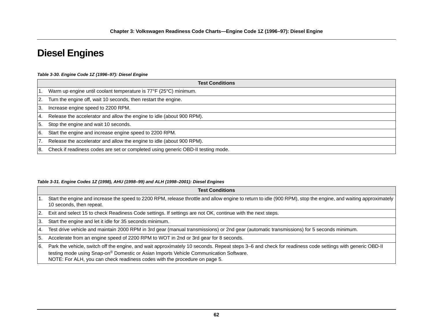# **Diesel Engines**

#### *Table 3-30. Engine Code 1Z (1996–97): Diesel Engine*

|     | <b>Test Conditions</b>                                                           |  |  |  |  |  |
|-----|----------------------------------------------------------------------------------|--|--|--|--|--|
| 1.  | Warm up engine until coolant temperature is 77°F (25°C) minimum.                 |  |  |  |  |  |
| 2.  | Turn the engine off, wait 10 seconds, then restart the engine.                   |  |  |  |  |  |
| 13. | Increase engine speed to 2200 RPM.                                               |  |  |  |  |  |
| 14. | Release the accelerator and allow the engine to idle (about 900 RPM).            |  |  |  |  |  |
| 15. | Stop the engine and wait 10 seconds.                                             |  |  |  |  |  |
| I6. | Start the engine and increase engine speed to 2200 RPM.                          |  |  |  |  |  |
| 7.  | Release the accelerator and allow the engine to idle (about 900 RPM).            |  |  |  |  |  |
| 18. | Check if readiness codes are set or completed using generic OBD-II testing mode. |  |  |  |  |  |

#### *Table 3-31. Engine Codes 1Z (1998), AHU (1998–99) and ALH (1998–2001): Diesel Engines*

|               | <b>Test Conditions</b>                                                                                                                                                                                                                                                                                                        |
|---------------|-------------------------------------------------------------------------------------------------------------------------------------------------------------------------------------------------------------------------------------------------------------------------------------------------------------------------------|
|               | Start the engine and increase the speed to 2200 RPM, release throttle and allow engine to return to idle (900 RPM), stop the engine, and waiting approximately  <br>10 seconds, then repeat.                                                                                                                                  |
| 2.            | Exit and select 15 to check Readiness Code settings. If settings are not OK, continue with the next steps.                                                                                                                                                                                                                    |
| 3.            | Start the engine and let it idle for 35 seconds minimum.                                                                                                                                                                                                                                                                      |
| 4.            | Test drive vehicle and maintain 2000 RPM in 3rd gear (manual transmissions) or 2nd gear (automatic transmissions) for 5 seconds minimum.                                                                                                                                                                                      |
| 5.            | Accelerate from an engine speed of 2200 RPM to WOT in 2nd or 3rd gear for 8 seconds.                                                                                                                                                                                                                                          |
| <sup>6.</sup> | Park the vehicle, switch off the engine, and wait approximately 10 seconds. Repeat steps 3-6 and check for readiness code settings with generic OBD-II<br>testing mode using Snap-on® Domestic or Asian Imports Vehicle Communication Software.<br>NOTE: For ALH, you can check readiness codes with the procedure on page 5. |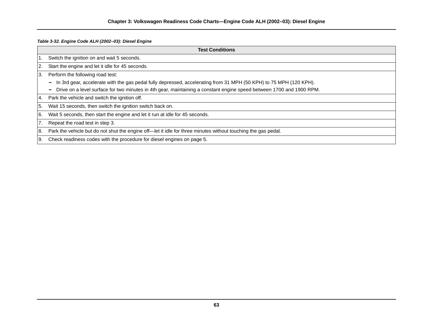*Table 3-32. Engine Code ALH (2002–03): Diesel Engine*

|                | <b>Test Conditions</b>                                                                                               |  |  |  |  |  |
|----------------|----------------------------------------------------------------------------------------------------------------------|--|--|--|--|--|
| 1.             | Switch the ignition on and wait 5 seconds.                                                                           |  |  |  |  |  |
| <u>2.</u>      | Start the engine and let it idle for 45 seconds.                                                                     |  |  |  |  |  |
| ΙЗ.            | Perform the following road test:                                                                                     |  |  |  |  |  |
|                | In 3rd gear, accelerate with the gas pedal fully depressed, accelerating from 31 MPH (50 KPH) to 75 MPH (120 KPH).   |  |  |  |  |  |
|                | Drive on a level surface for two minutes in 4th gear, maintaining a constant engine speed between 1700 and 1900 RPM. |  |  |  |  |  |
| I4.            | Park the vehicle and switch the ignition off.                                                                        |  |  |  |  |  |
| 5.             | Wait 15 seconds, then switch the ignition switch back on.                                                            |  |  |  |  |  |
| <sup>6.</sup>  | Wait 5 seconds, then start the engine and let it run at idle for 45 seconds.                                         |  |  |  |  |  |
| 7 <sub>1</sub> | Repeat the road test in step 3.                                                                                      |  |  |  |  |  |
| l 8.           | Park the vehicle but do not shut the engine off—let it idle for three minutes without touching the gas pedal.        |  |  |  |  |  |
| -9.            | Check readiness codes with the procedure for diesel engines on page 5.                                               |  |  |  |  |  |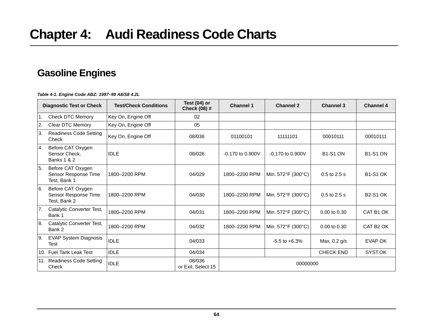# **Gasoline Engines**

*Table 4-1. Engine Code ABZ: 1997–99 A8/S8 4.2L*

|     | <b>Diagnostic Test or Check</b>                              | <b>Test/Check Conditions</b> | Test (04) or<br>Check (08) # | <b>Channel 1</b>   | <b>Channel 2</b>   | <b>Channel 3</b> | <b>Channel 4</b>      |
|-----|--------------------------------------------------------------|------------------------------|------------------------------|--------------------|--------------------|------------------|-----------------------|
| l1. | <b>Check DTC Memory</b>                                      | Key On, Engine Off           | 02                           |                    |                    |                  |                       |
| 2.  | Clear DTC Memory                                             | Key On, Engine Off           | 05                           |                    |                    |                  |                       |
| 3.  | <b>Readiness Code Setting</b><br>Check                       | Key On, Engine Off           | 08/036                       | 01100101           | 11111101           | 00010111         | 00010111              |
| 4.  | Before CAT Oxygen<br>Sensor Check,<br><b>Banks 1 &amp; 2</b> | <b>IDLE</b>                  | 08/026                       | $-0.170$ to 0.900V | -0.170 to 0.900V   | <b>B1-S1 ON</b>  | <b>B1-S1 ON</b>       |
| 5.  | Before CAT Oxygen<br>Sensor Response Time<br>Test, Bank 1    | 1800-2200 RPM                | 04/029                       | 1800-2200 RPM      | Min. 572°F (300°C) | $0.5$ to $2.5$ s | <b>B1-S1 OK</b>       |
| 6.  | Before CAT Oxygen<br>Sensor Response Time<br>Test, Bank 2    | 1800-2200 RPM                | 04/030                       | 1800-2200 RPM      | Min. 572°F (300°C) | $0.5$ to $2.5$ s | <b>B2-S1 OK</b>       |
| 7.  | Catalytic Converter Test,<br>Bank 1                          | 1800-2200 RPM                | 04/031                       | 1800-2200 RPM      | Min. 572°F (300°C) | $0.00$ to $0.30$ | CAT B1 OK             |
| 8.  | Catalytic Converter Test,<br>Bank 2                          | 1800-2200 RPM                | 04/032                       | 1800-2200 RPM      | Min. 572°F (300°C) | 0.00 to 0.30     | CAT B <sub>2</sub> OK |
| 9.  | <b>EVAP System Diagnosis</b><br>Test                         | <b>IDLE</b>                  | 04/033                       |                    | $-5.5$ to $+6.3%$  | Max. 0.2 g/s     | <b>EVAP OK</b>        |
|     | 10. Fuel Tank Leak Test                                      | <b>IDLE</b>                  | 04/034                       |                    |                    | <b>CHECK END</b> | SYST.OK               |
|     | 11. Readiness Code Setting<br>Check                          | <b>IDLE</b>                  | 08/036<br>or Exit, Select 15 | 00000000           |                    |                  |                       |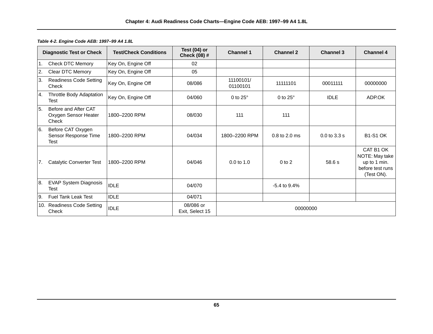| <b>Diagnostic Test or Check</b> |                                                       | <b>Test/Check Conditions</b> | Test $(04)$ or<br>Check (08) # | <b>Channel 1</b>      | <b>Channel 2</b>  | <b>Channel 3</b> | <b>Channel 4</b>                                                              |
|---------------------------------|-------------------------------------------------------|------------------------------|--------------------------------|-----------------------|-------------------|------------------|-------------------------------------------------------------------------------|
| $\overline{1}$ .                | Check DTC Memory                                      | Key On, Engine Off           | 02                             |                       |                   |                  |                                                                               |
| 2.                              | Clear DTC Memory                                      | Key On, Engine Off           | 05                             |                       |                   |                  |                                                                               |
| 3.                              | <b>Readiness Code Setting</b><br>Check                | Key On, Engine Off           | 08/086                         | 11100101/<br>01100101 | 11111101          | 00011111         | 00000000                                                                      |
| 4.                              | Throttle Body Adaptation<br>Test                      | Key On, Engine Off           | 04/060                         | 0 to $25^\circ$       | 0 to $25^\circ$   | <b>IDLE</b>      | ADP.OK                                                                        |
| 5.                              | Before and After CAT<br>Oxygen Sensor Heater<br>Check | 1800-2200 RPM                | 08/030                         | 111                   | 111               |                  |                                                                               |
| 6.                              | Before CAT Oxygen<br>Sensor Response Time<br>Test     | 1800-2200 RPM                | 04/034                         | 1800-2200 RPM         | 0.8 to 2.0 ms     | $0.0$ to $3.3$ s | <b>B1-S1 OK</b>                                                               |
| 7.                              | Catalytic Converter Test                              | 1800-2200 RPM                | 04/046                         | $0.0 \text{ to } 1.0$ | $0$ to $2$        | 58.6 s           | CAT B1 OK<br>NOTE: May take<br>up to 1 min.<br>before test runs<br>(Test ON). |
| 8.                              | <b>EVAP System Diagnosis</b><br>Test                  | <b>IDLE</b>                  | 04/070                         |                       | $-5.4$ to $9.4\%$ |                  |                                                                               |
| 9.                              | <b>Fuel Tank Leak Test</b>                            | <b>IDLE</b>                  | 04/071                         |                       |                   |                  |                                                                               |
|                                 | 10. Readiness Code Setting<br>Check                   | <b>IDLE</b>                  | 08/086 or<br>Exit, Select 15   | 00000000              |                   |                  |                                                                               |

#### *Table 4-2. Engine Code AEB: 1997–99 A4 1.8L*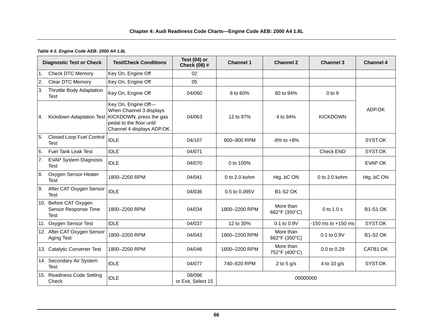# **Chapter 4: Audi Readiness Code Charts—Engine Code AEB: 2000 A4 1.8L**

# *Table 4-3. Engine Code AEB: 2000 A4 1.8L*

|     | <b>Diagnostic Test or Check</b>                              | <b>Test/Check Conditions</b>                                                                                                                                   | Test (04) or<br>Check (08) # | <b>Channel 1</b>  | <b>Channel 2</b>           | <b>Channel 3</b>       | <b>Channel 4</b> |  |
|-----|--------------------------------------------------------------|----------------------------------------------------------------------------------------------------------------------------------------------------------------|------------------------------|-------------------|----------------------------|------------------------|------------------|--|
| 1.  | <b>Check DTC Memory</b>                                      | Key On, Engine Off                                                                                                                                             | 02                           |                   |                            |                        |                  |  |
| 2.  | Clear DTC Memory                                             | Key On, Engine Off                                                                                                                                             | 05                           |                   |                            |                        |                  |  |
| ΙЗ. | <b>Throttle Body Adaptation</b><br><b>Test</b>               | Key On, Engine Off                                                                                                                                             | 04/060                       | 8 to 60%          | 60 to 94%                  | $0$ to $9$             |                  |  |
| 4.  |                                                              | Key On, Engine Off-<br>When Channel 3 displays<br>Kickdown Adaptation Test   KICKDOWN, press the gas<br>pedal to the floor until<br>Channel 4 displays ADP.OK. | 04/063                       | 12 to 97%         | 4 to 94%                   | <b>KICKDOWN</b>        | ADP.OK           |  |
| 5.  | <b>Closed Loop Fuel Control</b><br><b>Test</b>               | <b>IDLE</b>                                                                                                                                                    | 04/107                       | 800-900 RPM       | $-8\%$ to $+8\%$           |                        | SYST.OK          |  |
| 6.  | <b>Fuel Tank Leak Test</b>                                   | <b>IDLE</b>                                                                                                                                                    | 04/071                       |                   |                            | <b>Check END</b>       | SYST.OK          |  |
| 7.  | <b>EVAP System Diagnosis</b><br>Test                         | <b>IDLE</b>                                                                                                                                                    | 04/070                       | 0 to 100%         |                            |                        | <b>EVAP OK</b>   |  |
| 8.  | Oxygen Sensor Heater<br><b>Test</b>                          | 1800-2200 RPM                                                                                                                                                  | 04/041                       | $0$ to $2.0$ kohm | HtgbC ON                   | $0$ to $2.0$ kohm      | HtgbC ON         |  |
| 9.  | After CAT Oxygen Sensor<br><b>Test</b>                       | <b>IDLE</b>                                                                                                                                                    | 04/036                       | 0.5 to 0.095V     | <b>B1-S2 OK</b>            |                        |                  |  |
|     | 10. Before CAT Oxygen<br>Sensor Response Time<br><b>Test</b> | 1800-2200 RPM                                                                                                                                                  | 04/034                       | 1800-2200 RPM     | More than<br>662°F (350°C) | 0 to 1.0 s             | <b>B1-S1 OK</b>  |  |
|     | 11. Oxygen Sensor Test                                       | <b>IDLE</b>                                                                                                                                                    | 04/037                       | 12 to 30%         | 0.1 to 0.9V                | $-150$ ms to $+150$ ms | SYST.OK          |  |
|     | 12. After CAT Oxygen Sensor<br>Aging Test                    | 1800-2200 RPM                                                                                                                                                  | 04/043                       | 1800-2200 RPM     | More than<br>662°F (350°C) | $0.1$ to $0.9V$        | <b>B1-S2 OK</b>  |  |
|     | 13. Catalytic Converter Test                                 | 1800-2200 RPM                                                                                                                                                  | 04/046                       | 1800-2200 RPM     | More than<br>752°F (400°C) | 0.0 to 0.29            | CATB1 OK         |  |
|     | 14. Secondary Air System<br><b>Test</b>                      | <b>IDLE</b>                                                                                                                                                    | 04/077                       | 740-920 RPM       | 2 to 5 $g/s$               | 4 to 10 g/s            | SYST.OK          |  |
|     | 15. Readiness Code Setting<br>Check                          | <b>IDLE</b>                                                                                                                                                    | 08/086<br>or Exit, Select 15 | 00000000          |                            |                        |                  |  |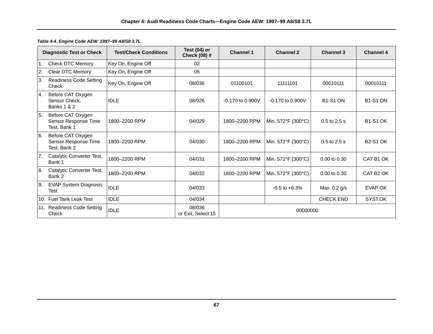|                  | <b>Diagnostic Test or Check</b>                              | <b>Test/Check Conditions</b> | Test $(04)$ or<br><b>Check (08) #</b> | <b>Channel 1</b>     | <b>Channel 2</b>     | <b>Channel 3</b> | <b>Channel 4</b> |
|------------------|--------------------------------------------------------------|------------------------------|---------------------------------------|----------------------|----------------------|------------------|------------------|
| $\overline{1}$ . | Check DTC Memory                                             | Key On, Engine Off           | 02                                    |                      |                      |                  |                  |
| 2.               | Clear DTC Memory                                             | Key On, Engine Off           | 05                                    |                      |                      |                  |                  |
| 3.               | <b>Readiness Code Setting</b><br>Check                       | Key On, Engine Off           | 08/036                                | 01100101             | 11111101             | 00010111         | 00010111         |
| 4.               | Before CAT Oxygen<br>Sensor Check,<br><b>Banks 1 &amp; 2</b> | <b>IDLE</b>                  | 08/026                                | $-0.170$ to $0.900V$ | $-0.170$ to $0.900V$ | <b>B1-S1 ON</b>  | <b>B1-S1 ON</b>  |
| 5.               | Before CAT Oxygen<br>Sensor Response Time<br>Test, Bank 1    | 1800-2200 RPM                | 04/029                                | 1800-2200 RPM        | Min. 572°F (300°C)   | $0.5$ to $2.5$ s | <b>B1-S1 OK</b>  |
| 6.               | Before CAT Oxygen<br>Sensor Response Time<br>Test, Bank 2    | 1800-2200 RPM                | 04/030                                | 1800-2200 RPM        | Min. 572°F (300°C)   | $0.5$ to $2.5$ s | <b>B2-S1 OK</b>  |
| 7.               | Catalytic Converter Test,<br>Bank 1                          | 1800-2200 RPM                | 04/031                                | 1800-2200 RPM        | Min. 572°F (300°C)   | 0.00 to 0.30     | CAT B1 OK        |
| 8.               | Catalytic Converter Test,<br>Bank 2                          | 1800-2200 RPM                | 04/032                                | 1800-2200 RPM        | Min. 572°F (300°C)   | $0.00$ to $0.30$ | CAT B2 OK        |
| 9.               | <b>EVAP System Diagnosis</b><br>Test                         | <b>IDLE</b>                  | 04/033                                |                      | $-5.5$ to $+6.3%$    | Max. 0.2 g/s     | <b>EVAP OK</b>   |
|                  | 10. Fuel Tank Leak Test                                      | <b>IDLE</b>                  | 04/034                                |                      |                      | <b>CHECK END</b> | SYST.OK          |
|                  | 11. Readiness Code Setting<br>Check                          | <b>IDLE</b>                  | 08/036<br>or Exit, Select 15          |                      | 00000000             |                  |                  |

*Table 4-4. Engine Code AEW: 1997–99 A8/S8 3.7L*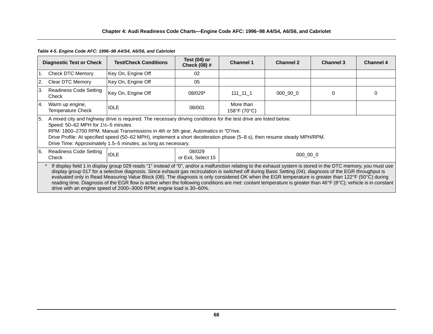# **Chapter 4: Audi Readiness Code Charts—Engine Code AFC: 1996–98 A4/S4, A6/S6, and Cabriolet**

#### *Table 4-5. Engine Code AFC: 1996–98 A4/S4, A6/S6, and Cabriolet*

|               | <b>Diagnostic Test or Check</b>                                                                                                                                                                                                                                                                                                                                                                                                                                                                                                                                                                                                                                                                                                  | <b>Test/Check Conditions</b> | Test (04) or<br><b>Check (08) #</b> | <b>Channel 1</b>          | <b>Channel 2</b> | <b>Channel 3</b> | <b>Channel 4</b> |  |  |
|---------------|----------------------------------------------------------------------------------------------------------------------------------------------------------------------------------------------------------------------------------------------------------------------------------------------------------------------------------------------------------------------------------------------------------------------------------------------------------------------------------------------------------------------------------------------------------------------------------------------------------------------------------------------------------------------------------------------------------------------------------|------------------------------|-------------------------------------|---------------------------|------------------|------------------|------------------|--|--|
| 1.            | <b>Check DTC Memory</b>                                                                                                                                                                                                                                                                                                                                                                                                                                                                                                                                                                                                                                                                                                          | Key On, Engine Off           | 02                                  |                           |                  |                  |                  |  |  |
| 2.            | Clear DTC Memory                                                                                                                                                                                                                                                                                                                                                                                                                                                                                                                                                                                                                                                                                                                 | Key On, Engine Off           | 05                                  |                           |                  |                  |                  |  |  |
| <sup>3.</sup> | <b>Readiness Code Setting</b><br>Check                                                                                                                                                                                                                                                                                                                                                                                                                                                                                                                                                                                                                                                                                           | Key On, Engine Off           | 08/029*                             | $111 - 11 - 1$            | 000 00 0         | 0                | 0                |  |  |
| <b>14.</b>    | Warm up engine,<br><b>Temperature Check</b>                                                                                                                                                                                                                                                                                                                                                                                                                                                                                                                                                                                                                                                                                      | <b>IDLE</b>                  | 08/001                              | More than<br>158°F (70°C) |                  |                  |                  |  |  |
| <b>5.</b>     | A mixed city and highway drive is required. The necessary driving conditions for the test drive are listed below:<br>Speed: $50-62$ MPH for $1\frac{1}{2}-5$ minutes<br>RPM: 1800–2700 RPM. Manual Transmissions in 4th or 5th gear, Automatics in "D"rive.<br>Drive Profile: At specified speed (50–62 MPH), implement a short deceleration phase (5–8 s), then resume steady MPH/RPM.<br>Drive Time: Approximately 1.5–5 minutes, as long as necessary.                                                                                                                                                                                                                                                                        |                              |                                     |                           |                  |                  |                  |  |  |
| I6.           | <b>Readiness Code Setting</b><br>Check                                                                                                                                                                                                                                                                                                                                                                                                                                                                                                                                                                                                                                                                                           | <b>IDLE</b>                  | 08/029<br>or Exit, Select 15        |                           | 000 00 0         |                  |                  |  |  |
|               | If display field 1 in display group 029 reads "1" instead of "0", and/or a malfunction relating to the exhaust system is stored in the DTC memory, you must use<br>display group 017 for a selective diagnosis. Since exhaust gas recirculation is switched off during Basic Setting (04), diagnosis of the EGR throughput is<br>evaluated only in Read Measuring Value Block (08). The diagnosis is only considered OK when the EGR temperature is greater than 122°F (50°C) during<br>reading time. Diagnosis of the EGR flow is active when the following conditions are met: coolant temperature is greater than 46°F (8°C); vehicle is in constant  <br>drive with an engine speed of 2000–3000 RPM; engine load is 30–60%. |                              |                                     |                           |                  |                  |                  |  |  |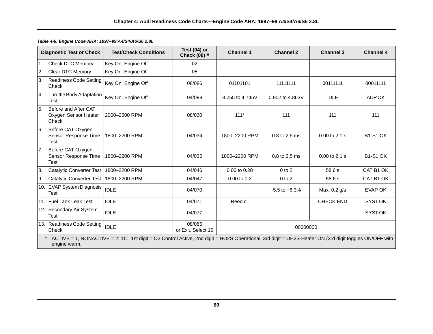|                | <b>Diagnostic Test or Check</b>                                                                                                                                        | <b>Test/Check Conditions</b> | Test $(04)$ or<br><b>Check (08) #</b> | <b>Channel 1</b> | <b>Channel 2</b>  | <b>Channel 3</b> | <b>Channel 4</b> |  |  |  |
|----------------|------------------------------------------------------------------------------------------------------------------------------------------------------------------------|------------------------------|---------------------------------------|------------------|-------------------|------------------|------------------|--|--|--|
| 1.             | <b>Check DTC Memory</b>                                                                                                                                                | Key On, Engine Off           | 02                                    |                  |                   |                  |                  |  |  |  |
| 2.             | Clear DTC Memory                                                                                                                                                       | Key On, Engine Off           | 05                                    |                  |                   |                  |                  |  |  |  |
| 3.             | <b>Readiness Code Setting</b><br>Check                                                                                                                                 | Key On, Engine Off           | 08/086                                | 01101101         | 11111111          | 00111111         | 00011111         |  |  |  |
| 4.             | Throttle Body Adaptation<br>Test                                                                                                                                       | Key On, Engine Off           | 04/098                                | 3.255 to 4.745V  | 0.902 to 4.863V   | <b>IDLE</b>      | ADP.OK           |  |  |  |
| 5.             | Before and After CAT<br>Oxygen Sensor Heater<br>Check                                                                                                                  | 2000-2500 RPM                | 08/030                                | $111*$           | 111               | 111              | 111              |  |  |  |
| 6.             | Before CAT Oxygen<br>Sensor Response Time<br>Test                                                                                                                      | 1800-2200 RPM                | 04/034                                | 1800-2200 RPM    | 0.8 to 2.5 ms     | 0.00 to 2.1 s    | <b>B1-S1 OK</b>  |  |  |  |
| 7 <sub>1</sub> | Before CAT Oxygen<br>Sensor Response Time<br>Test                                                                                                                      | 1800-2200 RPM                | 04/035                                | 1800-2200 RPM    | 0.8 to 2.5 ms     | 0.00 to 2.1 s    | <b>B1-S1 OK</b>  |  |  |  |
| 8.             | Catalytic Converter Test                                                                                                                                               | 1800-2200 RPM                | 04/046                                | 0.00 to 0.28     | $0$ to $2$        | 58.6 s           | CAT B1 OK        |  |  |  |
| 9.             | Catalytic Converter Test                                                                                                                                               | 1800-2200 RPM                | 04/047                                | 0.00 to 0.2      | $0$ to $2$        | 58.6 s           | CAT B1 OK        |  |  |  |
|                | 10. EVAP System Diagnosis<br>Test                                                                                                                                      | <b>IDLE</b>                  | 04/070                                |                  | $-5.5$ to $+6.3%$ | Max. 0.2 g/s     | EVAP OK          |  |  |  |
|                | 11. Fuel Tank Leak Test                                                                                                                                                | <b>IDLE</b>                  | 04/071                                | Reed cl.         |                   | <b>CHECK END</b> | SYST.OK          |  |  |  |
|                | 12. Secondary Air System<br>Test                                                                                                                                       | <b>IDLE</b>                  | 04/077                                |                  |                   |                  | SYST.OK          |  |  |  |
|                | 13. Readiness Code Setting<br>Check                                                                                                                                    | <b>IDLE</b>                  | 08/086<br>or Exit, Select 15          | 00000000         |                   |                  |                  |  |  |  |
|                | ACTIVE = 1, NONACTIVE = 2; 111: 1st digit = O2 Control Active, 2nd digit = HO2S Operational, 3rd digit = OH2S Heater ON (3rd digit toggles ON/OFF with<br>engine warm. |                              |                                       |                  |                   |                  |                  |  |  |  |

*Table 4-6. Engine Code AHA: 1997–99 A4/S4/A6/S6 2.8L*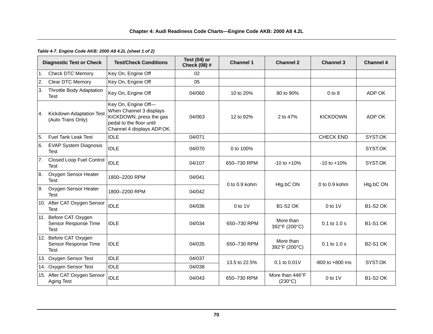#### *Table 4-7. Engine Code AKB: 2000 A8 4.2L (sheet 1 of 2)*

|                | <b>Diagnostic Test or Check</b>                              | <b>Test/Check Conditions</b>                                                                                                        | Test (04) or<br><b>Check (08) #</b> | <b>Channel 1</b>  | <b>Channel 2</b>                    | <b>Channel 3</b>    | <b>Channel 4</b> |
|----------------|--------------------------------------------------------------|-------------------------------------------------------------------------------------------------------------------------------------|-------------------------------------|-------------------|-------------------------------------|---------------------|------------------|
| 1 <sub>1</sub> | <b>Check DTC Memory</b>                                      | Key On, Engine Off                                                                                                                  | 02                                  |                   |                                     |                     |                  |
| 2.             | Clear DTC Memory                                             | Key On, Engine Off                                                                                                                  | 05                                  |                   |                                     |                     |                  |
| 3.             | <b>Throttle Body Adaptation</b><br><b>Test</b>               | Key On, Engine Off                                                                                                                  | 04/060                              | 10 to 20%         | 80 to 90%                           | $0$ to $8$          | ADP OK           |
| <b>4.</b>      | Kickdown Adaptation Test<br>(Auto Trans Only)                | Key On, Engine Off-<br>When Channel 3 displays<br>KICKDOWN, press the gas<br>pedal to the floor until<br>Channel 4 displays ADP.OK. | 04/063                              | 12 to 92%         | 2 to 47%                            | <b>KICKDOWN</b>     | ADP OK           |
| 5.             | <b>Fuel Tank Leak Test</b>                                   | <b>IDLE</b>                                                                                                                         | 04/071                              |                   |                                     | <b>CHECK END</b>    | SYST.OK          |
| 6.             | <b>EVAP System Diagnosis</b><br><b>Test</b>                  | <b>IDLE</b>                                                                                                                         | 04/070                              | 0 to 100%         |                                     |                     | SYST.OK          |
| 7.             | <b>Closed Loop Fuel Control</b><br><b>Test</b>               | <b>IDLE</b>                                                                                                                         | 04/107                              | 650-730 RPM       | $-10$ to $+10%$                     | $-10$ to $+10%$     | SYST.OK          |
| 8.             | Oxygen Sensor Heater<br><b>Test</b>                          | 1800-2200 RPM                                                                                                                       | 04/041                              | $0$ to $0.9$ kohm | Htg.bC ON                           | $0$ to $0.9$ kohm   | Htg.bC ON        |
| l9.            | Oxygen Sensor Heater<br><b>Test</b>                          | 1800-2200 RPM                                                                                                                       | 04/042                              |                   |                                     |                     |                  |
|                | 10. After CAT Oxygen Sensor<br><b>Test</b>                   | <b>IDLE</b>                                                                                                                         | 04/036                              | $0$ to 1V         | <b>B1-S2 OK</b>                     | $0$ to 1V           | <b>B1-S2 OK</b>  |
|                | 11. Before CAT Oxygen<br>Sensor Response Time<br><b>Test</b> | <b>IDLE</b>                                                                                                                         | 04/034                              | 650-730 RPM       | More than<br>392°F (200°C)          | $0.1$ to $1.0$ s    | <b>B1-S1 OK</b>  |
|                | 12. Before CAT Oxygen<br>Sensor Response Time<br><b>Test</b> | <b>IDLE</b>                                                                                                                         | 04/035                              | 650-730 RPM       | More than<br>392°F (200°C)          | 0.1 to 1.0 s        | <b>B2-S1 OK</b>  |
|                | 13. Oxygen Sensor Test                                       | <b>IDLE</b>                                                                                                                         | 04/037                              | 13.5 to 22.5%     | 0.1 to 0.01V                        | $-800$ to $+800$ ms | SYST.OK          |
|                | 14. Oxygen Sensor Test                                       | <b>IDLE</b>                                                                                                                         | 04/038                              |                   |                                     |                     |                  |
|                | 15. After CAT Oxygen Sensor<br>Aging Test                    | <b>IDLE</b>                                                                                                                         | 04/043                              | 650-730 RPM       | More than 446°F<br>$(230^{\circ}C)$ | $0$ to 1V           | <b>B1-S2 OK</b>  |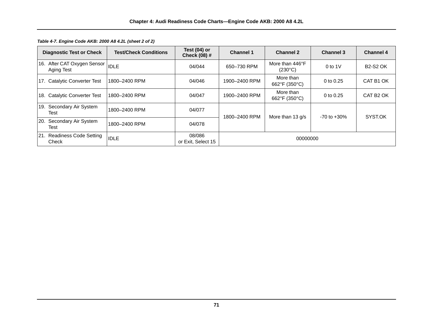| <b>Diagnostic Test or Check</b>                 | <b>Test/Check Conditions</b> | Test $(04)$ or<br><b>Check (08) #</b> | <b>Channel 1</b>                                      | <b>Channel 2</b>                    | <b>Channel 3</b> | <b>Channel 4</b>      |
|-------------------------------------------------|------------------------------|---------------------------------------|-------------------------------------------------------|-------------------------------------|------------------|-----------------------|
| 16. After CAT Oxygen Sensor  IDLE<br>Aging Test |                              | 04/044                                | 650-730 RPM                                           | More than 446°F<br>$(230^{\circ}C)$ | 0 to $1V$        | <b>B2-S2 OK</b>       |
| 17. Catalytic Converter Test                    | 1800-2400 RPM                | 04/046                                | 1900-2400 RPM                                         | More than<br>662°F (350°C)          | 0 to 0.25        | CAT B1 OK             |
| 18. Catalytic Converter Test                    | 1800-2400 RPM                | 04/047                                | 1900-2400 RPM                                         | More than<br>662°F (350°C)          | 0 to 0.25        | CAT B <sub>2</sub> OK |
| Secondary Air System<br>19.<br>Test             | 1800-2400 RPM                | 04/077                                | 1800-2400 RPM<br>More than 13 g/s<br>$-70$ to $+30\%$ |                                     | SYST.OK          |                       |
| 20.<br>Secondary Air System<br>Test             | 1800-2400 RPM                | 04/078                                |                                                       |                                     |                  |                       |
| 21. Readiness Code Setting<br>Check             | <b>IDLE</b>                  | 08/086<br>or Exit, Select 15          | 00000000                                              |                                     |                  |                       |

*Table 4-7. Engine Code AKB: 2000 A8 4.2L (sheet 2 of 2)*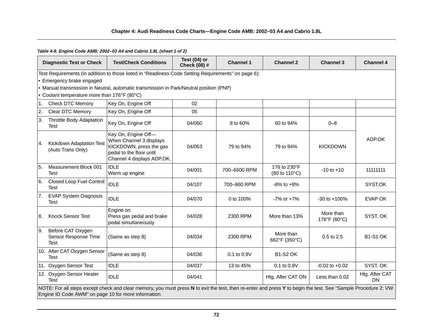# **Chapter 4: Audi Readiness Code Charts—Engine Code AMB: 2002–03 A4 and Cabrio 1.8L**

# *Table 4-8. Engine Code AMB: 2002–03 A4 and Cabrio 1.8L (sheet 1 of 2)*

|                | <b>Diagnostic Test or Check</b>                                                                                                                                                                                        | <b>Test/Check Conditions</b>                                                                                                        | Test $(04)$ or<br>Check (08) # | <b>Channel 1</b> | <b>Channel 2</b>              | <b>Channel 3</b>          | <b>Channel 4</b>     |  |  |  |
|----------------|------------------------------------------------------------------------------------------------------------------------------------------------------------------------------------------------------------------------|-------------------------------------------------------------------------------------------------------------------------------------|--------------------------------|------------------|-------------------------------|---------------------------|----------------------|--|--|--|
|                | Emergency brake engaged                                                                                                                                                                                                | Test Requirements (in addition to those listed in "Readiness Code Setting Requirements" on page 6):                                 |                                |                  |                               |                           |                      |  |  |  |
|                |                                                                                                                                                                                                                        | . Manual transmission in Neutral, automatic transmission in Park/Neutral position (PNP)                                             |                                |                  |                               |                           |                      |  |  |  |
|                | Coolant temperature more than 176°F (80°C)                                                                                                                                                                             |                                                                                                                                     |                                |                  |                               |                           |                      |  |  |  |
| 1 <sub>1</sub> | <b>Check DTC Memory</b>                                                                                                                                                                                                | Key On, Engine Off                                                                                                                  | 02                             |                  |                               |                           |                      |  |  |  |
| 2.             | Clear DTC Memory                                                                                                                                                                                                       | Key On, Engine Off                                                                                                                  | 05                             |                  |                               |                           |                      |  |  |  |
| 3.             | <b>Throttle Body Adaptation</b><br><b>Test</b>                                                                                                                                                                         | Key On, Engine Off                                                                                                                  | 04/060                         | 8 to 60%         | 60 to 94%                     | $0 - 8$                   |                      |  |  |  |
| 4.             | Kickdown Adaptation Test<br>(Auto Trans Only)                                                                                                                                                                          | Key On, Engine Off-<br>When Channel 3 displays<br>KICKDOWN, press the gas<br>pedal to the floor until<br>Channel 4 displays ADP.OK. | 04/063                         | 79 to 94%        | 79 to 94%                     | <b>KICKDOWN</b>           | ADP.OK               |  |  |  |
| 5.             | Measurement Block 001<br><b>Test</b>                                                                                                                                                                                   | <b>IDLE</b><br>Warm up engine                                                                                                       | 04/001                         | 700-6600 RPM     | 176 to 230°F<br>(80 to 110°C) | $-10$ to $+10$            | 11111111             |  |  |  |
| 6.             | <b>Closed Loop Fuel Control</b><br><b>Test</b>                                                                                                                                                                         | <b>IDLE</b>                                                                                                                         | 04/107                         | 700-860 RPM      | $-8\%$ to $+8\%$              |                           | SYST.OK              |  |  |  |
| <b>7.</b>      | <b>EVAP System Diagnosis</b><br>Test                                                                                                                                                                                   | <b>IDLE</b>                                                                                                                         | 04/070                         | 0 to 100%        | $-7\%$ or $+7\%$              | $-30$ to $+100%$          | <b>EVAP OK</b>       |  |  |  |
| 8.             | <b>Knock Sensor Test</b>                                                                                                                                                                                               | Engine on<br>Press gas pedal and brake<br>pedal simultaneously                                                                      | 04/028                         | 2300 RPM         | More than 13%                 | More than<br>176°F (80°C) | SYST. OK             |  |  |  |
| 9.             | Before CAT Oxygen<br>Sensor Response Time<br><b>Test</b>                                                                                                                                                               | (Same as step 8)                                                                                                                    | 04/034                         | 2300 RPM         | More than<br>662°F (350°C)    | 0.5 to 2.5                | <b>B1-S1 OK</b>      |  |  |  |
|                | 10. After CAT Oxygen Sensor<br>Test                                                                                                                                                                                    | (Same as step 8)                                                                                                                    | 04/036                         | 0.1 to 0.9V      | <b>B1-S2 OK</b>               |                           |                      |  |  |  |
|                | 11. Oxygen Sensor Test                                                                                                                                                                                                 | <b>IDLE</b>                                                                                                                         | 04/037                         | 13 to 45%        | 0.1 to 0.9V                   | $-0.02$ to $+0.02$        | SYST. OK             |  |  |  |
|                | 12. Oxygen Sensor Heater<br><b>Test</b>                                                                                                                                                                                | <b>IDLE</b>                                                                                                                         | 04/041                         |                  | Htg. After CAT ON             | Less than 0.02            | Htg. After CAT<br>ON |  |  |  |
|                | NOTE: For all steps except check and clear memory, you must press N to exit the test, then re-enter and press Y to begin the test. See "Sample Procedure 2: VW<br>Engine ID Code AWM" on page 10 for more information. |                                                                                                                                     |                                |                  |                               |                           |                      |  |  |  |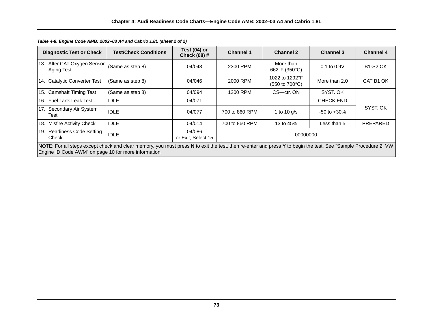| <b>Diagnostic Test or Check</b>                                                                                                                                                                                        | <b>Test/Check Conditions</b> | Test $(04)$ or<br><b>Check (08) #</b> | <b>Channel 1</b> | <b>Channel 2</b>                                          | <b>Channel 3</b> | <b>Channel 4</b> |  |  |  |
|------------------------------------------------------------------------------------------------------------------------------------------------------------------------------------------------------------------------|------------------------------|---------------------------------------|------------------|-----------------------------------------------------------|------------------|------------------|--|--|--|
| 13. After CAT Oxygen Sensor<br>Aging Test                                                                                                                                                                              | (Same as step 8)             | 04/043                                | 2300 RPM         | More than<br>662°F (350°C)                                | $0.1$ to $0.9V$  | <b>B1-S2 OK</b>  |  |  |  |
| 14. Catalytic Converter Test                                                                                                                                                                                           | (Same as step 8)             | 04/046                                | 2000 RPM         | 1022 to 1292°F<br>$(550 \text{ to } 700^{\circ}\text{C})$ | More than 2.0    | CAT B1 OK        |  |  |  |
| 15. Camshaft Timing Test                                                                                                                                                                                               | (Same as step 8)             | 04/094                                | 1200 RPM         | CS-ctr. ON                                                | SYST. OK         |                  |  |  |  |
| 16. Fuel Tank Leak Test                                                                                                                                                                                                | <b>IDLE</b>                  | 04/071                                |                  |                                                           | <b>CHECK END</b> |                  |  |  |  |
| 17. Secondary Air System<br>Test                                                                                                                                                                                       | <b>IDLE</b>                  | 04/077                                | 700 to 860 RPM   | 1 to 10 $q/s$                                             | $-50$ to $+30\%$ | SYST. OK         |  |  |  |
| 18. Misfire Activity Check                                                                                                                                                                                             | <b>IDLE</b>                  | 04/014                                | 700 to 860 RPM   | 13 to 45%                                                 | Less than 5      | PREPARED         |  |  |  |
| 19. Readiness Code Setting<br>Check                                                                                                                                                                                    | <b>IDLE</b>                  | 04/086<br>or Exit, Select 15          | 00000000         |                                                           |                  |                  |  |  |  |
| NOTE: For all steps except check and clear memory, you must press N to exit the test, then re-enter and press Y to begin the test. See "Sample Procedure 2: VW<br>Engine ID Code AWM" on page 10 for more information. |                              |                                       |                  |                                                           |                  |                  |  |  |  |

*Table 4-8. Engine Code AMB: 2002–03 A4 and Cabrio 1.8L (sheet 2 of 2)*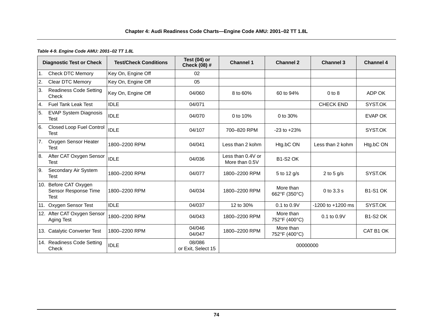# **Chapter 4: Audi Readiness Code Charts—Engine Code AMU: 2001–02 TT 1.8L**

#### *Table 4-9. Engine Code AMU: 2001–02 TT 1.8L*

|                  | <b>Diagnostic Test or Check</b>                              | <b>Test/Check Conditions</b> | Test (04) or<br>Check (08) # | <b>Channel 1</b>                    | <b>Channel 2</b>           | <b>Channel 3</b>  | <b>Channel 4</b> |
|------------------|--------------------------------------------------------------|------------------------------|------------------------------|-------------------------------------|----------------------------|-------------------|------------------|
| $\overline{1}$ . | <b>Check DTC Memory</b>                                      | Key On, Engine Off           | 02                           |                                     |                            |                   |                  |
| 2.               | <b>Clear DTC Memory</b>                                      | Key On, Engine Off           | 05                           |                                     |                            |                   |                  |
| 3.               | <b>Readiness Code Setting</b><br>Check                       | Key On, Engine Off           | 04/060                       | 8 to 60%                            | 60 to 94%                  | $0$ to $8$        | ADP OK           |
| $\overline{4}$ . | Fuel Tank Leak Test                                          | <b>IDLE</b>                  | 04/071                       |                                     |                            | <b>CHECK END</b>  | SYST.OK          |
| 5.               | <b>EVAP System Diagnosis</b><br><b>Test</b>                  | <b>IDLE</b>                  | 04/070                       | 0 to 10%                            | 0 to 30%                   |                   | <b>EVAP OK</b>   |
| 6.               | <b>Closed Loop Fuel Control</b><br><b>Test</b>               | <b>IDLE</b>                  | 04/107                       | 700-820 RPM                         | $-23$ to $+23%$            |                   | SYST.OK          |
| 7.               | Oxygen Sensor Heater<br><b>Test</b>                          | 1800-2200 RPM                | 04/041                       | Less than 2 kohm                    | Htg.bC ON                  | Less than 2 kohm  | Htg.bC ON        |
| 8.               | After CAT Oxygen Sensor<br><b>Test</b>                       | <b>IDLE</b>                  | 04/036                       | Less than 0.4V or<br>More than 0.5V | <b>B1-S2 OK</b>            |                   |                  |
| 9.               | Secondary Air System<br>Test                                 | 1800-2200 RPM                | 04/077                       | 1800-2200 RPM                       | 5 to 12 g/s                | 2 to 5 $g/s$      | SYST.OK          |
|                  | 10. Before CAT Oxygen<br>Sensor Response Time<br><b>Test</b> | 1800-2200 RPM                | 04/034                       | 1800-2200 RPM                       | More than<br>662°F (350°C) | $0$ to $3.3$ s    | <b>B1-S1 OK</b>  |
|                  | 11. Oxygen Sensor Test                                       | <b>IDLE</b>                  | 04/037                       | 12 to 30%                           | $0.1$ to $0.9V$            | -1200 to +1200 ms | SYST.OK          |
|                  | 12. After CAT Oxygen Sensor<br>Aging Test                    | 1800-2200 RPM                | 04/043                       | 1800-2200 RPM                       | More than<br>752°F (400°C) | $0.1$ to $0.9V$   | <b>B1-S2 OK</b>  |
|                  | 13. Catalytic Converter Test                                 | 1800-2200 RPM                | 04/046<br>04/047             | 1800-2200 RPM                       | More than<br>752°F (400°C) |                   | CAT B1 OK        |
|                  | 14. Readiness Code Setting<br>Check                          | <b>IDLE</b>                  | 08/086<br>or Exit, Select 15 | 00000000                            |                            |                   |                  |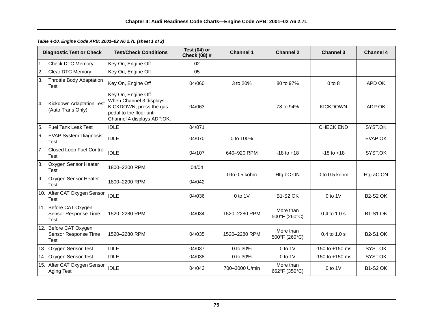|    | <b>Diagnostic Test or Check</b>                              | <b>Test/Check Conditions</b>                                                                                                        | Test $(04)$ or<br>Check (08) # | <b>Channel 1</b>  | <b>Channel 2</b>           | <b>Channel 3</b>    | <b>Channel 4</b> |
|----|--------------------------------------------------------------|-------------------------------------------------------------------------------------------------------------------------------------|--------------------------------|-------------------|----------------------------|---------------------|------------------|
| 1. | <b>Check DTC Memory</b>                                      | Key On, Engine Off                                                                                                                  | 02                             |                   |                            |                     |                  |
| 2. | <b>Clear DTC Memory</b>                                      | Key On, Engine Off                                                                                                                  | 05                             |                   |                            |                     |                  |
| 3. | <b>Throttle Body Adaptation</b><br><b>Test</b>               | Key On, Engine Off                                                                                                                  | 04/060                         | 3 to 20%          | 80 to 97%                  | $0$ to $8$          | APD OK           |
| 4. | Kickdown Adaptation Test<br>(Auto Trans Only)                | Key On, Engine Off-<br>When Channel 3 displays<br>KICKDOWN, press the gas<br>pedal to the floor until<br>Channel 4 displays ADP.OK. | 04/063                         |                   | 78 to 94%                  | <b>KICKDOWN</b>     | ADP OK           |
| 5. | <b>Fuel Tank Leak Test</b>                                   | <b>IDLE</b>                                                                                                                         | 04/071                         |                   |                            | <b>CHECK END</b>    | SYST.OK          |
| 6. | <b>EVAP System Diagnosis</b><br>Test                         | <b>IDLE</b>                                                                                                                         | 04/070                         | 0 to 100%         |                            |                     | <b>EVAP OK</b>   |
| 7. | Closed Loop Fuel Control<br>Test                             | <b>IDLE</b>                                                                                                                         | 04/107                         | 640-920 RPM       | $-18$ to $+18$             | $-18$ to $+18$      | SYST.OK          |
| 8. | Oxygen Sensor Heater<br><b>Test</b>                          | 1800-2200 RPM                                                                                                                       | 04/04                          | $0$ to $0.5$ kohm |                            | $0$ to $0.5$ kohm   |                  |
| 9. | Oxygen Sensor Heater<br>Test                                 | 1800-2200 RPM                                                                                                                       | 04/042                         |                   | Htg.bC ON                  |                     | Htg.aC ON        |
|    | 10. After CAT Oxygen Sensor<br>Test                          | <b>IDLE</b>                                                                                                                         | 04/036                         | $0$ to $1$ V      | <b>B1-S2 OK</b>            | $0$ to $1$ V        | <b>B2-S2 OK</b>  |
|    | 11. Before CAT Oxygen<br>Sensor Response Time<br><b>Test</b> | 1520-2280 RPM                                                                                                                       | 04/034                         | 1520-2280 RPM     | More than<br>500°F (260°C) | 0.4 to 1.0 s        | <b>B1-S1 OK</b>  |
|    | 12. Before CAT Oxygen<br>Sensor Response Time<br><b>Test</b> | 1520-2280 RPM                                                                                                                       | 04/035                         | 1520-2280 RPM     | More than<br>500°F (260°C) | $0.4$ to $1.0$ s    | <b>B2-S1 OK</b>  |
|    | 13. Oxygen Sensor Test                                       | <b>IDLE</b>                                                                                                                         | 04/037                         | 0 to 30%          | $0$ to $1$ V               | $-150$ to $+150$ ms | SYST.OK          |
|    | 14. Oxygen Sensor Test                                       | <b>IDLE</b>                                                                                                                         | 04/038                         | 0 to 30%          | $0$ to $1V$                | $-150$ to $+150$ ms | SYST.OK          |
|    | 15. After CAT Oxygen Sensor<br>Aging Test                    | <b>IDLE</b>                                                                                                                         | 04/043                         | 700-3000 U/min    | More than<br>662°F (350°C) | $0$ to $1$ V        | <b>B1-S2 OK</b>  |

*Table 4-10. Engine Code APB: 2001–02 A6 2.7L (sheet 1 of 2)*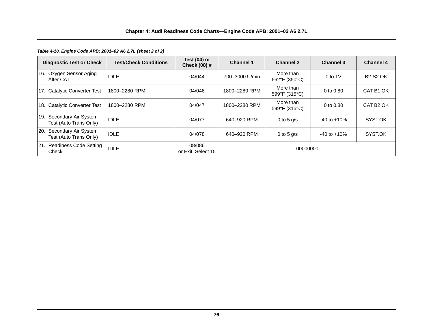*Table 4-10. Engine Code APB: 2001–02 A6 2.7L (sheet 2 of 2)*

| <b>Diagnostic Test or Check</b>                              | <b>Test/Check Conditions</b> | Test $(04)$ or<br><b>Check (08) #</b> | <b>Channel 1</b> | <b>Channel 2</b>           | <b>Channel 3</b> | <b>Channel 4</b>      |
|--------------------------------------------------------------|------------------------------|---------------------------------------|------------------|----------------------------|------------------|-----------------------|
| 16. Oxygen Sensor Aging<br>After CAT                         | <b>IDLE</b>                  | 04/044                                | 700-3000 U/min   | More than<br>662°F (350°C) | 0 to $1V$        | <b>B2-S2 OK</b>       |
| <b>Catalytic Converter Test</b><br>17.                       | 1800-2280 RPM                | 04/046                                | 1800-2280 RPM    | More than<br>599°F (315°C) | 0 to $0.80$      | CAT B1 OK             |
| 18. Catalytic Converter Test                                 | 1800-2280 RPM                | 04/047                                | 1800-2280 RPM    | More than<br>599°F (315°C) | 0 to $0.80$      | CAT B <sub>2</sub> OK |
| Secondary Air System<br>19.<br>Test (Auto Trans Only)        | <b>IDLE</b>                  | 04/077                                | 640-920 RPM      | 0 to 5 $q/s$               | $-40$ to $+10%$  | SYST.OK               |
| Secondary Air System<br><b>20.</b><br>Test (Auto Trans Only) | <b>IDLE</b>                  | 04/078                                | 640-920 RPM      | 0 to 5 $q/s$               | $-40$ to $+10\%$ | SYST.OK               |
| 21. Readiness Code Setting<br>Check                          | <b>IDLE</b>                  | 08/086<br>or Exit, Select 15          | 00000000         |                            |                  |                       |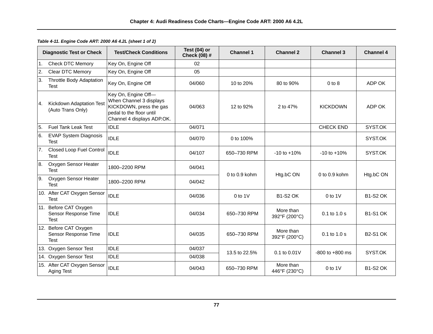|                | <b>Diagnostic Test or Check</b>                              | <b>Test/Check Conditions</b>                                                                                                        | Test $(04)$ or<br>Check (08) # | <b>Channel 1</b>  | <b>Channel 2</b>           | <b>Channel 3</b>    | <b>Channel 4</b> |
|----------------|--------------------------------------------------------------|-------------------------------------------------------------------------------------------------------------------------------------|--------------------------------|-------------------|----------------------------|---------------------|------------------|
|                | 1. Check DTC Memory                                          | Key On, Engine Off                                                                                                                  | 02                             |                   |                            |                     |                  |
| 2.             | Clear DTC Memory                                             | Key On, Engine Off                                                                                                                  | 05                             |                   |                            |                     |                  |
| 3.             | <b>Throttle Body Adaptation</b><br><b>Test</b>               | Key On, Engine Off                                                                                                                  | 04/060                         | 10 to 20%         | 80 to 90%                  | $0$ to $8$          | ADP OK           |
| 4.             | Kickdown Adaptation Test<br>(Auto Trans Only)                | Key On, Engine Off-<br>When Channel 3 displays<br>KICKDOWN, press the gas<br>pedal to the floor until<br>Channel 4 displays ADP.OK. | 04/063                         | 12 to 92%         | 2 to 47%                   | <b>KICKDOWN</b>     | ADP OK           |
| 5.             | <b>Fuel Tank Leak Test</b>                                   | <b>IDLE</b>                                                                                                                         | 04/071                         |                   |                            | <b>CHECK END</b>    | SYST.OK          |
| 6.             | <b>EVAP System Diagnosis</b><br><b>Test</b>                  | <b>IDLE</b>                                                                                                                         | 04/070                         | 0 to 100%         |                            |                     | SYST.OK          |
| 7 <sub>1</sub> | Closed Loop Fuel Control<br>Test                             | <b>IDLE</b>                                                                                                                         | 04/107                         | 650-730 RPM       | $-10$ to $+10%$            | $-10$ to $+10%$     | SYST.OK          |
| 8.             | Oxygen Sensor Heater<br><b>Test</b>                          | 1800-2200 RPM                                                                                                                       | 04/041                         | $0$ to $0.9$ kohm |                            | $0$ to $0.9$ kohm   |                  |
| 9.             | Oxygen Sensor Heater<br>Test                                 | 1800-2200 RPM                                                                                                                       | 04/042                         |                   | Htg.bC ON                  |                     | Htg.bC ON        |
|                | 10. After CAT Oxygen Sensor<br>Test                          | <b>IDLE</b>                                                                                                                         | 04/036                         | $0$ to $1$ V      | <b>B1-S2 OK</b>            | $0$ to $1$ V        | <b>B1-S2 OK</b>  |
|                | 11. Before CAT Oxygen<br>Sensor Response Time<br><b>Test</b> | <b>IDLE</b>                                                                                                                         | 04/034                         | 650-730 RPM       | More than<br>392°F (200°C) | 0.1 to 1.0 s        | <b>B1-S1 OK</b>  |
|                | 12. Before CAT Oxygen<br>Sensor Response Time<br>Test        | <b>IDLE</b>                                                                                                                         | 04/035                         | 650-730 RPM       | More than<br>392°F (200°C) | $0.1$ to $1.0$ s    | <b>B2-S1 OK</b>  |
|                | 13. Oxygen Sensor Test                                       | <b>IDLE</b>                                                                                                                         | 04/037                         | 13.5 to 22.5%     | 0.1 to 0.01V               | $-800$ to $+800$ ms | SYST.OK          |
|                | 14. Oxygen Sensor Test                                       | <b>IDLE</b>                                                                                                                         | 04/038                         |                   |                            |                     |                  |
|                | 15. After CAT Oxygen Sensor<br>Aging Test                    | <b>IDLE</b>                                                                                                                         | 04/043                         | 650-730 RPM       | More than<br>446°F (230°C) | $0$ to $1$ V        | <b>B1-S2 OK</b>  |

*Table 4-11. Engine Code ART: 2000 A6 4.2L (sheet 1 of 2)*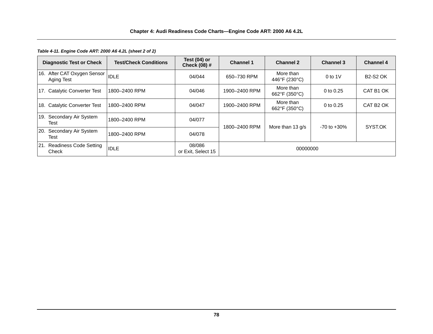#### *Table 4-11. Engine Code ART: 2000 A6 4.2L (sheet 2 of 2)*

|            | <b>Diagnostic Test or Check</b>                 | <b>Test/Check Conditions</b> | Test $(04)$ or<br><b>Check (08) #</b> | <b>Channel 1</b>                              | <b>Channel 2</b>           | <b>Channel 3</b> | <b>Channel 4</b>      |
|------------|-------------------------------------------------|------------------------------|---------------------------------------|-----------------------------------------------|----------------------------|------------------|-----------------------|
|            | 16. After CAT Oxygen Sensor  IDLE<br>Aging Test |                              | 04/044                                | 650-730 RPM                                   | More than<br>446°F (230°C) | 0 to $1V$        | <b>B2-S2 OK</b>       |
|            | 17. Catalytic Converter Test                    | 1800-2400 RPM                | 04/046                                | 1900-2400 RPM                                 | More than<br>662°F (350°C) | 0 to $0.25$      | CAT B1 OK             |
|            | 18. Catalytic Converter Test                    | 1800-2400 RPM                | 04/047                                | 1900-2400 RPM                                 | More than<br>662°F (350°C) | 0 to 0.25        | CAT B <sub>2</sub> OK |
|            | 19. Secondary Air System<br>Test                | 1800-2400 RPM                | 04/077                                | 1800-2400 RPM<br>More than 13 $q/s$<br>04/078 | $-70$ to $+30\%$           | SYST.OK          |                       |
| <b>20.</b> | Secondary Air System<br>Test                    | 1800-2400 RPM                |                                       |                                               |                            |                  |                       |
|            | 21. Readiness Code Setting<br>Check             | <b>IDLE</b>                  | 08/086<br>or Exit, Select 15          | 00000000                                      |                            |                  |                       |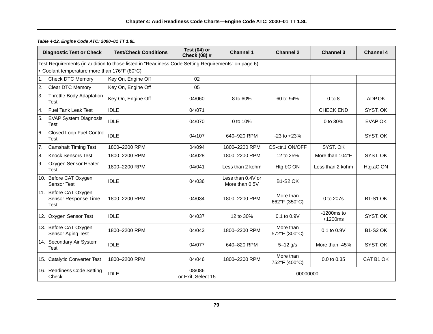|    | <b>Diagnostic Test or Check</b>                       | <b>Test/Check Conditions</b>                                                                        | Test (04) or<br>Check (08) # | <b>Channel 1</b>                    | <b>Channel 2</b>           | <b>Channel 3</b>          | <b>Channel 4</b> |
|----|-------------------------------------------------------|-----------------------------------------------------------------------------------------------------|------------------------------|-------------------------------------|----------------------------|---------------------------|------------------|
|    |                                                       | Test Requirements (in addition to those listed in "Readiness Code Setting Requirements" on page 6): |                              |                                     |                            |                           |                  |
|    | • Coolant temperature more than 176°F (80°C)          |                                                                                                     |                              |                                     |                            |                           |                  |
| 1. | <b>Check DTC Memory</b>                               | Key On, Engine Off                                                                                  | 02                           |                                     |                            |                           |                  |
| 2. | <b>Clear DTC Memory</b>                               | Key On, Engine Off                                                                                  | 05                           |                                     |                            |                           |                  |
| 3. | <b>Throttle Body Adaptation</b><br><b>Test</b>        | Key On, Engine Off                                                                                  | 04/060                       | 8 to 60%                            | 60 to 94%                  | $0$ to $8$                | ADP.OK           |
| 4. | <b>Fuel Tank Leak Test</b>                            | <b>IDLE</b>                                                                                         | 04/071                       |                                     |                            | <b>CHECK END</b>          | SYST. OK         |
| 5. | <b>EVAP System Diagnosis</b><br>Test                  | <b>IDLE</b>                                                                                         | 04/070                       | 0 to 10%                            |                            | 0 to 30%                  | EVAP OK          |
| 6. | <b>Closed Loop Fuel Control</b><br>Test               | <b>IDLE</b>                                                                                         | 04/107                       | 640-920 RPM                         | $-23$ to $+23%$            |                           | SYST. OK         |
| 7. | <b>Camshaft Timing Test</b>                           | 1800-2200 RPM                                                                                       | 04/094                       | 1800-2200 RPM                       | CS-ctr.1 ON/OFF            | SYST. OK                  |                  |
| 8. | <b>Knock Sensors Test</b>                             | 1800-2200 RPM                                                                                       | 04/028                       | 1800-2200 RPM                       | 12 to 25%                  | More than 104°F           | SYST. OK         |
| 9. | Oxygen Sensor Heater<br><b>Test</b>                   | 1800-2200 RPM                                                                                       | 04/041                       | Less than 2 kohm                    | Htg.bC ON                  | Less than 2 kohm          | Htg.aC ON        |
|    | 10. Before CAT Oxygen<br><b>Sensor Test</b>           | <b>IDLE</b>                                                                                         | 04/036                       | Less than 0.4V or<br>More than 0.5V | <b>B1-S2 OK</b>            |                           |                  |
|    | 11. Before CAT Oxygen<br>Sensor Response Time<br>Test | 1800-2200 RPM                                                                                       | 04/034                       | 1800-2200 RPM                       | More than<br>662°F (350°C) | 0 to 207s                 | <b>B1-S1 OK</b>  |
|    | 12. Oxygen Sensor Test                                | <b>IDLE</b>                                                                                         | 04/037                       | 12 to 30%                           | 0.1 to 0.9V                | $-1200ms$ to<br>$+1200ms$ | SYST. OK         |
|    | 13. Before CAT Oxygen<br>Sensor Aging Test            | 1800-2200 RPM                                                                                       | 04/043                       | 1800-2200 RPM                       | More than<br>572°F (300°C) | 0.1 to 0.9V               | <b>B1-S2 OK</b>  |
|    | 14. Secondary Air System<br>Test                      | <b>IDLE</b>                                                                                         | 04/077                       | 640-820 RPM                         | $5 - 12$ g/s               | More than -45%            | SYST. OK         |
|    | 15. Catalytic Converter Test                          | 1800-2200 RPM                                                                                       | 04/046                       | 1800-2200 RPM                       | More than<br>752°F (400°C) | 0.0 to 0.35               | CAT B1 OK        |
|    | 16. Readiness Code Setting<br>Check                   | <b>IDLE</b>                                                                                         | 08/086<br>or Exit, Select 15 | 00000000                            |                            |                           |                  |

*Table 4-12. Engine Code ATC: 2000–01 TT 1.8L*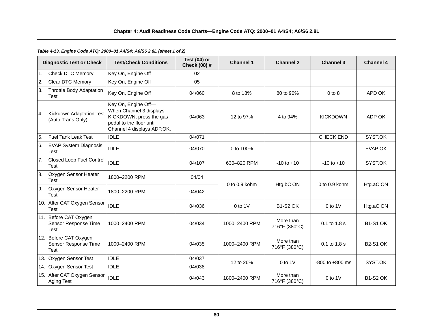# *Table 4-13. Engine Code ATQ: 2000–01 A4/S4; A6/S6 2.8L (sheet 1 of 2)*

|                | <b>Diagnostic Test or Check</b>                              | <b>Test/Check Conditions</b>                                                                                                        | Test (04) or<br>Check (08) # | <b>Channel 1</b>  | <b>Channel 2</b>           | <b>Channel 3</b>    | <b>Channel 4</b> |
|----------------|--------------------------------------------------------------|-------------------------------------------------------------------------------------------------------------------------------------|------------------------------|-------------------|----------------------------|---------------------|------------------|
| $\mathbf{1}$ . | <b>Check DTC Memory</b>                                      | Key On, Engine Off                                                                                                                  | 02                           |                   |                            |                     |                  |
| 2.             | Clear DTC Memory                                             | Key On, Engine Off                                                                                                                  | 05                           |                   |                            |                     |                  |
| 3.             | <b>Throttle Body Adaptation</b><br>Test                      | Key On, Engine Off                                                                                                                  | 04/060                       | 8 to 18%          | 80 to 90%                  | $0$ to $8$          | APD OK           |
| 4.             | Kickdown Adaptation Test<br>(Auto Trans Only)                | Key On, Engine Off-<br>When Channel 3 displays<br>KICKDOWN, press the gas<br>pedal to the floor until<br>Channel 4 displays ADP.OK. | 04/063                       | 12 to 97%         | 4 to 94%                   | <b>KICKDOWN</b>     | ADP OK           |
| 5.             | Fuel Tank Leak Test                                          | <b>IDLE</b>                                                                                                                         | 04/071                       |                   |                            | <b>CHECK END</b>    | SYST.OK          |
| 6.             | <b>EVAP System Diagnosis</b><br><b>Test</b>                  | <b>IDLE</b>                                                                                                                         | 04/070                       | 0 to 100%         |                            |                     | EVAP OK          |
| 7.             | <b>Closed Loop Fuel Control</b><br><b>Test</b>               | <b>IDLE</b>                                                                                                                         | 04/107                       | 630-820 RPM       | $-10$ to $+10$             | $-10$ to $+10$      | SYST.OK          |
| 8.             | Oxygen Sensor Heater<br><b>Test</b>                          | 1800-2200 RPM                                                                                                                       | 04/04                        | $0$ to $0.9$ kohm | Htg.bC ON                  | $0$ to $0.9$ kohm   | Htg.aC ON        |
| 9.             | Oxygen Sensor Heater<br><b>Test</b>                          | 1800-2200 RPM                                                                                                                       | 04/042                       |                   |                            |                     |                  |
|                | 10. After CAT Oxygen Sensor<br><b>Test</b>                   | <b>IDLE</b>                                                                                                                         | 04/036                       | $0$ to $1$ V      | <b>B1-S2 OK</b>            | $0$ to 1V           | Htg.aC ON        |
|                | 11. Before CAT Oxygen<br>Sensor Response Time<br><b>Test</b> | 1000-2400 RPM                                                                                                                       | 04/034                       | 1000-2400 RPM     | More than<br>716°F (380°C) | 0.1 to 1.8 s        | <b>B1-S1 OK</b>  |
|                | 12. Before CAT Oxygen<br>Sensor Response Time<br>Test        | 1000-2400 RPM                                                                                                                       | 04/035                       | 1000-2400 RPM     | More than<br>716°F (380°C) | 0.1 to 1.8 s        | <b>B2-S1 OK</b>  |
|                | 13. Oxygen Sensor Test                                       | <b>IDLE</b>                                                                                                                         | 04/037                       | 12 to 26%         | $0$ to $1$ V               | $-800$ to $+800$ ms | SYST.OK          |
|                | 14. Oxygen Sensor Test                                       | <b>IDLE</b>                                                                                                                         | 04/038                       |                   |                            |                     |                  |
|                | 15. After CAT Oxygen Sensor<br>Aging Test                    | <b>IDLE</b>                                                                                                                         | 04/043                       | 1800-2400 RPM     | More than<br>716°F (380°C) | $0$ to $1$ V        | <b>B1-S2 OK</b>  |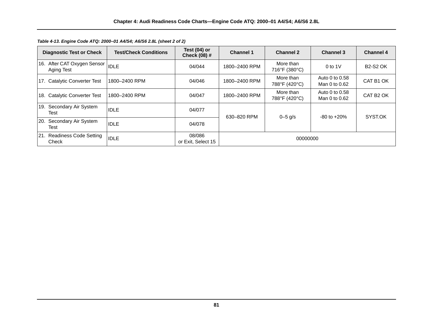| <b>Diagnostic Test or Check</b>            | <b>Test/Check Conditions</b> | Test $(04)$ or<br><b>Check (08) #</b> | <b>Channel 1</b> | <b>Channel 2</b>           | <b>Channel 3</b>                | <b>Channel 4</b>      |                 |         |
|--------------------------------------------|------------------------------|---------------------------------------|------------------|----------------------------|---------------------------------|-----------------------|-----------------|---------|
| 16. After CAT Oxygen Sensor<br>Aging Test  | <b>IDLE</b>                  | 04/044                                | 1800-2400 RPM    | More than<br>716°F (380°C) | $0$ to 1V                       | <b>B2-S2 OK</b>       |                 |         |
| 17. Catalytic Converter Test               | 1800-2400 RPM                | 04/046                                | 1800-2400 RPM    | More than<br>788°F (420°C) | Auto 0 to 0.58<br>Man 0 to 0.62 | CAT B1 OK             |                 |         |
| 18. Catalytic Converter Test               | 1800-2400 RPM                | 04/047                                | 1800-2400 RPM    | More than<br>788°F (420°C) | Auto 0 to 0.58<br>Man 0 to 0.62 | CAT B <sub>2</sub> OK |                 |         |
| Secondary Air System<br>19.<br>Test        | <b>IDLE</b>                  | 04/077                                | 630-820 RPM      |                            |                                 | $0 - 5$ g/s           | $-80$ to $+20%$ | SYST.OK |
| Secondary Air System<br><b>20.</b><br>Test | <b>IDLE</b>                  | 04/078                                |                  |                            |                                 |                       |                 |         |
| 21. Readiness Code Setting<br>Check        | <b>IDLE</b>                  | 08/086<br>or Exit, Select 15          | 00000000         |                            |                                 |                       |                 |         |

*Table 4-13. Engine Code ATQ: 2000–01 A4/S4; A6/S6 2.8L (sheet 2 of 2)*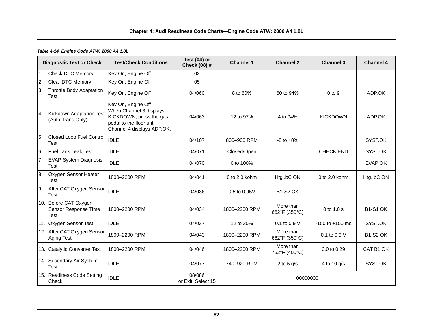## *Table 4-14. Engine Code ATW: 2000 A4 1.8L*

|               | <b>Diagnostic Test or Check</b>                              | <b>Test/Check Conditions</b>                                                                                                        | Test $(04)$ or<br>Check (08) # | <b>Channel 1</b>  | <b>Channel 2</b>           | <b>Channel 3</b>    | <b>Channel 4</b> |
|---------------|--------------------------------------------------------------|-------------------------------------------------------------------------------------------------------------------------------------|--------------------------------|-------------------|----------------------------|---------------------|------------------|
| 1.            | <b>Check DTC Memory</b>                                      | Key On, Engine Off                                                                                                                  | 02                             |                   |                            |                     |                  |
| 2.            | Clear DTC Memory                                             | Key On, Engine Off                                                                                                                  | 05                             |                   |                            |                     |                  |
| ΙЗ.           | <b>Throttle Body Adaptation</b><br><b>Test</b>               | Key On, Engine Off                                                                                                                  | 04/060                         | 8 to 60%          | 60 to 94%                  | $0$ to $9$          | ADP.OK           |
| <sup>4.</sup> | Kickdown Adaptation Test<br>(Auto Trans Only)                | Key On, Engine Off-<br>When Channel 3 displays<br>KICKDOWN, press the gas<br>pedal to the floor until<br>Channel 4 displays ADP.OK. | 04/063                         | 12 to 97%         | 4 to 94%                   | <b>KICKDOWN</b>     | ADP.OK           |
| 5.            | <b>Closed Loop Fuel Control</b><br><b>Test</b>               | <b>IDLE</b>                                                                                                                         | 04/107                         | 800-900 RPM       | $-8$ to $+8\%$             |                     | SYST.OK          |
| 6.            | <b>Fuel Tank Leak Test</b>                                   | <b>IDLE</b>                                                                                                                         | 04/071                         | Closed/Open       |                            | <b>CHECK END</b>    | SYST.OK          |
| 7.            | <b>EVAP System Diagnosis</b><br><b>Test</b>                  | <b>IDLE</b>                                                                                                                         | 04/070                         | 0 to 100%         |                            |                     | <b>EVAP OK</b>   |
| 8.            | Oxygen Sensor Heater<br><b>Test</b>                          | 1800-2200 RPM                                                                                                                       | 04/041                         | $0$ to $2.0$ kohm | HtgbC ON                   | 0 to $2.0$ kohm     | HtgbC ON         |
| 9.            | After CAT Oxygen Sensor<br>Test                              | <b>IDLE</b>                                                                                                                         | 04/036                         | 0.5 to 0.95V      | <b>B1-S2 OK</b>            |                     |                  |
|               | 10. Before CAT Oxygen<br>Sensor Response Time<br><b>Test</b> | 1800-2200 RPM                                                                                                                       | 04/034                         | 1800-2200 RPM     | More than<br>662°F (350°C) | 0 to 1.0 s          | <b>B1-S1 OK</b>  |
|               | 11. Oxygen Sensor Test                                       | <b>IDLE</b>                                                                                                                         | 04/037                         | 12 to 30%         | 0.1 to 0.9 V               | $-150$ to $+150$ ms | SYST.OK          |
|               | 12. After CAT Oxygen Sensor<br>Aging Test                    | 1800-2200 RPM                                                                                                                       | 04/043                         | 1800-2200 RPM     | More than<br>662°F (350°C) | 0.1 to 0.9 V        | <b>B1-S2 OK</b>  |
|               | 13. Catalytic Converter Test                                 | 1800-2200 RPM                                                                                                                       | 04/046                         | 1800-2200 RPM     | More than<br>752°F (400°C) | 0.0 to 0.29         | CAT B1 OK        |
|               | 14. Secondary Air System<br><b>Test</b>                      | <b>IDLE</b>                                                                                                                         | 04/077                         | 740-920 RPM       | 2 to 5 $g/s$               | 4 to 10 $q/s$       | SYST.OK          |
|               | 15. Readiness Code Setting<br>Check                          | <b>IDLE</b>                                                                                                                         | 08/086<br>or Exit, Select 15   | 00000000          |                            |                     |                  |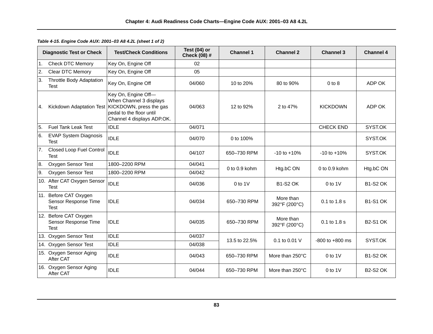|    | <b>Diagnostic Test or Check</b>                              | <b>Test/Check Conditions</b>                                                                                                        | Test (04) or<br>Check (08) # | <b>Channel 1</b>  | <b>Channel 2</b>           | <b>Channel 3</b>    | <b>Channel 4</b> |
|----|--------------------------------------------------------------|-------------------------------------------------------------------------------------------------------------------------------------|------------------------------|-------------------|----------------------------|---------------------|------------------|
| 1. | <b>Check DTC Memory</b>                                      | Key On, Engine Off                                                                                                                  | 02                           |                   |                            |                     |                  |
| 2. | Clear DTC Memory                                             | Key On, Engine Off                                                                                                                  | 05                           |                   |                            |                     |                  |
| 3. | Throttle Body Adaptation<br><b>Test</b>                      | Key On, Engine Off                                                                                                                  | 04/060                       | 10 to 20%         | 80 to 90%                  | $0$ to $8$          | ADP OK           |
| 4. | Kickdown Adaptation Test                                     | Key On, Engine Off-<br>When Channel 3 displays<br>KICKDOWN, press the gas<br>pedal to the floor until<br>Channel 4 displays ADP.OK. | 04/063                       | 12 to 92%         | 2 to 47%                   | <b>KICKDOWN</b>     | ADP OK           |
| 5. | <b>Fuel Tank Leak Test</b>                                   | <b>IDLE</b>                                                                                                                         | 04/071                       |                   |                            | <b>CHECK END</b>    | SYST.OK          |
| 6. | <b>EVAP System Diagnosis</b><br><b>Test</b>                  | <b>IDLE</b>                                                                                                                         | 04/070                       | 0 to 100%         |                            |                     | SYST.OK          |
| 7. | Closed Loop Fuel Control<br>Test                             | <b>IDLE</b>                                                                                                                         | 04/107                       | 650-730 RPM       | $-10$ to $+10%$            | $-10$ to $+10%$     | SYST.OK          |
| 8. | Oxygen Sensor Test                                           | 1800-2200 RPM                                                                                                                       | 04/041                       | $0$ to $0.9$ kohm | Htg.bC ON                  | $0$ to $0.9$ kohm   | Htg.bC ON        |
| 9. | Oxygen Sensor Test                                           | 1800-2200 RPM                                                                                                                       | 04/042                       |                   |                            |                     |                  |
|    | 10. After CAT Oxygen Sensor<br><b>Test</b>                   | <b>IDLE</b>                                                                                                                         | 04/036                       | $0$ to 1V         | <b>B1-S2 OK</b>            | $0$ to $1$ V        | <b>B1-S2 OK</b>  |
|    | 11. Before CAT Oxygen<br>Sensor Response Time<br>Test        | <b>IDLE</b>                                                                                                                         | 04/034                       | 650-730 RPM       | More than<br>392°F (200°C) | 0.1 to 1.8 s        | <b>B1-S1 OK</b>  |
|    | 12. Before CAT Oxygen<br>Sensor Response Time<br><b>Test</b> | <b>IDLE</b>                                                                                                                         | 04/035                       | 650-730 RPM       | More than<br>392°F (200°C) | 0.1 to 1.8 s        | <b>B2-S1 OK</b>  |
|    | 13. Oxygen Sensor Test                                       | <b>IDLE</b>                                                                                                                         | 04/037                       | 13.5 to 22.5%     | 0.1 to 0.01 V              | $-800$ to $+800$ ms | SYST.OK          |
|    | 14. Oxygen Sensor Test                                       | <b>IDLE</b>                                                                                                                         | 04/038                       |                   |                            |                     |                  |
|    | 15. Oxygen Sensor Aging<br>After CAT                         | <b>IDLE</b>                                                                                                                         | 04/043                       | 650-730 RPM       | More than 250°C            | $0$ to $1$ V        | <b>B1-S2 OK</b>  |
|    | 16. Oxygen Sensor Aging<br>After CAT                         | <b>IDLE</b>                                                                                                                         | 04/044                       | 650-730 RPM       | More than 250°C            | $0$ to $1$ V        | <b>B2-S2 OK</b>  |

*Table 4-15. Engine Code AUX: 2001–03 A8 4.2L (sheet 1 of 2)*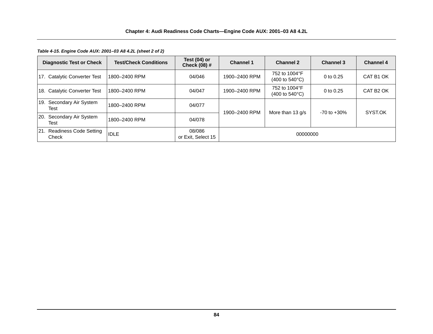*Table 4-15. Engine Code AUX: 2001–03 A8 4.2L (sheet 2 of 2)*

| <b>Diagnostic Test or Check</b>     | <b>Test/Check Conditions</b> | Test (04) or<br>Check (08) # | <b>Channel 1</b> | <b>Channel 2</b>                                          | <b>Channel 3</b> | <b>Channel 4</b>      |
|-------------------------------------|------------------------------|------------------------------|------------------|-----------------------------------------------------------|------------------|-----------------------|
| 17. Catalytic Converter Test        | 1800-2400 RPM                | 04/046                       | 1900-2400 RPM    | 752 to 1004°F<br>$(400 \text{ to } 540^{\circ} \text{C})$ | 0 to $0.25$      | CAT B1 OK             |
| 18. Catalytic Converter Test        | 1800-2400 RPM                | 04/047                       | 1900-2400 RPM    | 752 to 1004°F<br>$(400 \text{ to } 540^{\circ}\text{C})$  | 0 to $0.25$      | CAT B <sub>2</sub> OK |
| 19. Secondary Air System<br>Test    | 1800-2400 RPM                | 04/077                       | 1900-2400 RPM    | More than 13 g/s                                          | $-70$ to $+30\%$ | SYST.OK               |
| 20. Secondary Air System<br>Test    | 1800-2400 RPM                | 04/078                       |                  |                                                           |                  |                       |
| 21. Readiness Code Setting<br>Check | <b>IDLE</b>                  | 08/086<br>or Exit, Select 15 | 00000000         |                                                           |                  |                       |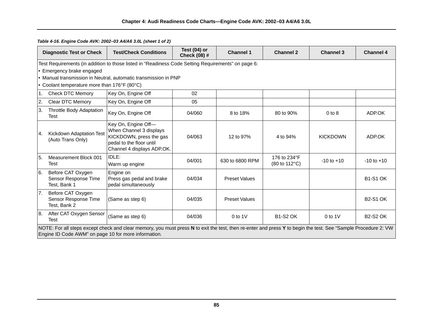|     | <b>Diagnostic Test or Check</b>                                                                                                                                                                                        | <b>Test/Check Conditions</b>                                                                                                        | Test $(04)$ or<br>Check (08) # | <b>Channel 1</b>     | <b>Channel 2</b>              | <b>Channel 3</b> | <b>Channel 4</b> |  |  |
|-----|------------------------------------------------------------------------------------------------------------------------------------------------------------------------------------------------------------------------|-------------------------------------------------------------------------------------------------------------------------------------|--------------------------------|----------------------|-------------------------------|------------------|------------------|--|--|
|     |                                                                                                                                                                                                                        | Test Requirements (in addition to those listed in "Readiness Code Setting Requirements" on page 6:                                  |                                |                      |                               |                  |                  |  |  |
|     | • Emergency brake engaged                                                                                                                                                                                              |                                                                                                                                     |                                |                      |                               |                  |                  |  |  |
|     |                                                                                                                                                                                                                        | • Manual transmission in Neutral, automatic transmission in PNP                                                                     |                                |                      |                               |                  |                  |  |  |
|     | • Coolant temperature more than 176°F (80°C)                                                                                                                                                                           |                                                                                                                                     |                                |                      |                               |                  |                  |  |  |
| 1.  | <b>Check DTC Memory</b>                                                                                                                                                                                                | Key On, Engine Off                                                                                                                  | 02                             |                      |                               |                  |                  |  |  |
| 2.  | Clear DTC Memory                                                                                                                                                                                                       | Key On, Engine Off                                                                                                                  | 05                             |                      |                               |                  |                  |  |  |
| 3.  | <b>Throttle Body Adaptation</b><br>Test                                                                                                                                                                                | Key On, Engine Off                                                                                                                  | 04/060                         | 8 to 18%             | 80 to 90%                     | $0$ to $8$       | ADP.OK           |  |  |
| Ι4. | Kickdown Adaptation Test<br>(Auto Trans Only)                                                                                                                                                                          | Key On, Engine Off-<br>When Channel 3 displays<br>KICKDOWN, press the gas<br>pedal to the floor until<br>Channel 4 displays ADP.OK. | 04/063                         | 12 to 97%            | 4 to 94%                      | <b>KICKDOWN</b>  | ADP.OK           |  |  |
| 5.  | Measurement Block 001<br><b>Test</b>                                                                                                                                                                                   | IDLE:<br>Warm up engine                                                                                                             | 04/001                         | 630 to 6800 RPM      | 176 to 234°F<br>(80 to 112°C) | $-10$ to $+10$   | $-10$ to $+10$   |  |  |
| 6.  | Before CAT Oxygen<br>Sensor Response Time<br>Test, Bank 1                                                                                                                                                              | Engine on<br>Press gas pedal and brake<br>pedal simultaneously                                                                      | 04/034                         | <b>Preset Values</b> |                               |                  | <b>B1-S1 OK</b>  |  |  |
| 7.  | Before CAT Oxygen<br>Sensor Response Time<br>Test, Bank 2                                                                                                                                                              | (Same as step 6)                                                                                                                    | 04/035                         | <b>Preset Values</b> |                               |                  | <b>B2-S1 OK</b>  |  |  |
| 8.  | After CAT Oxygen Sensor<br><b>Test</b>                                                                                                                                                                                 | (Same as step 6)                                                                                                                    | 04/036                         | $0$ to $1$ V         | <b>B1-S2 OK</b>               | $0$ to 1V        | <b>B2-S2 OK</b>  |  |  |
|     | NOTE: For all steps except check and clear memory, you must press N to exit the test, then re-enter and press Y to begin the test. See "Sample Procedure 2: VW<br>Engine ID Code AWM" on page 10 for more information. |                                                                                                                                     |                                |                      |                               |                  |                  |  |  |

*Table 4-16. Engine Code AVK: 2002–03 A4/A6 3.0L (sheet 1 of 2)*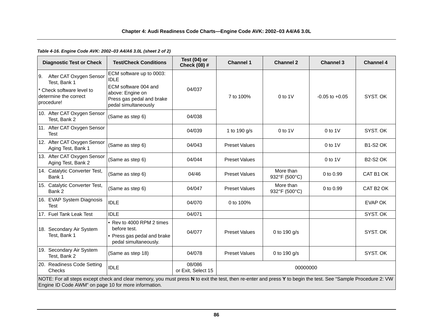# **Chapter 4: Audi Readiness Code Charts—Engine Code AVK: 2002–03 A4/A6 3.0L**

# *Table 4-16. Engine Code AVK: 2002–03 A4/A6 3.0L (sheet 2 of 2)*

| <b>Diagnostic Test or Check</b>                                                                                                                                                                                        | <b>Test/Check Conditions</b>                                                                                                             | Test $(04)$ or<br>Check (08) # | <b>Channel 1</b>     | <b>Channel 2</b>           | <b>Channel 3</b>   | <b>Channel 4</b> |  |
|------------------------------------------------------------------------------------------------------------------------------------------------------------------------------------------------------------------------|------------------------------------------------------------------------------------------------------------------------------------------|--------------------------------|----------------------|----------------------------|--------------------|------------------|--|
| After CAT Oxygen Sensor<br>9.<br>Test, Bank 1<br>Check software level to<br>determine the correct<br>procedure!                                                                                                        | ECM software up to 0003:<br><b>IDLE</b><br>ECM software 004 and<br>above: Engine on<br>Press gas pedal and brake<br>pedal simultaneously | 04/037                         | 7 to 100%            | $0$ to $1$ V               | $-0.05$ to $+0.05$ | SYST. OK         |  |
| 10. After CAT Oxygen Sensor<br>Test, Bank 2                                                                                                                                                                            | (Same as step 6)                                                                                                                         | 04/038                         |                      |                            |                    |                  |  |
| 11. After CAT Oxygen Sensor<br><b>Test</b>                                                                                                                                                                             |                                                                                                                                          | 04/039                         | 1 to 190 g/s         | $0$ to $1$ V               | $0$ to $1$ V       | SYST. OK         |  |
| 12. After CAT Oxygen Sensor<br>Aging Test, Bank 1                                                                                                                                                                      | (Same as step 6)                                                                                                                         | 04/043                         | <b>Preset Values</b> |                            | $0$ to $1$ V       | <b>B1-S2 OK</b>  |  |
| 13. After CAT Oxygen Sensor<br>Aging Test, Bank 2                                                                                                                                                                      | (Same as step 6)                                                                                                                         | 04/044                         | <b>Preset Values</b> |                            | $0$ to $1$ V       | <b>B2-S2 OK</b>  |  |
| 14. Catalytic Converter Test,<br>Bank 1                                                                                                                                                                                | (Same as step 6)                                                                                                                         | 04/46                          | <b>Preset Values</b> | More than<br>932°F (500°C) | 0 to 0.99          | CAT B1 OK        |  |
| 15. Catalytic Converter Test,<br>Bank 2                                                                                                                                                                                | (Same as step 6)                                                                                                                         | 04/047                         | <b>Preset Values</b> | More than<br>932°F (500°C) | 0 to 0.99          | CAT B2 OK        |  |
| 16. EVAP System Diagnosis<br><b>Test</b>                                                                                                                                                                               | <b>IDLE</b>                                                                                                                              | 04/070                         | 0 to 100%            |                            |                    | <b>EVAP OK</b>   |  |
| 17. Fuel Tank Leak Test                                                                                                                                                                                                | <b>IDLE</b>                                                                                                                              | 04/071                         |                      |                            |                    | SYST. OK         |  |
| 18. Secondary Air System<br>Test, Bank 1                                                                                                                                                                               | • Rev to 4000 RPM 2 times<br>before test.<br>• Press gas pedal and brake<br>pedal simultaneously.                                        | 04/077                         | <b>Preset Values</b> | 0 to 190 g/s               |                    | SYST. OK         |  |
| 19. Secondary Air System<br>Test, Bank 2                                                                                                                                                                               | (Same as step 18)                                                                                                                        | 04/078                         | <b>Preset Values</b> | 0 to 190 g/s               |                    | SYST. OK         |  |
| 20. Readiness Code Setting<br>Checks                                                                                                                                                                                   | <b>IDLE</b>                                                                                                                              | 08/086<br>or Exit, Select 15   | 00000000             |                            |                    |                  |  |
| NOTE: For all steps except check and clear memory, you must press N to exit the test, then re-enter and press Y to begin the test. See "Sample Procedure 2: VW<br>Engine ID Code AWM" on page 10 for more information. |                                                                                                                                          |                                |                      |                            |                    |                  |  |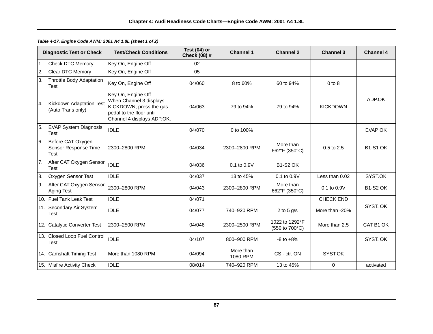|     | <b>Diagnostic Test or Check</b>                   | <b>Test/Check Conditions</b>                                                                                                        | Test $(04)$ or<br><b>Check (08) #</b> | <b>Channel 1</b>      | <b>Channel 2</b>                 | <b>Channel 3</b> | <b>Channel 4</b> |
|-----|---------------------------------------------------|-------------------------------------------------------------------------------------------------------------------------------------|---------------------------------------|-----------------------|----------------------------------|------------------|------------------|
| 1.  | <b>Check DTC Memory</b>                           | Key On, Engine Off                                                                                                                  | 02                                    |                       |                                  |                  |                  |
| 2.  | <b>Clear DTC Memory</b>                           | Key On, Engine Off                                                                                                                  | 05                                    |                       |                                  |                  |                  |
| 3.  | <b>Throttle Body Adaptation</b><br><b>Test</b>    | Key On, Engine Off                                                                                                                  | 04/060                                | 8 to 60%              | 60 to 94%                        | $0$ to $8$       |                  |
| 4.  | Kickdown Adaptation Test<br>(Auto Trans only)     | Key On, Engine Off-<br>When Channel 3 displays<br>KICKDOWN, press the gas<br>pedal to the floor until<br>Channel 4 displays ADP.OK. | 04/063                                | 79 to 94%             | 79 to 94%                        | <b>KICKDOWN</b>  | ADP.OK           |
| 5.  | <b>EVAP System Diagnosis</b><br>Test              | <b>IDLE</b>                                                                                                                         | 04/070                                | 0 to 100%             |                                  |                  | EVAP OK          |
| 6.  | Before CAT Oxygen<br>Sensor Response Time<br>Test | 2300-2800 RPM                                                                                                                       | 04/034                                | 2300-2800 RPM         | More than<br>662°F (350°C)       | 0.5 to 2.5       | <b>B1-S1 OK</b>  |
|     | 7. After CAT Oxygen Sensor<br><b>Test</b>         | <b>IDLE</b>                                                                                                                         | 04/036                                | 0.1 to 0.9V           | <b>B1-S2 OK</b>                  |                  |                  |
| 8.  | Oxygen Sensor Test                                | <b>IDLE</b>                                                                                                                         | 04/037                                | 13 to 45%             | 0.1 to 0.9V                      | Less than 0.02   | SYST.OK          |
| Ι9. | After CAT Oxygen Sensor<br>Aging Test             | 2300-2800 RPM                                                                                                                       | 04/043                                | 2300-2800 RPM         | More than<br>662°F (350°C)       | 0.1 to 0.9V      | <b>B1-S2 OK</b>  |
|     | 10. Fuel Tank Leak Test                           | <b>IDLE</b>                                                                                                                         | 04/071                                |                       |                                  | <b>CHECK END</b> |                  |
|     | 11. Secondary Air System<br>Test                  | <b>IDLE</b>                                                                                                                         | 04/077                                | 740-920 RPM           | 2 to 5 $g/s$                     | More than -20%   | SYST. OK         |
|     | 12. Catalytic Converter Test                      | 2300-2500 RPM                                                                                                                       | 04/046                                | 2300-2500 RPM         | 1022 to 1292°F<br>(550 to 700°C) | More than 2.5    | CAT B1 OK        |
|     | 13. Closed Loop Fuel Control<br><b>Test</b>       | <b>IDLE</b>                                                                                                                         | 04/107                                | 800-900 RPM           | $-8$ to $+8\%$                   |                  | SYST. OK         |
|     | 14. Camshaft Timing Test                          | More than 1080 RPM                                                                                                                  | 04/094                                | More than<br>1080 RPM | CS - ctr. ON                     | SYST.OK          |                  |
|     | 15. Misfire Activity Check                        | <b>IDLE</b>                                                                                                                         | 08/014                                | 740-920 RPM           | 13 to 45%                        | $\mathbf 0$      | activated        |

*Table 4-17. Engine Code AWM: 2001 A4 1.8L (sheet 1 of 2)*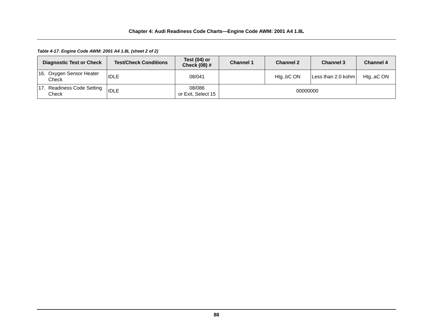*Table 4-17. Engine Code AWM: 2001 A4 1.8L (sheet 2 of 2)*

| <b>Diagnostic Test or Check</b>     | <b>Test/Check Conditions</b> | Test $(04)$ or<br><b>Check (08) #</b> | <b>Channel 1</b> | <b>Channel 2</b> | <b>Channel 3</b>   | <b>Channel 4</b> |
|-------------------------------------|------------------------------|---------------------------------------|------------------|------------------|--------------------|------------------|
| 16. Oxygen Sensor Heater<br>Check   | <b>IDLE</b>                  | 08/041                                |                  | HtgbC ON         | Less than 2.0 kohm | HtgaC ON         |
| 17. Readiness Code Setting<br>Check | <b>IDLE</b>                  | 08/086<br>or Exit, Select 15          | 00000000         |                  |                    |                  |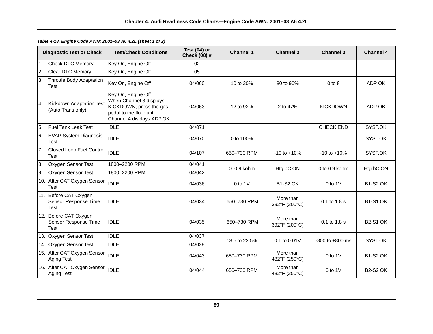|                | <b>Diagnostic Test or Check</b>                              | <b>Test/Check Conditions</b>                                                                                                        | Test $(04)$ or<br>Check (08) # | <b>Channel 1</b> | <b>Channel 2</b>           | <b>Channel 3</b>    | <b>Channel 4</b> |
|----------------|--------------------------------------------------------------|-------------------------------------------------------------------------------------------------------------------------------------|--------------------------------|------------------|----------------------------|---------------------|------------------|
| 1 <sub>1</sub> | <b>Check DTC Memory</b>                                      | Key On, Engine Off                                                                                                                  | 02                             |                  |                            |                     |                  |
| 2.             | Clear DTC Memory                                             | Key On, Engine Off                                                                                                                  | 05                             |                  |                            |                     |                  |
| 3.             | Throttle Body Adaptation<br>Test                             | Key On, Engine Off                                                                                                                  | 04/060                         | 10 to 20%        | 80 to 90%                  | $0$ to $8$          | ADP OK           |
| 4.             | Kickdown Adaptation Test<br>(Auto Trans only)                | Key On, Engine Off-<br>When Channel 3 displays<br>KICKDOWN, press the gas<br>pedal to the floor until<br>Channel 4 displays ADP.OK. | 04/063                         | 12 to 92%        | 2 to 47%                   | <b>KICKDOWN</b>     | ADP OK           |
| 5.             | <b>Fuel Tank Leak Test</b>                                   | <b>IDLE</b>                                                                                                                         | 04/071                         |                  |                            | <b>CHECK END</b>    | SYST.OK          |
| 6.             | <b>EVAP System Diagnosis</b><br><b>Test</b>                  | <b>IDLE</b>                                                                                                                         | 04/070                         | 0 to 100%        |                            |                     | SYST.OK          |
| 7.             | Closed Loop Fuel Control<br>Test                             | <b>IDLE</b>                                                                                                                         | 04/107                         | 650-730 RPM      | $-10$ to $+10%$            | $-10$ to $+10%$     | SYST.OK          |
| 8.             | Oxygen Sensor Test                                           | 1800-2200 RPM                                                                                                                       | 04/041                         | $0-0.9$ kohm     | Htg.bC ON                  | $0$ to $0.9$ kohm   | Htg.bC ON        |
| 9.             | Oxygen Sensor Test                                           | 1800-2200 RPM                                                                                                                       | 04/042                         |                  |                            |                     |                  |
|                | 10. After CAT Oxygen Sensor<br><b>Test</b>                   | <b>IDLE</b>                                                                                                                         | 04/036                         | $0$ to $1$ V     | <b>B1-S2 OK</b>            | $0$ to 1V           | <b>B1-S2 OK</b>  |
|                | 11. Before CAT Oxygen<br>Sensor Response Time<br><b>Test</b> | <b>IDLE</b>                                                                                                                         | 04/034                         | 650-730 RPM      | More than<br>392°F (200°C) | 0.1 to 1.8 s        | <b>B1-S1 OK</b>  |
|                | 12. Before CAT Oxygen<br>Sensor Response Time<br>Test        | <b>IDLE</b>                                                                                                                         | 04/035                         | 650-730 RPM      | More than<br>392°F (200°C) | 0.1 to 1.8 s        | <b>B2-S1 OK</b>  |
|                | 13. Oxygen Sensor Test                                       | <b>IDLE</b>                                                                                                                         | 04/037                         | 13.5 to 22.5%    | $0.1$ to $0.01$ V          | $-800$ to $+800$ ms | SYST.OK          |
|                | 14. Oxygen Sensor Test                                       | <b>IDLE</b>                                                                                                                         | 04/038                         |                  |                            |                     |                  |
|                | 15. After CAT Oxygen Sensor<br>Aging Test                    | <b>IDLE</b>                                                                                                                         | 04/043                         | 650-730 RPM      | More than<br>482°F (250°C) | $0$ to $1$ V        | <b>B1-S2 OK</b>  |
|                | 16. After CAT Oxygen Sensor<br>Aging Test                    | <b>IDLE</b>                                                                                                                         | 04/044                         | 650-730 RPM      | More than<br>482°F (250°C) | $0$ to 1V           | <b>B2-S2 OK</b>  |

*Table 4-18. Engine Code AWN: 2001–03 A6 4.2L (sheet 1 of 2)*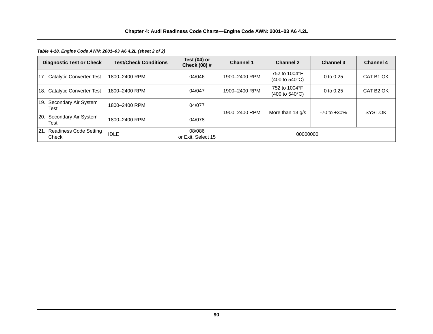*Table 4-18. Engine Code AWN: 2001–03 A6 4.2L (sheet 2 of 2)*

| <b>Diagnostic Test or Check</b>     | <b>Test/Check Conditions</b> | Test $(04)$ or<br>Check (08) # | <b>Channel 1</b> | <b>Channel 2</b>                                          | <b>Channel 3</b> | <b>Channel 4</b>      |
|-------------------------------------|------------------------------|--------------------------------|------------------|-----------------------------------------------------------|------------------|-----------------------|
| 17. Catalytic Converter Test        | 1800-2400 RPM                | 04/046                         | 1900-2400 RPM    | 752 to 1004°F<br>$(400 \text{ to } 540^{\circ} \text{C})$ | 0 to 0.25        | CAT B1 OK             |
| 18. Catalytic Converter Test        | 1800-2400 RPM                | 04/047                         | 1900-2400 RPM    | 752 to 1004°F<br>$(400 \text{ to } 540^{\circ}\text{C})$  | 0 to $0.25$      | CAT B <sub>2</sub> OK |
| 19. Secondary Air System<br>Test    | 1800-2400 RPM                | 04/077                         | 1900-2400 RPM    | More than $13 q/s$                                        | $-70$ to $+30\%$ | SYST.OK               |
| 20. Secondary Air System<br>Test    | 1800-2400 RPM                | 04/078                         |                  |                                                           |                  |                       |
| 21. Readiness Code Setting<br>Check | <b>IDLE</b>                  | 08/086<br>or Exit, Select 15   | 00000000         |                                                           |                  |                       |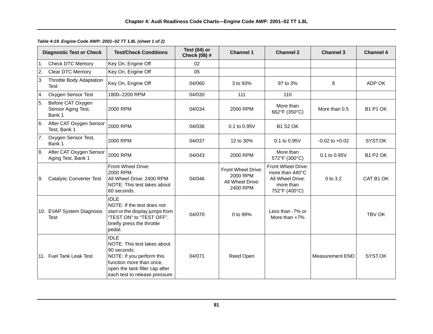|                | <b>Diagnostic Test or Check</b>                   | <b>Test/Check Conditions</b>                                                                                                                                                           | Test (04) or<br>Check (08) # | <b>Channel 1</b>                                               | <b>Channel 2</b>                                                                        | <b>Channel 3</b>   | <b>Channel 4</b> |
|----------------|---------------------------------------------------|----------------------------------------------------------------------------------------------------------------------------------------------------------------------------------------|------------------------------|----------------------------------------------------------------|-----------------------------------------------------------------------------------------|--------------------|------------------|
| 1.             | <b>Check DTC Memory</b>                           | Key On, Engine Off                                                                                                                                                                     | 02                           |                                                                |                                                                                         |                    |                  |
| $\overline{2}$ | Clear DTC Memory                                  | Key On, Engine Off                                                                                                                                                                     | 05                           |                                                                |                                                                                         |                    |                  |
| 3.             | <b>Throttle Body Adaptation</b><br><b>Test</b>    | Key On, Engine Off                                                                                                                                                                     | 04/060                       | 3 to 93%                                                       | 97 to 3%                                                                                | 8                  | ADP OK           |
| 4.             | Oxygen Sensor Test                                | 1800-2200 RPM                                                                                                                                                                          | 04/030                       | 111                                                            | 110                                                                                     |                    |                  |
| 5.             | Before CAT Oxygen<br>Sensor Aging Test,<br>Bank 1 | 2000 RPM                                                                                                                                                                               | 04/034                       | 2000 RPM                                                       | More than<br>662°F (350°C)                                                              | More than 0.5      | <b>B1 P1 OK</b>  |
| 6.             | After CAT Oxygen Sensor<br>Test, Bank 1           | 2000 RPM                                                                                                                                                                               | 04/036                       | 0.1 to 0.95V                                                   | <b>B1 S2 OK</b>                                                                         |                    |                  |
| <b>7.</b>      | Oxygen Sensor Test,<br>Bank 1                     | 2000 RPM                                                                                                                                                                               | 04/037                       | 12 to 30%                                                      | 0.1 to 0.95V                                                                            | $-0.02$ to $+0.02$ | SYST.OK          |
| 8.             | After CAT Oxygen Sensor<br>Aging Test, Bank 1     | 2000 RPM                                                                                                                                                                               | 04/043                       | 2000 RPM                                                       | More than<br>572°F (300°C)                                                              | 0.1 to 0.95V       | <b>B1 P2 OK</b>  |
| 9.             | <b>Catalytic Converter Test</b>                   | Front Wheel Drive:<br>2000 RPM<br>All Wheel Drive: 2400 RPM<br>NOTE: This test takes about<br>60 seconds.                                                                              | 04/046                       | Front Wheel Drive:<br>2000 RPM<br>All Wheel Drive:<br>2400 RPM | Front Wheel Drive:<br>more than 440°C<br>All Wheel Drive:<br>more than<br>752°F (400°C) | 0 to 3.2           | CAT B1 OK        |
|                | 10. EVAP System Diagnosis<br><b>Test</b>          | <b>IDLE</b><br>NOTE: If the test does not<br>start or the display jumps from<br>"TEST ON" to "TEST OFF",<br>briefly press the throttle<br>pedal.                                       | 04/070                       | 0 to 99%                                                       | Less than -7% or<br>More than $+7\%$                                                    |                    | TBV OK           |
|                | 11. Fuel Tank Leak Test                           | <b>IDLE</b><br>NOTE: This test takes about<br>90 seconds.<br>NOTE: If you perform this<br>function more than once,<br>open the tank filler cap after<br>each test to release pressure. | 04/071                       | Reed Open                                                      |                                                                                         | Measurement END    | SYST.OK          |

*Table 4-19. Engine Code AWP: 2001–02 TT 1.8L (sheet 1 of 2)*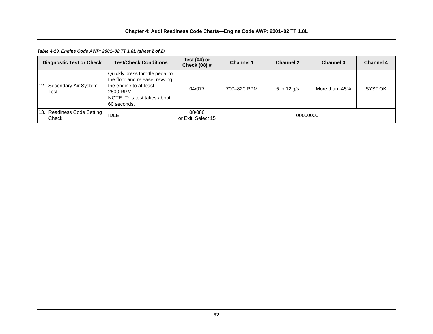*Table 4-19. Engine Code AWP: 2001–02 TT 1.8L (sheet 2 of 2)*

| <b>Diagnostic Test or Check</b>     | <b>Test/Check Conditions</b>                                                                                                                             | Test (04) or<br><b>Check (08) #</b> | <b>Channel 1</b> | <b>Channel 2</b> | <b>Channel 3</b> | <b>Channel 4</b> |
|-------------------------------------|----------------------------------------------------------------------------------------------------------------------------------------------------------|-------------------------------------|------------------|------------------|------------------|------------------|
| 12. Secondary Air System<br>Test    | Quickly press throttle pedal to<br>the floor and release, revving<br>the engine to at least<br>2500 RPM.<br>INOTE: This test takes about<br>160 seconds. | 04/077                              | 700-820 RPM      | 5 to 12 g/s      | More than -45%   | SYST.OK          |
| 13. Readiness Code Setting<br>Check | <b>IDLE</b>                                                                                                                                              | 08/086<br>or Exit, Select 15        | 00000000         |                  |                  |                  |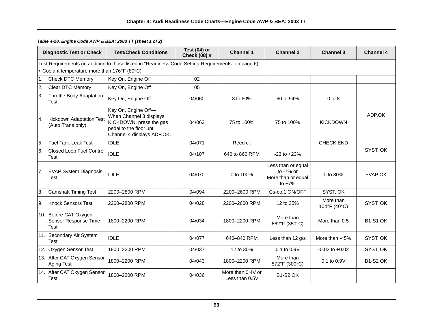|    | <b>Diagnostic Test or Check</b>                              | <b>Test/Check Conditions</b>                                                                                                        | Test (04) or<br>Check (08) # | <b>Channel 1</b>                    | <b>Channel 2</b>                                                  | <b>Channel 3</b>          | <b>Channel 4</b> |
|----|--------------------------------------------------------------|-------------------------------------------------------------------------------------------------------------------------------------|------------------------------|-------------------------------------|-------------------------------------------------------------------|---------------------------|------------------|
|    | • Coolant temperature more than 176°F (80°C)                 | Test Requirements (in addition to those listed in "Readiness Code Setting Requirements" on page 6):                                 |                              |                                     |                                                                   |                           |                  |
|    |                                                              |                                                                                                                                     |                              |                                     |                                                                   |                           |                  |
| 1. | <b>Check DTC Memory</b>                                      | Key On, Engine Off                                                                                                                  | 02                           |                                     |                                                                   |                           |                  |
| 2. | Clear DTC Memory                                             | Key On, Engine Off                                                                                                                  | 05                           |                                     |                                                                   |                           |                  |
| 3. | <b>Throttle Body Adaptation</b><br>Test                      | Key On, Engine Off                                                                                                                  | 04/060                       | 8 to 60%                            | 60 to 94%                                                         | $0$ to $8$                |                  |
| 4. | Kickdown Adaptation Test<br>(Auto Trans only)                | Key On, Engine Off-<br>When Channel 3 displays<br>KICKDOWN, press the gas<br>pedal to the floor until<br>Channel 4 displays ADP.OK. | 04/063                       | 75 to 100%                          | 75 to 100%                                                        | <b>KICKDOWN</b>           | ADP.OK           |
| 5. | <b>Fuel Tank Leak Test</b>                                   | <b>IDLE</b>                                                                                                                         | 04/071                       | Reed cl.                            |                                                                   | <b>CHECK END</b>          |                  |
| 6. | Closed Loop Fuel Control<br>Test                             | <b>IDLE</b>                                                                                                                         | 04/107                       | 640 to 860 RPM                      | $-23$ to $+23%$                                                   |                           | SYST. OK         |
| 7. | <b>EVAP System Diagnosis</b><br><b>Test</b>                  | <b>IDLE</b>                                                                                                                         | 04/070                       | 0 to 100%                           | Less than or equal<br>to -7% or<br>More than or equal<br>to $+7%$ | 0 to $30%$                | <b>EVAP OK</b>   |
| 8. | <b>Camshaft Timing Test</b>                                  | 2200-2800 RPM                                                                                                                       | 04/094                       | 2200-2600 RPM                       | Cs-ctr.1 ON/OFF                                                   | SYST. OK                  |                  |
| 9. | <b>Knock Sensors Test</b>                                    | 2200-2800 RPM                                                                                                                       | 04/028                       | 2200-2600 RPM                       | 12 to 25%                                                         | More than<br>104°F (40°C) | SYST. OK         |
|    | 10. Before CAT Oxygen<br>Sensor Response Time<br><b>Test</b> | 1800-2200 RPM                                                                                                                       | 04/034                       | 1800-2200 RPM                       | More than<br>662°F (350°C)                                        | More than 0.5             | <b>B1-S1 OK</b>  |
|    | 11. Secondary Air System<br>Test                             | <b>IDLE</b>                                                                                                                         | 04/077                       | 640-840 RPM                         | Less than $12$ g/s                                                | More than -45%            | SYST. OK         |
|    | 12. Oxygen Sensor Test                                       | 1800-2200 RPM                                                                                                                       | 04/037                       | 12 to 30%                           | 0.1 to 0.9V                                                       | $-0.02$ to $+0.02$        | SYST. OK         |
|    | 13. After CAT Oxygen Sensor<br>Aging Test                    | 1800-2200 RPM                                                                                                                       | 04/043                       | 1800-2200 RPM                       | More than<br>572°F (300°C)                                        | 0.1 to 0.9V               | <b>B1-S2 OK</b>  |
|    | 14. After CAT Oxygen Sensor<br><b>Test</b>                   | 1800-2200 RPM                                                                                                                       | 04/036                       | More than 0.4V or<br>Less than 0.5V | <b>B1-S2 OK</b>                                                   |                           |                  |

*Table 4-20. Engine Code AWP & BEA: 2003 TT (sheet 1 of 2)*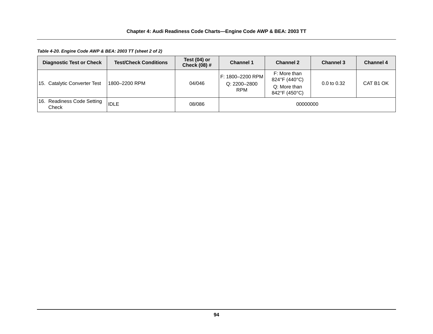*Table 4-20. Engine Code AWP & BEA: 2003 TT (sheet 2 of 2)*

| <b>Diagnostic Test or Check</b>     | <b>Test/Check Conditions</b> | Test (04) or<br><b>Check (08) #</b> | <b>Channel 1</b>                               | <b>Channel 2</b>                                               | <b>Channel 3</b> | <b>Channel 4</b> |
|-------------------------------------|------------------------------|-------------------------------------|------------------------------------------------|----------------------------------------------------------------|------------------|------------------|
| 15. Catalytic Converter Test        | 1800–2200 RPM                | 04/046                              | F: 1800-2200 RPM<br>Q: 2200-2800<br><b>RPM</b> | F: More than<br>824°F (440°C)<br>Q: More than<br>842°F (450°C) | $0.0$ to $0.32$  | CAT B1 OK        |
| 16. Readiness Code Setting<br>Check | <b>IDLE</b>                  | 08/086                              |                                                | 00000000                                                       |                  |                  |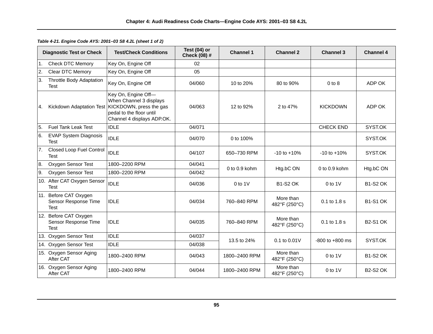|    | <b>Diagnostic Test or Check</b>                              | <b>Test/Check Conditions</b>                                                                                                        | Test (04) or<br>Check (08) # | <b>Channel 1</b>  | <b>Channel 2</b>           | <b>Channel 3</b>    | <b>Channel 4</b> |
|----|--------------------------------------------------------------|-------------------------------------------------------------------------------------------------------------------------------------|------------------------------|-------------------|----------------------------|---------------------|------------------|
| 1. | <b>Check DTC Memory</b>                                      | Key On, Engine Off                                                                                                                  | 02                           |                   |                            |                     |                  |
| 2. | <b>Clear DTC Memory</b>                                      | Key On, Engine Off                                                                                                                  | 05                           |                   |                            |                     |                  |
| 3. | <b>Throttle Body Adaptation</b><br><b>Test</b>               | Key On, Engine Off                                                                                                                  | 04/060                       | 10 to 20%         | 80 to 90%                  | $0$ to $8$          | ADP OK           |
| 4. | Kickdown Adaptation Test                                     | Key On, Engine Off-<br>When Channel 3 displays<br>KICKDOWN, press the gas<br>pedal to the floor until<br>Channel 4 displays ADP.OK. | 04/063                       | 12 to 92%         | 2 to 47%                   | <b>KICKDOWN</b>     | ADP OK           |
| 5. | <b>Fuel Tank Leak Test</b>                                   | <b>IDLE</b>                                                                                                                         | 04/071                       |                   |                            | <b>CHECK END</b>    | SYST.OK          |
| 6. | <b>EVAP System Diagnosis</b><br>Test                         | <b>IDLE</b>                                                                                                                         | 04/070                       | 0 to 100%         |                            |                     | SYST.OK          |
| 7. | Closed Loop Fuel Control<br>Test                             | <b>IDLE</b>                                                                                                                         | 04/107                       | 650-730 RPM       | $-10$ to $+10%$            | $-10$ to $+10\%$    | SYST.OK          |
| 8. | Oxygen Sensor Test                                           | 1800-2200 RPM                                                                                                                       | 04/041                       | $0$ to $0.9$ kohm | Htg.bC ON                  | $0$ to $0.9$ kohm   | Htg.bC ON        |
| 9. | Oxygen Sensor Test                                           | 1800-2200 RPM                                                                                                                       | 04/042                       |                   |                            |                     |                  |
|    | 10. After CAT Oxygen Sensor<br>Test                          | <b>IDLE</b>                                                                                                                         | 04/036                       | $0$ to 1V         | <b>B1-S2 OK</b>            | $0$ to $1$ V        | <b>B1-S2 OK</b>  |
|    | 11. Before CAT Oxygen<br>Sensor Response Time<br>Test        | <b>IDLE</b>                                                                                                                         | 04/034                       | 760-840 RPM       | More than<br>482°F (250°C) | 0.1 to 1.8 s        | <b>B1-S1 OK</b>  |
|    | 12. Before CAT Oxygen<br>Sensor Response Time<br><b>Test</b> | <b>IDLE</b>                                                                                                                         | 04/035                       | 760-840 RPM       | More than<br>482°F (250°C) | 0.1 to 1.8 s        | <b>B2-S1 OK</b>  |
|    | 13. Oxygen Sensor Test                                       | <b>IDLE</b>                                                                                                                         | 04/037                       | 13.5 to 24%       | 0.1 to 0.01V               | $-800$ to $+800$ ms | SYST.OK          |
|    | 14. Oxygen Sensor Test                                       | <b>IDLE</b>                                                                                                                         | 04/038                       |                   |                            |                     |                  |
|    | 15. Oxygen Sensor Aging<br>After CAT                         | 1800-2400 RPM                                                                                                                       | 04/043                       | 1800-2400 RPM     | More than<br>482°F (250°C) | $0$ to $1V$         | <b>B1-S2 OK</b>  |
|    | 16. Oxygen Sensor Aging<br>After CAT                         | 1800-2400 RPM                                                                                                                       | 04/044                       | 1800-2400 RPM     | More than<br>482°F (250°C) | $0$ to $1$ V        | <b>B2-S2 OK</b>  |

*Table 4-21. Engine Code AYS: 2001–03 S8 4.2L (sheet 1 of 2)*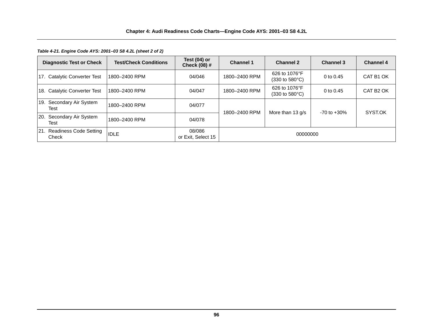*Table 4-21. Engine Code AYS: 2001–03 S8 4.2L (sheet 2 of 2)*

| <b>Diagnostic Test or Check</b>     | <b>Test/Check Conditions</b> | Test $(04)$ or<br>Check (08) # | <b>Channel 1</b> | <b>Channel 2</b>                                          | <b>Channel 3</b> | <b>Channel 4</b>      |
|-------------------------------------|------------------------------|--------------------------------|------------------|-----------------------------------------------------------|------------------|-----------------------|
| 17. Catalytic Converter Test        | 1800-2400 RPM                | 04/046                         | 1800-2400 RPM    | 626 to 1076°F<br>$(330 \text{ to } 580^{\circ} \text{C})$ | 0 to 0.45        | CAT B1 OK             |
| 18. Catalytic Converter Test        | 1800-2400 RPM                | 04/047                         | 1800-2400 RPM    | 626 to 1076°F<br>$(330 \text{ to } 580^{\circ}\text{C})$  | 0 to 0.45        | CAT B <sub>2</sub> OK |
| 19. Secondary Air System<br>Test    | 1800-2400 RPM                | 04/077                         | 1800-2400 RPM    | More than $13 q/s$                                        | $-70$ to $+30\%$ | SYST.OK               |
| 20. Secondary Air System<br>Test    | 1800-2400 RPM                | 04/078                         |                  |                                                           |                  |                       |
| 21. Readiness Code Setting<br>Check | <b>IDLE</b>                  | 08/086<br>or Exit. Select 15   | 00000000         |                                                           |                  |                       |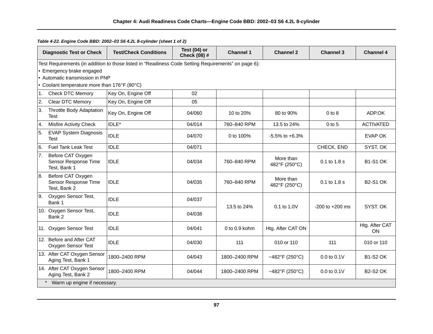*Table 4-22. Engine Code BBD: 2002–03 S6 4.2L 8-cylinder (sheet 1 of 2)*

|    | <b>Diagnostic Test or Check</b>                           | <b>Test/Check Conditions</b>                                                                        | Test (04) or<br>Check (08) # | <b>Channel 1</b>  | <b>Channel 2</b>           | <b>Channel 3</b>    | <b>Channel 4</b>     |
|----|-----------------------------------------------------------|-----------------------------------------------------------------------------------------------------|------------------------------|-------------------|----------------------------|---------------------|----------------------|
|    | • Emergency brake engaged                                 | Test Requirements (in addition to those listed in "Readiness Code Setting Requirements" on page 6): |                              |                   |                            |                     |                      |
|    | • Automatic transmission in PNP                           |                                                                                                     |                              |                   |                            |                     |                      |
|    | • Coolant temperature more than 176°F (80°C)              |                                                                                                     |                              |                   |                            |                     |                      |
| 1. | <b>Check DTC Memory</b>                                   | Key On, Engine Off                                                                                  | 02                           |                   |                            |                     |                      |
| 2. | Clear DTC Memory                                          | Key On, Engine Off                                                                                  | 05                           |                   |                            |                     |                      |
| 3. | Throttle Body Adaptation<br>Test                          | Key On, Engine Off                                                                                  | 04/060                       | 10 to 20%         | 80 to 90%                  | $0$ to $8$          | ADP.OK               |
| 4. | <b>Misfire Activity Check</b>                             | IDLE*                                                                                               | 04/014                       | 760-840 RPM       | 13.5 to 24%                | $0$ to $5$          | <b>ACTIVATED</b>     |
| 5. | <b>EVAP System Diagnosis</b><br><b>Test</b>               | <b>IDLE</b>                                                                                         | 04/070                       | 0 to 100%         | $-5.5\%$ to $+6.3\%$       |                     | <b>EVAP OK</b>       |
| 6. | <b>Fuel Tank Leak Test</b>                                | <b>IDLE</b>                                                                                         | 04/071                       |                   |                            | CHECK. END          | SYST. OK             |
| 7. | Before CAT Oxygen<br>Sensor Response Time<br>Test, Bank 1 | <b>IDLE</b>                                                                                         | 04/034                       | 760-840 RPM       | More than<br>482°F (250°C) | 0.1 to 1.8 s        | <b>B1-S1 OK</b>      |
| 8. | Before CAT Oxygen<br>Sensor Response Time<br>Test, Bank 2 | <b>IDLE</b>                                                                                         | 04/035                       | 760-840 RPM       | More than<br>482°F (250°C) | 0.1 to 1.8 s        | <b>B2-S1 OK</b>      |
| 9. | Oxygen Sensor Test,<br>Bank 1                             | <b>IDLE</b>                                                                                         | 04/037                       | 13.5 to 24%       | $0.1$ to $1.0V$            | $-200$ to $+200$ ms | SYST. OK             |
|    | 10. Oxygen Sensor Test,<br>Bank 2                         | <b>IDLE</b>                                                                                         | 04/038                       |                   |                            |                     |                      |
|    | 11. Oxygen Sensor Test                                    | <b>IDLE</b>                                                                                         | 04/041                       | $0$ to $0.9$ kohm | Htg. After CAT ON          |                     | Htg. After CAT<br>ON |
|    | 12. Before and After CAT<br>Oxygen Sensor Test            | <b>IDLE</b>                                                                                         | 04/030                       | 111               | 010 or 110                 | 111                 | 010 or 110           |
|    | 13. After CAT Oxygen Sensor<br>Aging Test, Bank 1         | 1800-2400 RPM                                                                                       | 04/043                       | 1800-2400 RPM     | ~482°F (250°C)             | 0.0 to 0.1V         | <b>B1-S2 OK</b>      |
|    | 14. After CAT Oxygen Sensor<br>Aging Test, Bank 2         | 1800-2400 RPM                                                                                       | 04/044                       | 1800-2400 RPM     | ~482°F (250°C)             | $0.0$ to $0.1$ V    | <b>B2-S2 OK</b>      |
|    | Warm up engine if necessary.                              |                                                                                                     |                              |                   |                            |                     |                      |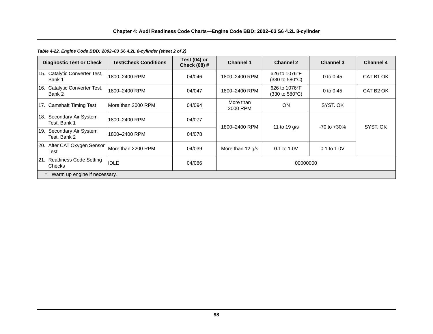*Table 4-22. Engine Code BBD: 2002–03 S6 4.2L 8-cylinder (sheet 2 of 2)*

|     | <b>Diagnostic Test or Check</b>         | <b>Test/Check Conditions</b> | Test $(04)$ or<br>Check (08) # | <b>Channel 1</b>      | <b>Channel 2</b>                                          | <b>Channel 3</b> | <b>Channel 4</b>      |
|-----|-----------------------------------------|------------------------------|--------------------------------|-----------------------|-----------------------------------------------------------|------------------|-----------------------|
|     | 15. Catalytic Converter Test,<br>Bank 1 | 1800-2400 RPM                | 04/046                         | 1800-2400 RPM         | 626 to 1076°F<br>(330 to 580°C)                           | 0 to $0.45$      | CAT B1 OK             |
|     | 16. Catalytic Converter Test,<br>Bank 2 | 1800-2400 RPM                | 04/047                         | 1800-2400 RPM         | 626 to 1076°F<br>$(330 \text{ to } 580^{\circ} \text{C})$ | 0 to 0.45        | CAT B <sub>2</sub> OK |
|     | 17. Camshaft Timing Test                | More than 2000 RPM           | 04/094                         | More than<br>2000 RPM | <b>ON</b>                                                 | SYST, OK         |                       |
| 18. | Secondary Air System<br>Test, Bank 1    | 1800-2400 RPM                | 04/077                         | 1800-2400 RPM         |                                                           | $-70$ to $+30\%$ | SYST. OK              |
| 19. | Secondary Air System<br>Test. Bank 2    | 1800-2400 RPM                | 04/078                         |                       | 11 to 19 $g/s$                                            |                  |                       |
|     | 20. After CAT Oxygen Sensor<br>Test     | More than 2200 RPM           | 04/039                         | More than 12 g/s      | $0.1$ to $1.0V$                                           | 0.1 to 1.0V      |                       |
|     | 21. Readiness Code Setting<br>Checks    | <b>IDLE</b>                  | 04/086                         | 00000000              |                                                           |                  |                       |
|     | Warm up engine if necessary.            |                              |                                |                       |                                                           |                  |                       |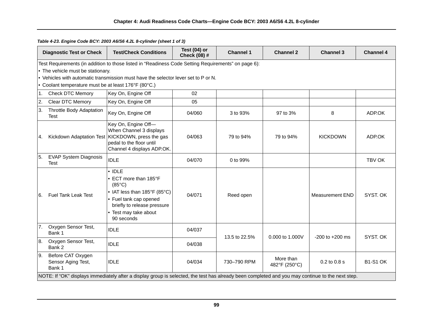| Table 4-23. Engine Code BCY: 2003 A6/S6 4.2L 8-cylinder (sheet 1 of 3) |  |
|------------------------------------------------------------------------|--|
|------------------------------------------------------------------------|--|

|     | <b>Diagnostic Test or Check</b>                      | <b>Test/Check Conditions</b>                                                                                                                                                              | Test $(04)$ or<br>Check (08) # | <b>Channel 1</b> | <b>Channel 2</b>           | <b>Channel 3</b>       | <b>Channel 4</b> |
|-----|------------------------------------------------------|-------------------------------------------------------------------------------------------------------------------------------------------------------------------------------------------|--------------------------------|------------------|----------------------------|------------------------|------------------|
|     | • The vehicle must be stationary.                    | Test Requirements (in addition to those listed in "Readiness Code Setting Requirements" on page 6):<br>. Vehicles with automatic transmission must have the selector lever set to P or N. |                                |                  |                            |                        |                  |
|     | • Coolant temperature must be at least 176°F (80°C.) |                                                                                                                                                                                           |                                |                  |                            |                        |                  |
| 1.  | <b>Check DTC Memory</b>                              | Key On, Engine Off                                                                                                                                                                        | 02                             |                  |                            |                        |                  |
| 2.  | Clear DTC Memory                                     | Key On, Engine Off                                                                                                                                                                        | 05                             |                  |                            |                        |                  |
| IЗ. | Throttle Body Adaptation<br>Test                     | Key On, Engine Off                                                                                                                                                                        | 04/060                         | 3 to 93%         | 97 to 3%                   | 8                      | ADP.OK           |
| l4. |                                                      | Key On, Engine Off-<br>When Channel 3 displays<br>Kickdown Adaptation Test   KICKDOWN, press the gas<br>pedal to the floor until<br>Channel 4 displays ADP.OK.                            | 04/063                         | 79 to 94%        | 79 to 94%                  | <b>KICKDOWN</b>        | ADP.OK           |
| 5.  | <b>EVAP System Diagnosis</b><br><b>Test</b>          | <b>IDLE</b>                                                                                                                                                                               | 04/070                         | 0 to 99%         |                            |                        | TBV OK           |
| 6.  | <b>Fuel Tank Leak Test</b>                           | $\cdot$ IDLE<br>• ECT more than 185°F<br>$(85^{\circ}C)$<br>• IAT less than 185°F (85°C)<br>• Fuel tank cap opened<br>briefly to release pressure<br>• Test may take about<br>90 seconds  | 04/071                         | Reed open        |                            | <b>Measurement END</b> | SYST. OK         |
| 7.  | Oxygen Sensor Test,<br>Bank 1                        | <b>IDLE</b>                                                                                                                                                                               | 04/037                         | 13.5 to 22.5%    | 0.000 to 1.000V            | $-200$ to $+200$ ms    | SYST. OK         |
| 8.  | Oxygen Sensor Test,<br>Bank 2                        | <b>IDLE</b>                                                                                                                                                                               | 04/038                         |                  |                            |                        |                  |
| 9.  | Before CAT Oxygen<br>Sensor Aging Test,<br>Bank 1    | <b>IDLE</b>                                                                                                                                                                               | 04/034                         | 730-790 RPM      | More than<br>482°F (250°C) | 0.2 to 0.8 s           | <b>B1-S1 OK</b>  |
|     |                                                      | NOTE: If "OK" displays immediately after a display group is selected, the test has already been completed and you may continue to the next step.                                          |                                |                  |                            |                        |                  |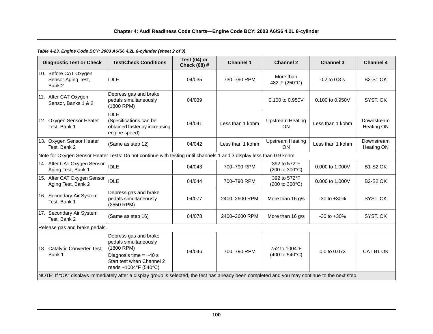# *Table 4-23. Engine Code BCY: 2003 A6/S6 4.2L 8-cylinder (sheet 2 of 3)*

| <b>Diagnostic Test or Check</b>                                                                                                                  | <b>Test/Check Conditions</b>                                                                                                                   | Test (04) or<br>Check (08) # | <b>Channel 1</b> | <b>Channel 2</b>                                         | <b>Channel 3</b> | <b>Channel 4</b>         |  |  |
|--------------------------------------------------------------------------------------------------------------------------------------------------|------------------------------------------------------------------------------------------------------------------------------------------------|------------------------------|------------------|----------------------------------------------------------|------------------|--------------------------|--|--|
| 10. Before CAT Oxygen<br>Sensor Aging Test,<br>Bank 2                                                                                            | <b>IDLE</b>                                                                                                                                    | 04/035                       | 730-790 RPM      | More than<br>482°F (250°C)                               | 0.2 to 0.8 s     | <b>B2-S1 OK</b>          |  |  |
| 11. After CAT Oxygen<br>Sensor, Banks 1 & 2                                                                                                      | Depress gas and brake<br>pedals simultaneously<br>(1800 RPM)                                                                                   | 04/039                       |                  | 0.100 to 0.950V                                          | 0.100 to 0.950V  | SYST. OK                 |  |  |
| 12. Oxygen Sensor Heater<br>Test, Bank 1                                                                                                         | <b>IDLE</b><br>(Specifications can be<br>obtained faster by increasing<br>engine speed)                                                        | 04/041                       | Less than 1 kohm | <b>Upstream Heating</b><br><b>ON</b>                     | Less than 1 kohm | Downstream<br>Heating ON |  |  |
| 13. Oxygen Sensor Heater<br>Test. Bank 2                                                                                                         | (Same as step 12)                                                                                                                              | 04/042                       | Less than 1 kohm | <b>Upstream Heating</b><br><b>ON</b>                     | Less than 1 kohm | Downstream<br>Heating ON |  |  |
| Note for Oxygen Sensor Heater Tests: Do not continue with testing until channels 1 and 3 display less than 0.9 kohm.                             |                                                                                                                                                |                              |                  |                                                          |                  |                          |  |  |
| 14. After CAT Oxygen Sensor<br>Aging Test, Bank 1                                                                                                | <b>IDLE</b>                                                                                                                                    | 04/043                       | 700-790 RPM      | 392 to 572°F<br>(200 to 300°C)                           | 0.000 to 1.000V  | <b>B1-S2 OK</b>          |  |  |
| 15. After CAT Oxygen Sensor<br>Aging Test, Bank 2                                                                                                | <b>IDLE</b>                                                                                                                                    | 04/044                       | 700-790 RPM      | 392 to 572°F<br>(200 to 300°C)                           | 0.000 to 1.000V  | <b>B2-S2 OK</b>          |  |  |
| 16. Secondary Air System<br>Test, Bank 1                                                                                                         | Depress gas and brake<br>pedals simultaneously<br>(2550 RPM)                                                                                   | 04/077                       | 2400-2600 RPM    | More than 16 g/s                                         | $-30$ to $+30%$  | SYST. OK                 |  |  |
| 17. Secondary Air System<br>Test. Bank 2                                                                                                         | (Same as step 16)                                                                                                                              | 04/078                       | 2400-2600 RPM    | More than 16 g/s                                         | $-30$ to $+30%$  | SYST, OK                 |  |  |
| Release gas and brake pedals.                                                                                                                    |                                                                                                                                                |                              |                  |                                                          |                  |                          |  |  |
| 18. Catalytic Converter Test,<br>Bank 1                                                                                                          | Depress gas and brake<br>pedals simultaneously<br>(1800 RPM)<br>Diagnosis time $=$ ~40 s<br>Start test when Channel 2<br>reads ~1004°F (540°C) | 04/046                       | 700-790 RPM      | 752 to 1004°F<br>$(400 \text{ to } 540^{\circ}\text{C})$ | 0.0 to 0.073     | CAT B1 OK                |  |  |
| NOTE: If "OK" displays immediately after a display group is selected, the test has already been completed and you may continue to the next step. |                                                                                                                                                |                              |                  |                                                          |                  |                          |  |  |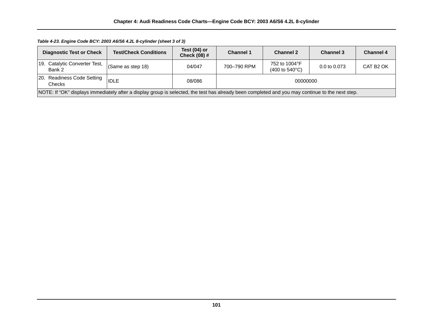# *Table 4-23. Engine Code BCY: 2003 A6/S6 4.2L 8-cylinder (sheet 3 of 3)*

| <b>Diagnostic Test or Check</b>                                                                                                                  | <b>Test/Check Conditions</b> | Test $(04)$ or<br>Check $(08)$ # | <b>Channel 1</b> | <b>Channel 2</b>                                          | <b>Channel 3</b>        | <b>Channel 4</b>      |
|--------------------------------------------------------------------------------------------------------------------------------------------------|------------------------------|----------------------------------|------------------|-----------------------------------------------------------|-------------------------|-----------------------|
| 19. Catalytic Converter Test,<br>Bank 2                                                                                                          | (Same as step 18)            | 04/047                           | 700-790 RPM      | 752 to 1004°F<br>$(400 \text{ to } 540^{\circ} \text{C})$ | $0.0 \text{ to } 0.073$ | CAT B <sub>2</sub> OK |
| 20. Readiness Code Setting<br>Checks:                                                                                                            | <b>IDLE</b>                  | 08/086                           | 00000000         |                                                           |                         |                       |
| NOTE: If "OK" displays immediately after a display group is selected, the test has already been completed and you may continue to the next step. |                              |                                  |                  |                                                           |                         |                       |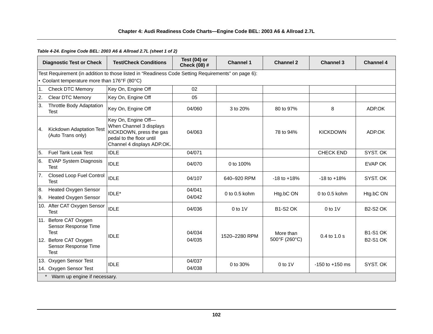### **Chapter 4: Audi Readiness Code Charts—Engine Code BEL: 2003 A6 & Allroad 2.7L**

*Table 4-24. Engine Code BEL: 2003 A6 & Allroad 2.7L (sheet 1 of 2)*

| <b>Diagnostic Test or Check</b>                                                                                              |  | <b>Test/Check Conditions</b>                                                                                                        | Test $(04)$ or<br>Check (08) # | <b>Channel 1</b>  | <b>Channel 2</b>           | <b>Channel 3</b>    | <b>Channel 4</b>                   |
|------------------------------------------------------------------------------------------------------------------------------|--|-------------------------------------------------------------------------------------------------------------------------------------|--------------------------------|-------------------|----------------------------|---------------------|------------------------------------|
| Test Requirement (in addition to those listed in "Readiness Code Setting Requirements" on page 6):                           |  |                                                                                                                                     |                                |                   |                            |                     |                                    |
| • Coolant temperature more than 176°F (80°C)                                                                                 |  |                                                                                                                                     |                                |                   |                            |                     |                                    |
| $\overline{1}$ .<br><b>Check DTC Memory</b>                                                                                  |  | Key On, Engine Off                                                                                                                  | 02                             |                   |                            |                     |                                    |
| 2.<br>Clear DTC Memory                                                                                                       |  | Key On, Engine Off                                                                                                                  | 05                             |                   |                            |                     |                                    |
| 3.<br><b>Throttle Body Adaptation</b><br><b>Test</b>                                                                         |  | Key On, Engine Off                                                                                                                  | 04/060                         | 3 to 20%          | 80 to 97%                  | 8                   | ADP.OK                             |
| <b>Kickdown Adaptation Test</b><br><sup>4.</sup><br>(Auto Trans only)                                                        |  | Key On, Engine Off-<br>When Channel 3 displays<br>KICKDOWN, press the gas<br>pedal to the floor until<br>Channel 4 displays ADP.OK. | 04/063                         |                   | 78 to 94%                  | <b>KICKDOWN</b>     | ADP.OK                             |
| 5.<br><b>Fuel Tank Leak Test</b>                                                                                             |  | <b>IDLE</b>                                                                                                                         | 04/071                         |                   |                            | <b>CHECK END</b>    | SYST. OK                           |
| I6.<br><b>EVAP System Diagnosis</b><br><b>Test</b>                                                                           |  | <b>IDLE</b>                                                                                                                         | 04/070                         | 0 to 100%         |                            |                     | <b>EVAP OK</b>                     |
| 7.<br>Closed Loop Fuel Control<br><b>Test</b>                                                                                |  | <b>IDLE</b>                                                                                                                         | 04/107                         | 640-920 RPM       | $-18$ to $+18%$            | $-18$ to $+18%$     | SYST. OK                           |
| <b>Heated Oxygen Sensor</b><br>8.                                                                                            |  |                                                                                                                                     | 04/041<br>04/042               | $0$ to $0.5$ kohm | Htg.bC ON                  | 0 to $0.5$ kohm     | Htg.bC ON                          |
| <b>Heated Oxygen Sensor</b><br>l9.                                                                                           |  | IDLE*                                                                                                                               |                                |                   |                            |                     |                                    |
| 10. After CAT Oxygen Sensor<br><b>Test</b>                                                                                   |  | <b>IDLE</b>                                                                                                                         | 04/036                         | $0$ to 1V         | <b>B1-S2 OK</b>            | $0$ to 1V           | <b>B2-S2 OK</b>                    |
| 11. Before CAT Oxygen<br>Sensor Response Time<br><b>Test</b><br>12. Before CAT Oxygen<br>Sensor Response Time<br><b>Test</b> |  | <b>IDLE</b>                                                                                                                         | 04/034<br>04/035               | 1520-2280 RPM     | More than<br>500°F (260°C) | $0.4$ to $1.0$ s    | <b>B1-S1 OK</b><br><b>B2-S1 OK</b> |
| 13. Oxygen Sensor Test<br>14. Oxygen Sensor Test                                                                             |  | <b>IDLE</b>                                                                                                                         | 04/037<br>04/038               | 0 to 30%          | $0$ to $1$ $V$             | $-150$ to $+150$ ms | SYST. OK                           |
| Warm up engine if necessary.                                                                                                 |  |                                                                                                                                     |                                |                   |                            |                     |                                    |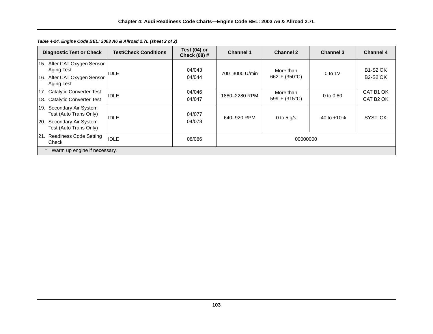| <b>Diagnostic Test or Check</b>                                                                                       | <b>Test/Check Conditions</b> | Test $(04)$ or<br>Check (08) # | <b>Channel 1</b> | <b>Channel 2</b>           | <b>Channel 3</b> | <b>Channel 4</b>                   |
|-----------------------------------------------------------------------------------------------------------------------|------------------------------|--------------------------------|------------------|----------------------------|------------------|------------------------------------|
| 15. After CAT Oxygen Sensor<br>Aging Test<br>After CAT Oxygen Sensor<br>16.<br>Aging Test                             | <b>IDLE</b>                  | 04/043<br>04/044               | 700-3000 U/min   | More than<br>662°F (350°C) | 0 to $1V$        | <b>B1-S2 OK</b><br><b>B2-S2 OK</b> |
| 17. Catalytic Converter Test<br>18. Catalytic Converter Test                                                          | <b>IDLE</b>                  | 04/046<br>04/047               | 1880-2280 RPM    | More than<br>599°F (315°C) | 0 to $0.80$      | CAT B1 OK<br>CAT B <sub>2</sub> OK |
| Secondary Air System<br>19.<br>Test (Auto Trans Only)<br>Secondary Air System<br><b>20.</b><br>Test (Auto Trans Only) | <b>IDLE</b>                  | 04/077<br>04/078               | 640-920 RPM      | 0 to 5 $q/s$               | $-40$ to $+10\%$ | SYST, OK                           |
| 21. Readiness Code Setting<br>Check                                                                                   | <b>IDLE</b>                  | 08/086                         | 00000000         |                            |                  |                                    |
| Warm up engine if necessary.                                                                                          |                              |                                |                  |                            |                  |                                    |

*Table 4-24. Engine Code BEL: 2003 A6 & Allroad 2.7L (sheet 2 of 2)*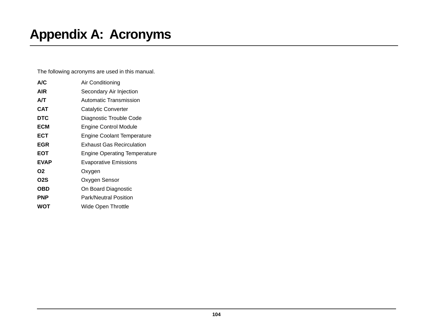# **Appendix A: Acronyms**

The following acronyms are used in this manual.

| A/C            | Air Conditioning                    |
|----------------|-------------------------------------|
| AIR            | Secondary Air Injection             |
| А/Т            | Automatic Transmission              |
| <b>CAT</b>     | Catalytic Converter                 |
| <b>DTC</b>     | Diagnostic Trouble Code             |
| ECM            | Engine Control Module               |
| ECT            | Engine Coolant Temperature          |
| <b>EGR</b>     | <b>Exhaust Gas Recirculation</b>    |
| EOT            | <b>Engine Operating Temperature</b> |
| <b>EVAP</b>    | <b>Evaporative Emissions</b>        |
| O <sub>2</sub> | Oxygen                              |
| O2S            | Oxygen Sensor                       |
| OBD            | On Board Diagnostic                 |
| <b>PNP</b>     | <b>Park/Neutral Position</b>        |
| WOT            | Wide Open Throttle                  |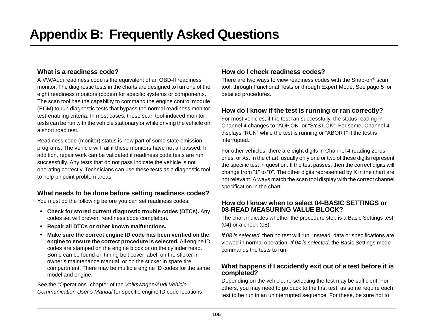# <span id="page-111-4"></span>**What is a readiness code?**

A VW/Audi readiness code is the equivalent of an OBD-II readiness monitor. The diagnostic tests in the charts are designed to run one of the eight readiness monitors (codes) for specific systems or components. The scan tool has the capability to command the engine control module (ECM) to run diagnostic tests that bypass the normal readiness monitor test-enabling criteria. In most cases, these scan tool-induced monitor tests can be run with the vehicle stationary or while driving the vehicle on a short road test.

Readiness code (monitor) status is now part of some state emission programs. The vehicle will fail if these monitors have not all passed. In addition, repair work can be validated if readiness code tests are run successfully. Any tests that do not pass indicate the vehicle is not operating correctly. Technicians can use these tests as a diagnostic tool to help pinpoint problem areas.

# **What needs to be done before setting readiness codes?**

You must do the following before you can set readiness codes:

- **• Check for stored current diagnostic trouble codes (DTCs).** Any codes set will prevent readiness code completion.
- **• Repair all DTCs or other known malfunctions.**
- <span id="page-111-1"></span>**• Make sure the correct engine ID code has been verified on the engine to ensure the correct procedure is selected.** All engine ID codes are stamped on the engine block or on the cylinder head. Some can be found on timing belt cover label, on the sticker in owner's maintenance manual, or on the sticker in spare tire compartment. There may be multiple engine ID codes for the same model and engine.

See the "Operations" chapter of the *Volkswagen/Audi Vehicle Communication User's Manual* for specific engine ID code locations.

# **How do I check readiness codes?**

<span id="page-111-3"></span><span id="page-111-2"></span>There are two ways to view readiness codes with the Snap-on® scan tool: through Functional Tests or through Expert Mode. See [page 5](#page-11-0) for detailed procedures.

# **How do I know if the test is running or ran correctly?**

For most vehicles, if the test ran successfully, the status reading in Channel 4 changes to "ADP.OK" or "SYST.OK". For some, Channel 4 displays "RUN" while the test is running or "ABORT" if the test is interrupted.

For other vehicles, there are eight digits in Channel 4 reading zeros, ones, or Xs. In the chart, usually only one or two of these digits represent the specific test in question. If the test passes, then the correct digits will change from "1" to "0". The other digits represented by X in the chart are not relevant. Always match the scan tool display with the correct channel specification in the chart.

# <span id="page-111-0"></span>**How do I know when to select 04-BASIC SETTINGS or 08-READ MEASURING VALUE BLOCK?**

The chart indicates whether the procedure step is a Basic Settings test (04) or a check (08).

*If 08 is selected*, then no test will run. Instead, data or specifications are viewed in normal operation. *If 04 is selected*, the Basic Settings mode commands the tests to run.

# **What happens if I accidently exit out of a test before it is completed?**

Depending on the vehicle, re-selecting the test may be sufficient. For others, you may need to go back to the first test, as some require each test to be run in an uninterrupted sequence. For these, be sure not to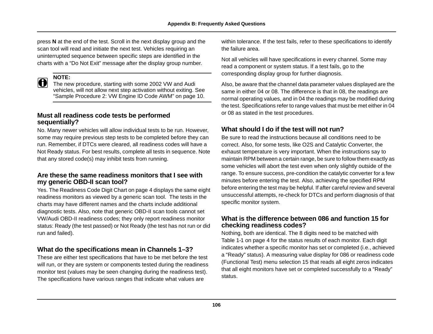press **N** at the end of the test. Scroll in the next display group and the scan tool will read and initiate the next test. Vehicles requiring an uninterrupted sequence between specific steps are identified in the charts with a "Do Not Exit" message after the display group number.

**NOTE:**<br>
The new procedure, starting with some 2002 VW and Audi vehicles, will not allow next step activation without exiting. See ["Sample Procedure 2: VW Engine ID Code AWM" on page 10](#page-16-0).

# **Must all readiness code tests be performed sequentially?**

<span id="page-112-0"></span>No. Many newer vehicles will allow individual tests to be run. However, some may require previous step tests to be completed before they can run. Remember, if DTCs were cleared, all readiness codes will have a Not Ready status. For best results, complete all tests in sequence. Note that any stored code(s) may inhibit tests from running.

## <span id="page-112-2"></span>**Are these the same readiness monitors that I see with my generic OBD-II scan tool?**

Yes. The Readiness Code Digit Chart on [page 4](#page-10-0) displays the same eight readiness monitors as viewed by a generic scan tool. The tests in the charts may have different names and the charts include additional diagnostic tests. Also, note that generic OBD-II scan tools cannot set VW/Audi OBD-II readiness codes; they only report readiness monitor status: Ready (the test passed) or Not Ready (the test has not run or did run and failed).

# **What do the specifications mean in Channels 1–3?**

These are either test specifications that have to be met before the test will run, or they are system or components tested during the readiness monitor test (values may be seen changing during the readiness test). The specifications have various ranges that indicate what values are

within tolerance. If the test fails, refer to these specifications to identify the failure area.

Not all vehicles will have specifications in every channel. Some may read a component or system status. If a test fails, go to the corresponding display group for further diagnosis.

Also, be aware that the channel data parameter values displayed are the same in either 04 or 08. The difference is that in 08, the readings are normal operating values, and in 04 the readings may be modified during the test. Specifications refer to range values that must be met either in 04 or 08 as stated in the test procedures.

# **What should I do if the test will not run?**

Be sure to read the instructions because all conditions need to be correct. Also, for some tests, like O2S and Catalytic Converter, the exhaust temperature is very important. When the instructions say to maintain RPM between a certain range, be sure to follow them exactly as some vehicles will abort the test even when only slightly outside of the range. To ensure success, pre-condition the catalytic converter for a few minutes before entering the test. Also, achieving the specified RPM before entering the test may be helpful. If after careful review and several unsuccessful attempts, re-check for DTCs and perform diagnosis of that specific monitor system.

## **What is the difference between 086 and function 15 for checking readiness codes?**

<span id="page-112-1"></span>Nothing, both are identical. The 8 digits need to be matched with [Table 1-1 on page 4](#page-10-0) for the status results of each monitor. Each digit indicates whether a specific monitor has set or completed (i.e., achieved a "Ready" status). A measuring value display for 086 or readiness code (Functional Test) menu selection 15 that reads all eight zeros indicates that all eight monitors have set or completed successfully to a "Ready" status.